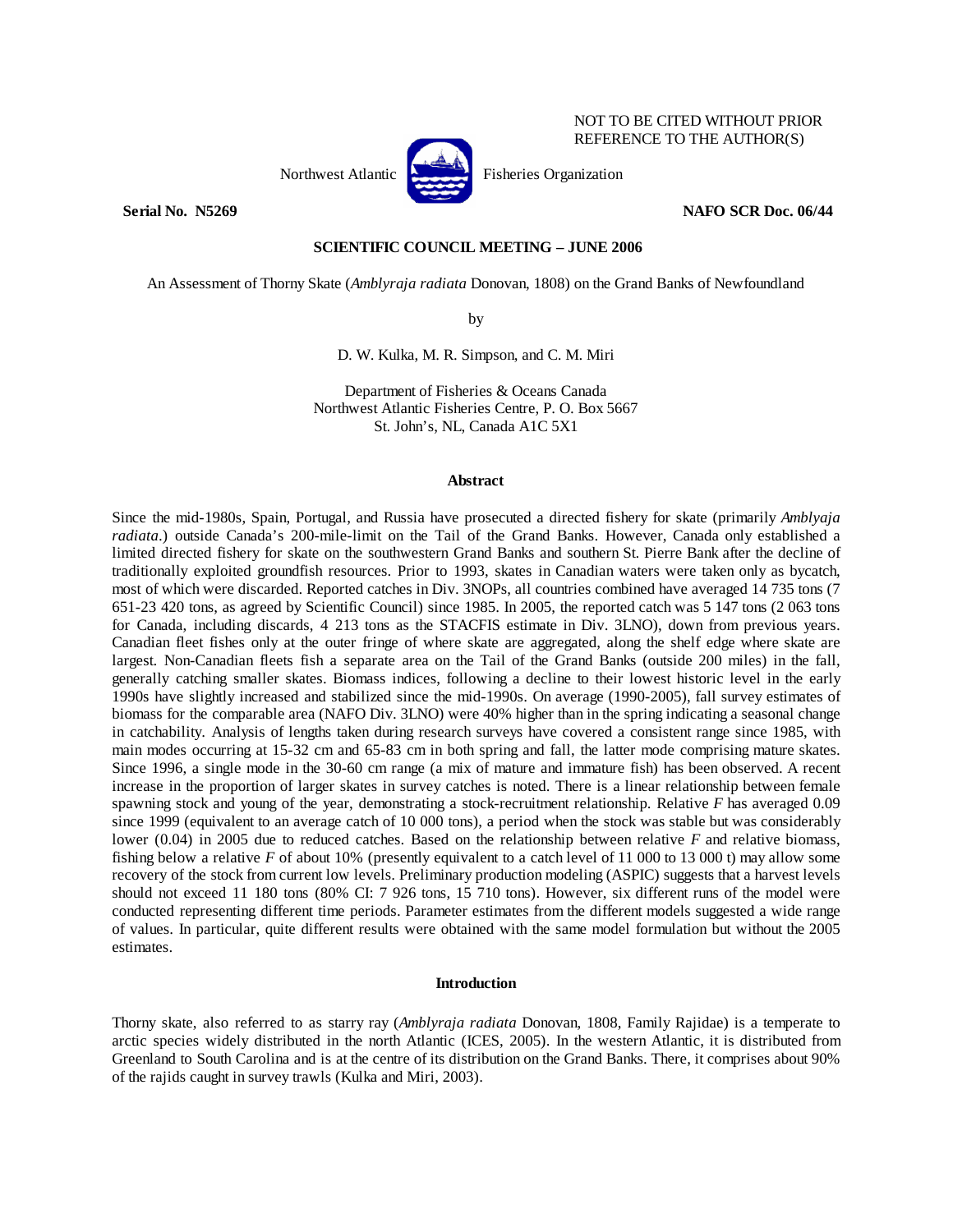

NOT TO BE CITED WITHOUT PRIOR REFERENCE TO THE AUTHOR(S)

# **Serial No. N5269 NAFO SCR Doc. 06/44**

# **SCIENTIFIC COUNCIL MEETING – JUNE 2006**

An Assessment of Thorny Skate (*Amblyraja radiata* Donovan, 1808) on the Grand Banks of Newfoundland

by

D. W. Kulka, M. R. Simpson, and C. M. Miri

Department of Fisheries & Oceans Canada Northwest Atlantic Fisheries Centre, P. O. Box 5667 St. John's, NL, Canada A1C 5X1

#### **Abstract**

Since the mid-1980s, Spain, Portugal, and Russia have prosecuted a directed fishery for skate (primarily *Amblyaja radiata*.) outside Canada's 200-mile-limit on the Tail of the Grand Banks. However, Canada only established a limited directed fishery for skate on the southwestern Grand Banks and southern St. Pierre Bank after the decline of traditionally exploited groundfish resources. Prior to 1993, skates in Canadian waters were taken only as bycatch, most of which were discarded. Reported catches in Div. 3NOPs, all countries combined have averaged 14 735 tons (7 651-23 420 tons, as agreed by Scientific Council) since 1985. In 2005, the reported catch was 5 147 tons (2 063 tons for Canada, including discards, 4 213 tons as the STACFIS estimate in Div. 3LNO), down from previous years. Canadian fleet fishes only at the outer fringe of where skate are aggregated, along the shelf edge where skate are largest. Non-Canadian fleets fish a separate area on the Tail of the Grand Banks (outside 200 miles) in the fall, generally catching smaller skates. Biomass indices, following a decline to their lowest historic level in the early 1990s have slightly increased and stabilized since the mid-1990s. On average (1990-2005), fall survey estimates of biomass for the comparable area (NAFO Div. 3LNO) were 40% higher than in the spring indicating a seasonal change in catchability. Analysis of lengths taken during research surveys have covered a consistent range since 1985, with main modes occurring at 15-32 cm and 65-83 cm in both spring and fall, the latter mode comprising mature skates. Since 1996, a single mode in the 30-60 cm range (a mix of mature and immature fish) has been observed. A recent increase in the proportion of larger skates in survey catches is noted. There is a linear relationship between female spawning stock and young of the year, demonstrating a stock-recruitment relationship. Relative *F* has averaged 0.09 since 1999 (equivalent to an average catch of 10 000 tons), a period when the stock was stable but was considerably lower (0.04) in 2005 due to reduced catches. Based on the relationship between relative *F* and relative biomass, fishing below a relative *F* of about 10% (presently equivalent to a catch level of 11 000 to 13 000 t) may allow some recovery of the stock from current low levels. Preliminary production modeling (ASPIC) suggests that a harvest levels should not exceed 11 180 tons (80% CI: 7 926 tons, 15 710 tons). However, six different runs of the model were conducted representing different time periods. Parameter estimates from the different models suggested a wide range of values. In particular, quite different results were obtained with the same model formulation but without the 2005 estimates.

# **Introduction**

Thorny skate, also referred to as starry ray (*Amblyraja radiata* Donovan, 1808, Family Rajidae) is a temperate to arctic species widely distributed in the north Atlantic (ICES, 2005). In the western Atlantic, it is distributed from Greenland to South Carolina and is at the centre of its distribution on the Grand Banks. There, it comprises about 90% of the rajids caught in survey trawls (Kulka and Miri, 2003).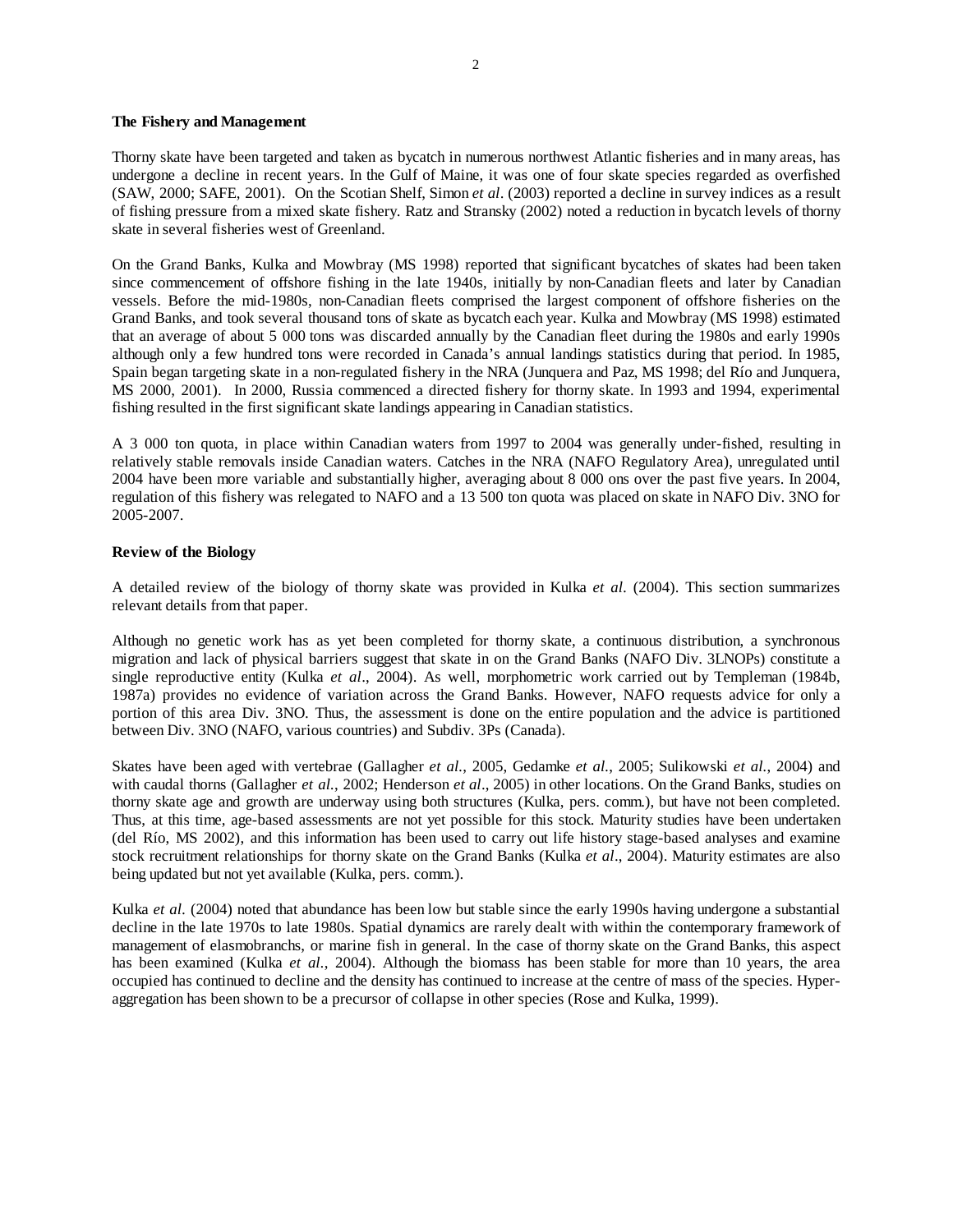#### **The Fishery and Management**

Thorny skate have been targeted and taken as bycatch in numerous northwest Atlantic fisheries and in many areas, has undergone a decline in recent years. In the Gulf of Maine, it was one of four skate species regarded as overfished (SAW, 2000; SAFE, 2001). On the Scotian Shelf, Simon *et al*. (2003) reported a decline in survey indices as a result of fishing pressure from a mixed skate fishery. Ratz and Stransky (2002) noted a reduction in bycatch levels of thorny skate in several fisheries west of Greenland.

On the Grand Banks, Kulka and Mowbray (MS 1998) reported that significant bycatches of skates had been taken since commencement of offshore fishing in the late 1940s, initially by non-Canadian fleets and later by Canadian vessels. Before the mid-1980s, non-Canadian fleets comprised the largest component of offshore fisheries on the Grand Banks, and took several thousand tons of skate as bycatch each year. Kulka and Mowbray (MS 1998) estimated that an average of about 5 000 tons was discarded annually by the Canadian fleet during the 1980s and early 1990s although only a few hundred tons were recorded in Canada's annual landings statistics during that period. In 1985, Spain began targeting skate in a non-regulated fishery in the NRA (Junquera and Paz, MS 1998; del Río and Junquera, MS 2000, 2001). In 2000, Russia commenced a directed fishery for thorny skate. In 1993 and 1994, experimental fishing resulted in the first significant skate landings appearing in Canadian statistics.

A 3 000 ton quota, in place within Canadian waters from 1997 to 2004 was generally under-fished, resulting in relatively stable removals inside Canadian waters. Catches in the NRA (NAFO Regulatory Area), unregulated until 2004 have been more variable and substantially higher, averaging about 8 000 ons over the past five years. In 2004, regulation of this fishery was relegated to NAFO and a 13 500 ton quota was placed on skate in NAFO Div. 3NO for 2005-2007.

#### **Review of the Biology**

A detailed review of the biology of thorny skate was provided in Kulka *et al.* (2004). This section summarizes relevant details from that paper.

Although no genetic work has as yet been completed for thorny skate, a continuous distribution, a synchronous migration and lack of physical barriers suggest that skate in on the Grand Banks (NAFO Div. 3LNOPs) constitute a single reproductive entity (Kulka *et al*., 2004). As well, morphometric work carried out by Templeman (1984b, 1987a) provides no evidence of variation across the Grand Banks. However, NAFO requests advice for only a portion of this area Div. 3NO. Thus, the assessment is done on the entire population and the advice is partitioned between Div. 3NO (NAFO, various countries) and Subdiv. 3Ps (Canada).

Skates have been aged with vertebrae (Gallagher *et al.*, 2005, Gedamke *et al.*, 2005; Sulikowski *et al.*, 2004) and with caudal thorns (Gallagher *et al.*, 2002; Henderson *et al*., 2005) in other locations. On the Grand Banks, studies on thorny skate age and growth are underway using both structures (Kulka, pers. comm.), but have not been completed. Thus, at this time, age-based assessments are not yet possible for this stock. Maturity studies have been undertaken (del Río, MS 2002), and this information has been used to carry out life history stage-based analyses and examine stock recruitment relationships for thorny skate on the Grand Banks (Kulka *et al*., 2004). Maturity estimates are also being updated but not yet available (Kulka, pers. comm.).

Kulka *et al.* (2004) noted that abundance has been low but stable since the early 1990s having undergone a substantial decline in the late 1970s to late 1980s. Spatial dynamics are rarely dealt with within the contemporary framework of management of elasmobranchs, or marine fish in general. In the case of thorny skate on the Grand Banks, this aspect has been examined (Kulka *et al.*, 2004). Although the biomass has been stable for more than 10 years, the area occupied has continued to decline and the density has continued to increase at the centre of mass of the species. Hyperaggregation has been shown to be a precursor of collapse in other species (Rose and Kulka, 1999).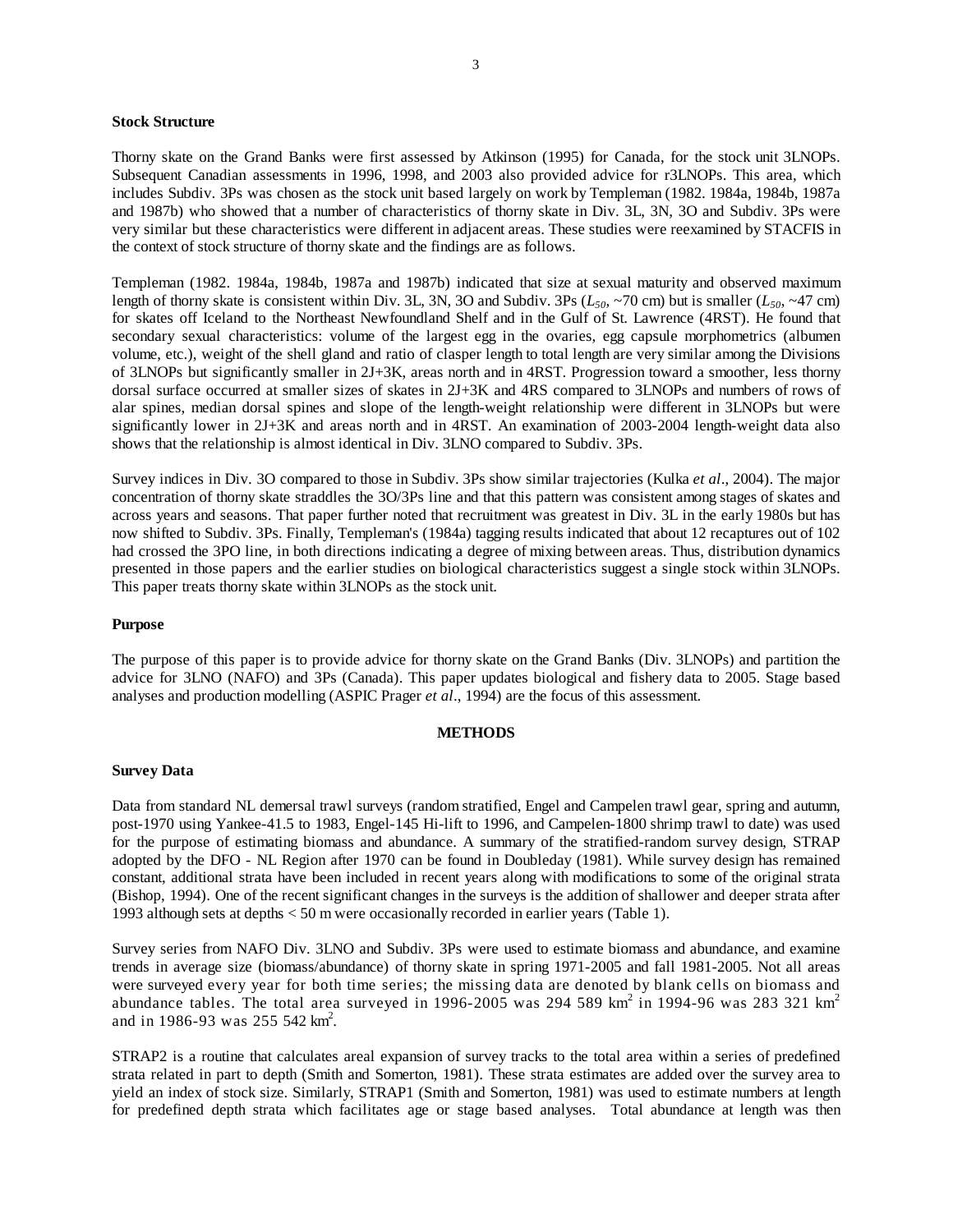#### **Stock Structure**

Thorny skate on the Grand Banks were first assessed by Atkinson (1995) for Canada, for the stock unit 3LNOPs. Subsequent Canadian assessments in 1996, 1998, and 2003 also provided advice for r3LNOPs. This area, which includes Subdiv. 3Ps was chosen as the stock unit based largely on work by Templeman (1982. 1984a, 1984b, 1987a and 1987b) who showed that a number of characteristics of thorny skate in Div. 3L, 3N, 3O and Subdiv. 3Ps were very similar but these characteristics were different in adjacent areas. These studies were reexamined by STACFIS in the context of stock structure of thorny skate and the findings are as follows.

Templeman (1982. 1984a, 1984b, 1987a and 1987b) indicated that size at sexual maturity and observed maximum length of thorny skate is consistent within Div. 3L, 3N, 3O and Subdiv. 3Ps  $(L_{50}$ , ~70 cm) but is smaller  $(L_{50}$ , ~47 cm) for skates off Iceland to the Northeast Newfoundland Shelf and in the Gulf of St. Lawrence (4RST). He found that secondary sexual characteristics: volume of the largest egg in the ovaries, egg capsule morphometrics (albumen volume, etc.), weight of the shell gland and ratio of clasper length to total length are very similar among the Divisions of 3LNOPs but significantly smaller in 2J+3K, areas north and in 4RST. Progression toward a smoother, less thorny dorsal surface occurred at smaller sizes of skates in 2J+3K and 4RS compared to 3LNOPs and numbers of rows of alar spines, median dorsal spines and slope of the length-weight relationship were different in 3LNOPs but were significantly lower in 2J+3K and areas north and in 4RST. An examination of 2003-2004 length-weight data also shows that the relationship is almost identical in Div. 3LNO compared to Subdiv. 3Ps.

Survey indices in Div. 3O compared to those in Subdiv. 3Ps show similar trajectories (Kulka *et al*., 2004). The major concentration of thorny skate straddles the 3O/3Ps line and that this pattern was consistent among stages of skates and across years and seasons. That paper further noted that recruitment was greatest in Div. 3L in the early 1980s but has now shifted to Subdiv. 3Ps. Finally, Templeman's (1984a) tagging results indicated that about 12 recaptures out of 102 had crossed the 3PO line, in both directions indicating a degree of mixing between areas. Thus, distribution dynamics presented in those papers and the earlier studies on biological characteristics suggest a single stock within 3LNOPs. This paper treats thorny skate within 3LNOPs as the stock unit.

#### **Purpose**

The purpose of this paper is to provide advice for thorny skate on the Grand Banks (Div. 3LNOPs) and partition the advice for 3LNO (NAFO) and 3Ps (Canada). This paper updates biological and fishery data to 2005. Stage based analyses and production modelling (ASPIC Prager *et al*., 1994) are the focus of this assessment.

#### **METHODS**

#### **Survey Data**

Data from standard NL demersal trawl surveys (random stratified, Engel and Campelen trawl gear, spring and autumn, post-1970 using Yankee-41.5 to 1983, Engel-145 Hi-lift to 1996, and Campelen-1800 shrimp trawl to date) was used for the purpose of estimating biomass and abundance. A summary of the stratified-random survey design, STRAP adopted by the DFO - NL Region after 1970 can be found in Doubleday (1981). While survey design has remained constant, additional strata have been included in recent years along with modifications to some of the original strata (Bishop, 1994). One of the recent significant changes in the surveys is the addition of shallower and deeper strata after 1993 although sets at depths < 50 m were occasionally recorded in earlier years (Table 1).

Survey series from NAFO Div. 3LNO and Subdiv. 3Ps were used to estimate biomass and abundance, and examine trends in average size (biomass/abundance) of thorny skate in spring 1971-2005 and fall 1981-2005. Not all areas were surveyed every year for both time series; the missing data are denoted by blank cells on biomass and abundance tables. The total area surveyed in 1996-2005 was 294 589 km<sup>2</sup> in 1994-96 was 283 321 km<sup>2</sup> and in 1986-93 was 255 542 km<sup>2</sup>.

STRAP2 is a routine that calculates areal expansion of survey tracks to the total area within a series of predefined strata related in part to depth (Smith and Somerton, 1981). These strata estimates are added over the survey area to yield an index of stock size. Similarly, STRAP1 (Smith and Somerton, 1981) was used to estimate numbers at length for predefined depth strata which facilitates age or stage based analyses. Total abundance at length was then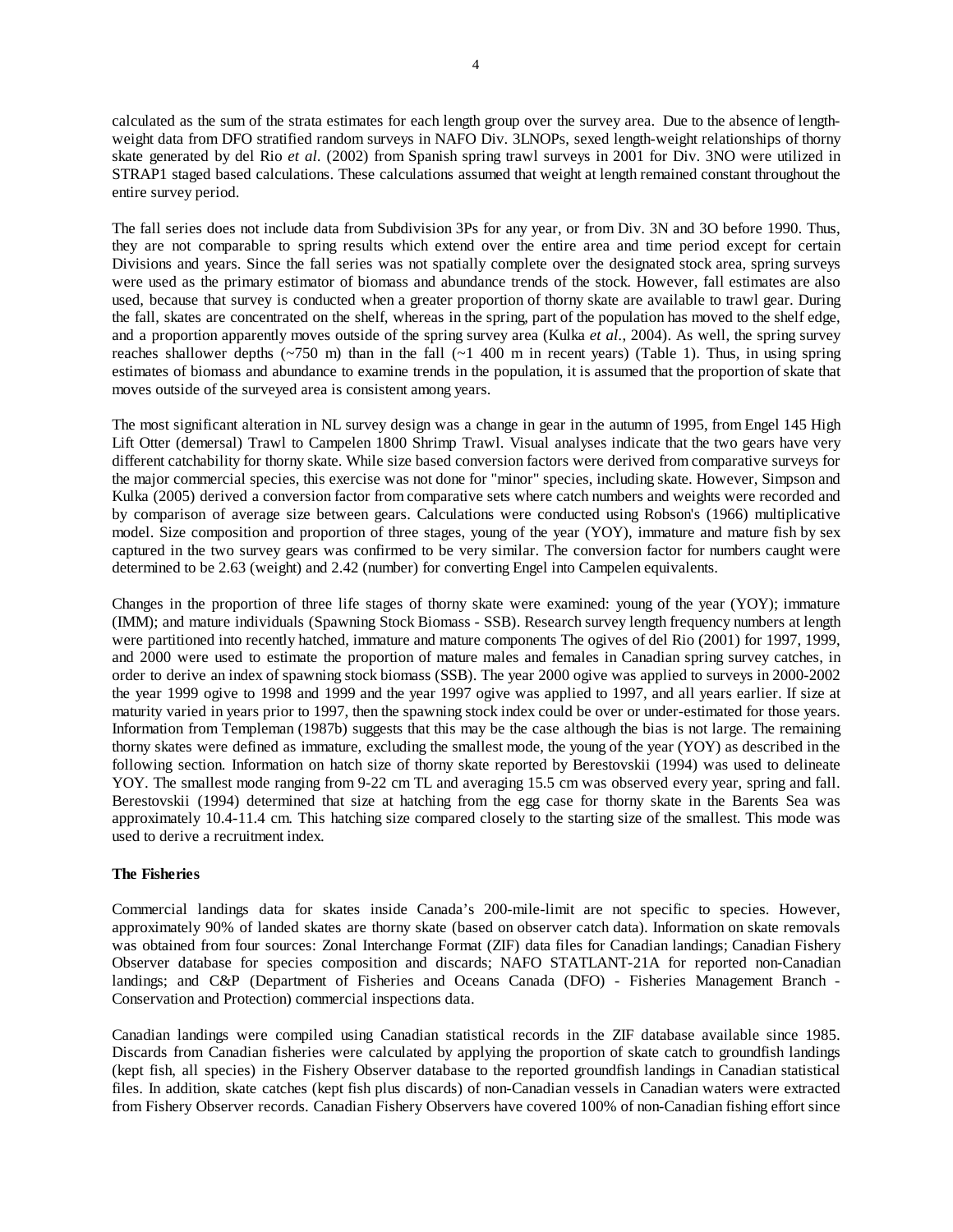calculated as the sum of the strata estimates for each length group over the survey area. Due to the absence of lengthweight data from DFO stratified random surveys in NAFO Div. 3LNOPs, sexed length-weight relationships of thorny skate generated by del Rio *et al.* (2002) from Spanish spring trawl surveys in 2001 for Div. 3NO were utilized in STRAP1 staged based calculations. These calculations assumed that weight at length remained constant throughout the entire survey period.

The fall series does not include data from Subdivision 3Ps for any year, or from Div. 3N and 3O before 1990. Thus, they are not comparable to spring results which extend over the entire area and time period except for certain Divisions and years. Since the fall series was not spatially complete over the designated stock area, spring surveys were used as the primary estimator of biomass and abundance trends of the stock. However, fall estimates are also used, because that survey is conducted when a greater proportion of thorny skate are available to trawl gear. During the fall, skates are concentrated on the shelf, whereas in the spring, part of the population has moved to the shelf edge, and a proportion apparently moves outside of the spring survey area (Kulka *et al.*, 2004). As well, the spring survey reaches shallower depths ( $\sim$ 750 m) than in the fall ( $\sim$ 1 400 m in recent years) (Table 1). Thus, in using spring estimates of biomass and abundance to examine trends in the population, it is assumed that the proportion of skate that moves outside of the surveyed area is consistent among years.

The most significant alteration in NL survey design was a change in gear in the autumn of 1995, from Engel 145 High Lift Otter (demersal) Trawl to Campelen 1800 Shrimp Trawl. Visual analyses indicate that the two gears have very different catchability for thorny skate. While size based conversion factors were derived from comparative surveys for the major commercial species, this exercise was not done for "minor" species, including skate. However, Simpson and Kulka (2005) derived a conversion factor from comparative sets where catch numbers and weights were recorded and by comparison of average size between gears. Calculations were conducted using Robson's (1966) multiplicative model. Size composition and proportion of three stages, young of the year (YOY), immature and mature fish by sex captured in the two survey gears was confirmed to be very similar. The conversion factor for numbers caught were determined to be 2.63 (weight) and 2.42 (number) for converting Engel into Campelen equivalents.

Changes in the proportion of three life stages of thorny skate were examined: young of the year (YOY); immature (IMM); and mature individuals (Spawning Stock Biomass - SSB). Research survey length frequency numbers at length were partitioned into recently hatched, immature and mature components The ogives of del Rio (2001) for 1997, 1999, and 2000 were used to estimate the proportion of mature males and females in Canadian spring survey catches, in order to derive an index of spawning stock biomass (SSB). The year 2000 ogive was applied to surveys in 2000-2002 the year 1999 ogive to 1998 and 1999 and the year 1997 ogive was applied to 1997, and all years earlier. If size at maturity varied in years prior to 1997, then the spawning stock index could be over or under-estimated for those years. Information from Templeman (1987b) suggests that this may be the case although the bias is not large. The remaining thorny skates were defined as immature, excluding the smallest mode, the young of the year (YOY) as described in the following section. Information on hatch size of thorny skate reported by Berestovskii (1994) was used to delineate YOY. The smallest mode ranging from 9-22 cm TL and averaging 15.5 cm was observed every year, spring and fall. Berestovskii (1994) determined that size at hatching from the egg case for thorny skate in the Barents Sea was approximately 10.4-11.4 cm. This hatching size compared closely to the starting size of the smallest. This mode was used to derive a recruitment index.

# **The Fisheries**

Commercial landings data for skates inside Canada's 200-mile-limit are not specific to species. However, approximately 90% of landed skates are thorny skate (based on observer catch data). Information on skate removals was obtained from four sources: Zonal Interchange Format (ZIF) data files for Canadian landings; Canadian Fishery Observer database for species composition and discards; NAFO STATLANT-21A for reported non-Canadian landings; and C&P (Department of Fisheries and Oceans Canada (DFO) - Fisheries Management Branch - Conservation and Protection) commercial inspections data.

Canadian landings were compiled using Canadian statistical records in the ZIF database available since 1985. Discards from Canadian fisheries were calculated by applying the proportion of skate catch to groundfish landings (kept fish, all species) in the Fishery Observer database to the reported groundfish landings in Canadian statistical files. In addition, skate catches (kept fish plus discards) of non-Canadian vessels in Canadian waters were extracted from Fishery Observer records. Canadian Fishery Observers have covered 100% of non-Canadian fishing effort since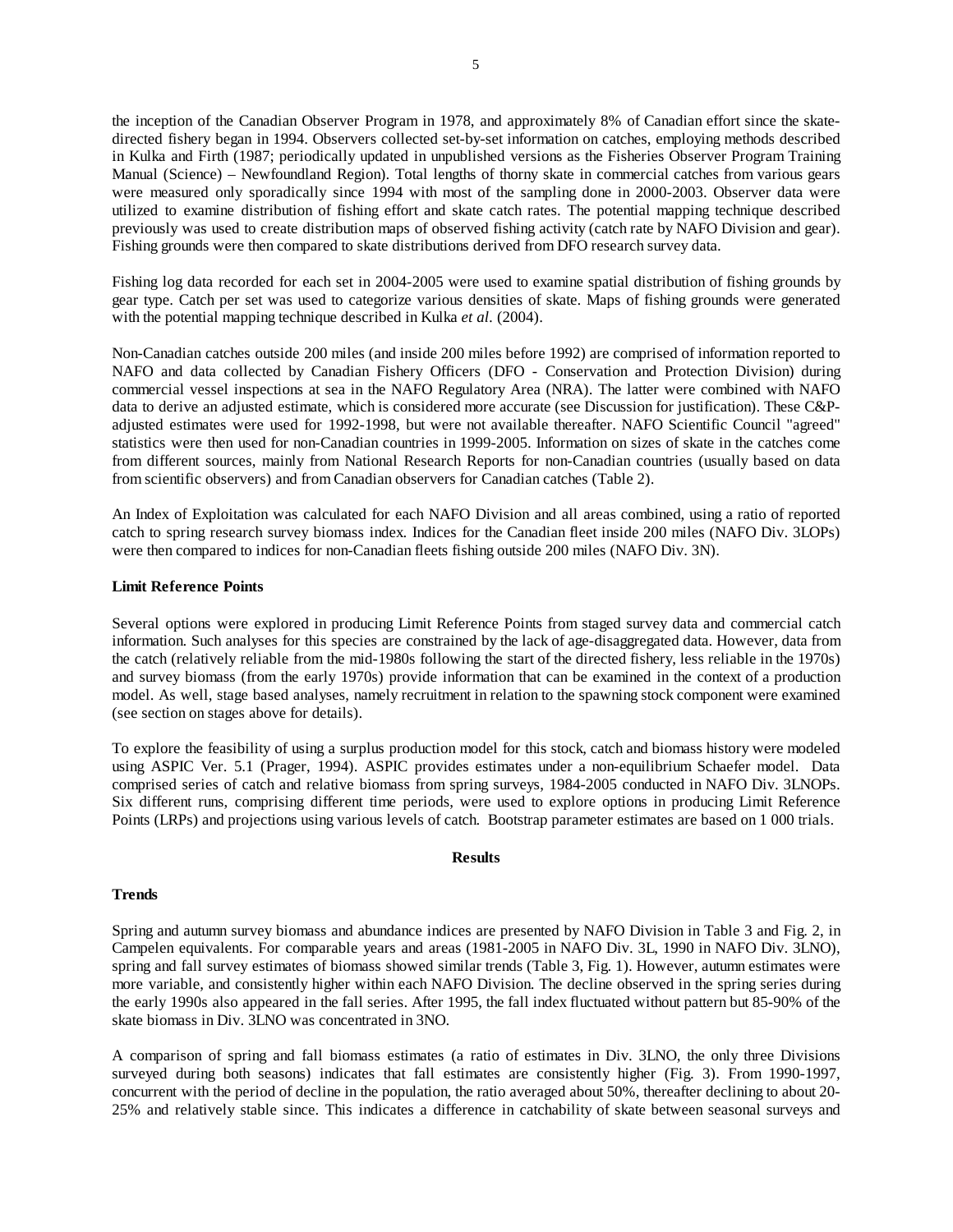the inception of the Canadian Observer Program in 1978, and approximately 8% of Canadian effort since the skatedirected fishery began in 1994. Observers collected set-by-set information on catches, employing methods described in Kulka and Firth (1987; periodically updated in unpublished versions as the Fisheries Observer Program Training Manual (Science) – Newfoundland Region). Total lengths of thorny skate in commercial catches from various gears were measured only sporadically since 1994 with most of the sampling done in 2000-2003. Observer data were utilized to examine distribution of fishing effort and skate catch rates. The potential mapping technique described previously was used to create distribution maps of observed fishing activity (catch rate by NAFO Division and gear). Fishing grounds were then compared to skate distributions derived from DFO research survey data.

Fishing log data recorded for each set in 2004-2005 were used to examine spatial distribution of fishing grounds by gear type. Catch per set was used to categorize various densities of skate. Maps of fishing grounds were generated with the potential mapping technique described in Kulka *et al.* (2004).

Non-Canadian catches outside 200 miles (and inside 200 miles before 1992) are comprised of information reported to NAFO and data collected by Canadian Fishery Officers (DFO - Conservation and Protection Division) during commercial vessel inspections at sea in the NAFO Regulatory Area (NRA). The latter were combined with NAFO data to derive an adjusted estimate, which is considered more accurate (see Discussion for justification). These C&Padjusted estimates were used for 1992-1998, but were not available thereafter. NAFO Scientific Council "agreed" statistics were then used for non-Canadian countries in 1999-2005. Information on sizes of skate in the catches come from different sources, mainly from National Research Reports for non-Canadian countries (usually based on data from scientific observers) and from Canadian observers for Canadian catches (Table 2).

An Index of Exploitation was calculated for each NAFO Division and all areas combined, using a ratio of reported catch to spring research survey biomass index. Indices for the Canadian fleet inside 200 miles (NAFO Div. 3LOPs) were then compared to indices for non-Canadian fleets fishing outside 200 miles (NAFO Div. 3N).

### **Limit Reference Points**

Several options were explored in producing Limit Reference Points from staged survey data and commercial catch information. Such analyses for this species are constrained by the lack of age-disaggregated data. However, data from the catch (relatively reliable from the mid-1980s following the start of the directed fishery, less reliable in the 1970s) and survey biomass (from the early 1970s) provide information that can be examined in the context of a production model. As well, stage based analyses, namely recruitment in relation to the spawning stock component were examined (see section on stages above for details).

To explore the feasibility of using a surplus production model for this stock, catch and biomass history were modeled using ASPIC Ver. 5.1 (Prager, 1994). ASPIC provides estimates under a non-equilibrium Schaefer model. Data comprised series of catch and relative biomass from spring surveys, 1984-2005 conducted in NAFO Div. 3LNOPs. Six different runs, comprising different time periods, were used to explore options in producing Limit Reference Points (LRPs) and projections using various levels of catch. Bootstrap parameter estimates are based on 1 000 trials.

#### **Results**

#### **Trends**

Spring and autumn survey biomass and abundance indices are presented by NAFO Division in Table 3 and Fig. 2, in Campelen equivalents. For comparable years and areas (1981-2005 in NAFO Div. 3L, 1990 in NAFO Div. 3LNO), spring and fall survey estimates of biomass showed similar trends (Table 3, Fig. 1). However, autumn estimates were more variable, and consistently higher within each NAFO Division. The decline observed in the spring series during the early 1990s also appeared in the fall series. After 1995, the fall index fluctuated without pattern but 85-90% of the skate biomass in Div. 3LNO was concentrated in 3NO.

A comparison of spring and fall biomass estimates (a ratio of estimates in Div. 3LNO, the only three Divisions surveyed during both seasons) indicates that fall estimates are consistently higher (Fig. 3). From 1990-1997, concurrent with the period of decline in the population, the ratio averaged about 50%, thereafter declining to about 20- 25% and relatively stable since. This indicates a difference in catchability of skate between seasonal surveys and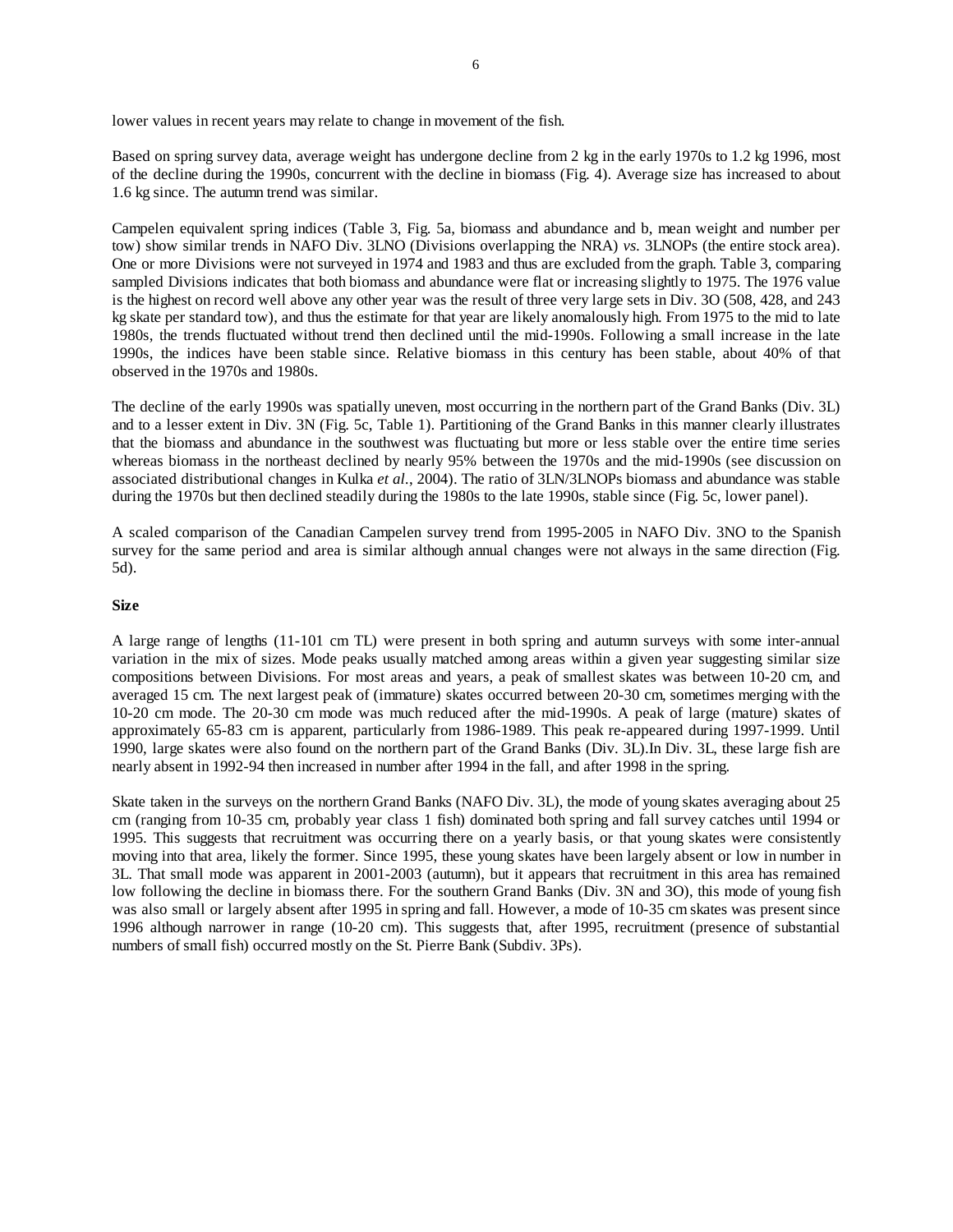lower values in recent years may relate to change in movement of the fish.

Based on spring survey data, average weight has undergone decline from 2 kg in the early 1970s to 1.2 kg 1996, most of the decline during the 1990s, concurrent with the decline in biomass (Fig. 4). Average size has increased to about 1.6 kg since. The autumn trend was similar.

Campelen equivalent spring indices (Table 3, Fig. 5a, biomass and abundance and b, mean weight and number per tow) show similar trends in NAFO Div. 3LNO (Divisions overlapping the NRA) *vs.* 3LNOPs (the entire stock area). One or more Divisions were not surveyed in 1974 and 1983 and thus are excluded from the graph. Table 3, comparing sampled Divisions indicates that both biomass and abundance were flat or increasing slightly to 1975. The 1976 value is the highest on record well above any other year was the result of three very large sets in Div. 3O (508, 428, and 243 kg skate per standard tow), and thus the estimate for that year are likely anomalously high. From 1975 to the mid to late 1980s, the trends fluctuated without trend then declined until the mid-1990s. Following a small increase in the late 1990s, the indices have been stable since. Relative biomass in this century has been stable, about 40% of that observed in the 1970s and 1980s.

The decline of the early 1990s was spatially uneven, most occurring in the northern part of the Grand Banks (Div. 3L) and to a lesser extent in Div. 3N (Fig. 5c, Table 1). Partitioning of the Grand Banks in this manner clearly illustrates that the biomass and abundance in the southwest was fluctuating but more or less stable over the entire time series whereas biomass in the northeast declined by nearly 95% between the 1970s and the mid-1990s (see discussion on associated distributional changes in Kulka *et al.*, 2004). The ratio of 3LN/3LNOPs biomass and abundance was stable during the 1970s but then declined steadily during the 1980s to the late 1990s, stable since (Fig. 5c, lower panel).

A scaled comparison of the Canadian Campelen survey trend from 1995-2005 in NAFO Div. 3NO to the Spanish survey for the same period and area is similar although annual changes were not always in the same direction (Fig. 5d).

#### **Size**

A large range of lengths (11-101 cm TL) were present in both spring and autumn surveys with some inter-annual variation in the mix of sizes. Mode peaks usually matched among areas within a given year suggesting similar size compositions between Divisions. For most areas and years, a peak of smallest skates was between 10-20 cm, and averaged 15 cm. The next largest peak of (immature) skates occurred between 20-30 cm, sometimes merging with the 10-20 cm mode. The 20-30 cm mode was much reduced after the mid-1990s. A peak of large (mature) skates of approximately 65-83 cm is apparent, particularly from 1986-1989. This peak re-appeared during 1997-1999. Until 1990, large skates were also found on the northern part of the Grand Banks (Div. 3L).In Div. 3L, these large fish are nearly absent in 1992-94 then increased in number after 1994 in the fall, and after 1998 in the spring.

Skate taken in the surveys on the northern Grand Banks (NAFO Div. 3L), the mode of young skates averaging about 25 cm (ranging from 10-35 cm, probably year class 1 fish) dominated both spring and fall survey catches until 1994 or 1995. This suggests that recruitment was occurring there on a yearly basis, or that young skates were consistently moving into that area, likely the former. Since 1995, these young skates have been largely absent or low in number in 3L. That small mode was apparent in 2001-2003 (autumn), but it appears that recruitment in this area has remained low following the decline in biomass there. For the southern Grand Banks (Div. 3N and 3O), this mode of young fish was also small or largely absent after 1995 in spring and fall. However, a mode of 10-35 cm skates was present since 1996 although narrower in range (10-20 cm). This suggests that, after 1995, recruitment (presence of substantial numbers of small fish) occurred mostly on the St. Pierre Bank (Subdiv. 3Ps).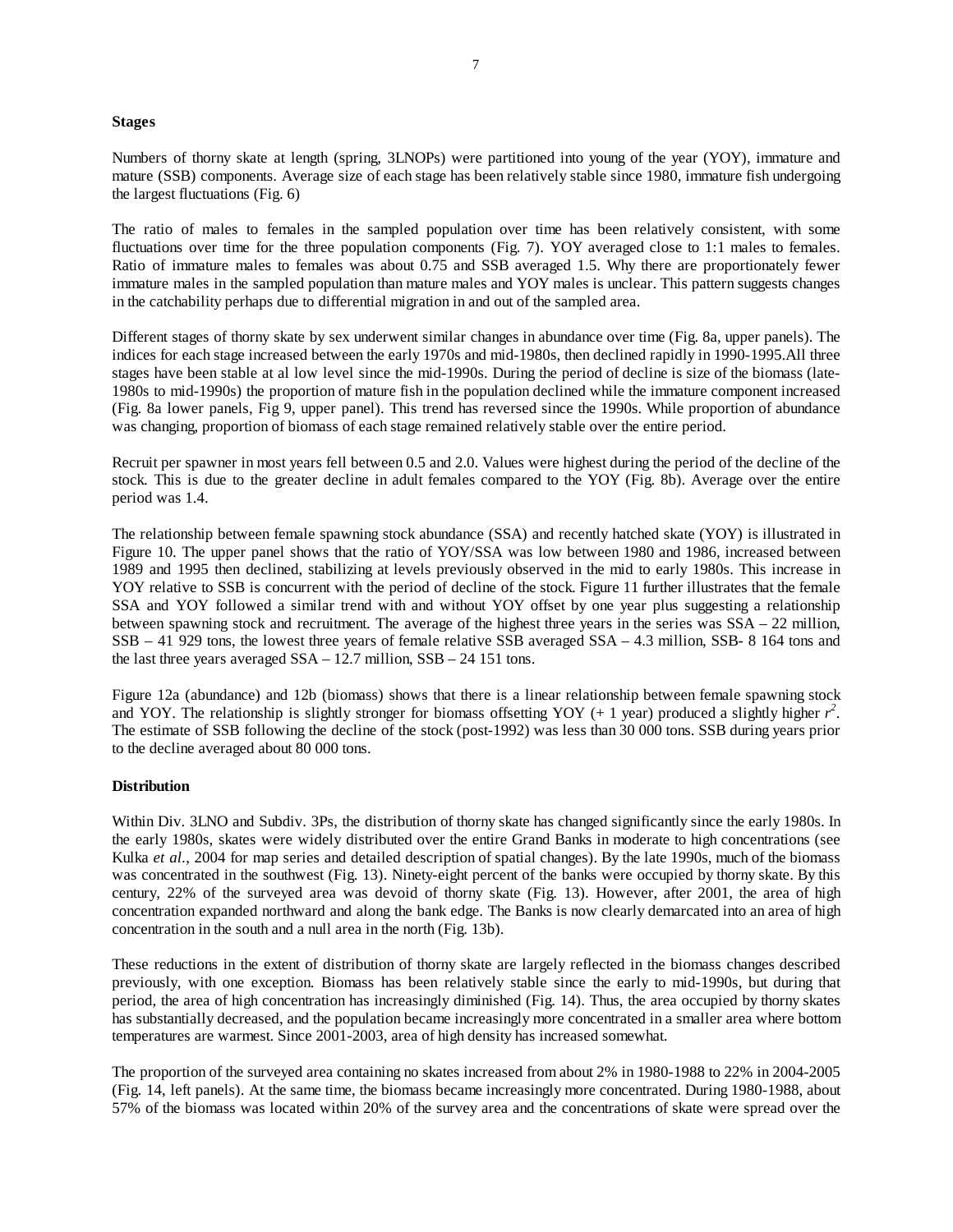#### **Stages**

Numbers of thorny skate at length (spring, 3LNOPs) were partitioned into young of the year (YOY), immature and mature (SSB) components. Average size of each stage has been relatively stable since 1980, immature fish undergoing the largest fluctuations (Fig. 6)

The ratio of males to females in the sampled population over time has been relatively consistent, with some fluctuations over time for the three population components (Fig. 7). YOY averaged close to 1:1 males to females. Ratio of immature males to females was about 0.75 and SSB averaged 1.5. Why there are proportionately fewer immature males in the sampled population than mature males and YOY males is unclear. This pattern suggests changes in the catchability perhaps due to differential migration in and out of the sampled area.

Different stages of thorny skate by sex underwent similar changes in abundance over time (Fig. 8a, upper panels). The indices for each stage increased between the early 1970s and mid-1980s, then declined rapidly in 1990-1995.All three stages have been stable at al low level since the mid-1990s. During the period of decline is size of the biomass (late-1980s to mid-1990s) the proportion of mature fish in the population declined while the immature component increased (Fig. 8a lower panels, Fig 9, upper panel). This trend has reversed since the 1990s. While proportion of abundance was changing, proportion of biomass of each stage remained relatively stable over the entire period.

Recruit per spawner in most years fell between 0.5 and 2.0. Values were highest during the period of the decline of the stock. This is due to the greater decline in adult females compared to the YOY (Fig. 8b). Average over the entire period was 1.4.

The relationship between female spawning stock abundance (SSA) and recently hatched skate (YOY) is illustrated in Figure 10. The upper panel shows that the ratio of YOY/SSA was low between 1980 and 1986, increased between 1989 and 1995 then declined, stabilizing at levels previously observed in the mid to early 1980s. This increase in YOY relative to SSB is concurrent with the period of decline of the stock. Figure 11 further illustrates that the female SSA and YOY followed a similar trend with and without YOY offset by one year plus suggesting a relationship between spawning stock and recruitment. The average of the highest three years in the series was SSA – 22 million, SSB – 41 929 tons, the lowest three years of female relative SSB averaged SSA – 4.3 million, SSB- 8 164 tons and the last three years averaged  $SSA - 12.7$  million,  $SSB - 24$  151 tons.

Figure 12a (abundance) and 12b (biomass) shows that there is a linear relationship between female spawning stock and YOY. The relationship is slightly stronger for biomass offsetting YOY (+ 1 year) produced a slightly higher  $r^2$ . The estimate of SSB following the decline of the stock (post-1992) was less than 30 000 tons. SSB during years prior to the decline averaged about 80 000 tons.

#### **Distribution**

Within Div. 3LNO and Subdiv. 3Ps, the distribution of thorny skate has changed significantly since the early 1980s. In the early 1980s, skates were widely distributed over the entire Grand Banks in moderate to high concentrations (see Kulka *et al.*, 2004 for map series and detailed description of spatial changes). By the late 1990s, much of the biomass was concentrated in the southwest (Fig. 13). Ninety-eight percent of the banks were occupied by thorny skate. By this century, 22% of the surveyed area was devoid of thorny skate (Fig. 13). However, after 2001, the area of high concentration expanded northward and along the bank edge. The Banks is now clearly demarcated into an area of high concentration in the south and a null area in the north (Fig. 13b).

These reductions in the extent of distribution of thorny skate are largely reflected in the biomass changes described previously, with one exception. Biomass has been relatively stable since the early to mid-1990s, but during that period, the area of high concentration has increasingly diminished (Fig. 14). Thus, the area occupied by thorny skates has substantially decreased, and the population became increasingly more concentrated in a smaller area where bottom temperatures are warmest. Since 2001-2003, area of high density has increased somewhat.

The proportion of the surveyed area containing no skates increased from about 2% in 1980-1988 to 22% in 2004-2005 (Fig. 14, left panels). At the same time, the biomass became increasingly more concentrated. During 1980-1988, about 57% of the biomass was located within 20% of the survey area and the concentrations of skate were spread over the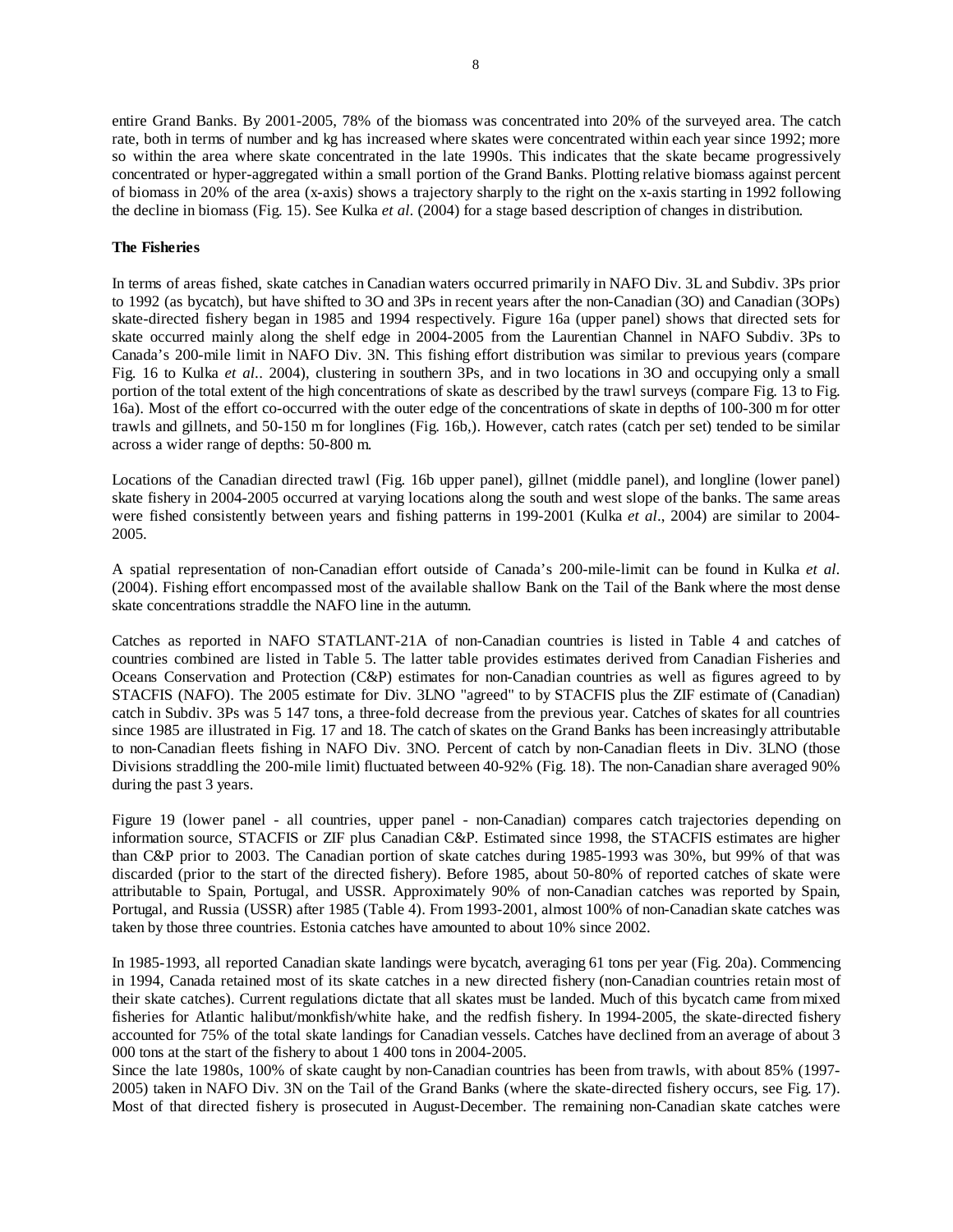entire Grand Banks. By 2001-2005, 78% of the biomass was concentrated into 20% of the surveyed area. The catch rate, both in terms of number and kg has increased where skates were concentrated within each year since 1992; more so within the area where skate concentrated in the late 1990s. This indicates that the skate became progressively concentrated or hyper-aggregated within a small portion of the Grand Banks. Plotting relative biomass against percent of biomass in 20% of the area (x-axis) shows a trajectory sharply to the right on the x-axis starting in 1992 following the decline in biomass (Fig. 15). See Kulka *et al.* (2004) for a stage based description of changes in distribution.

# **The Fisheries**

In terms of areas fished, skate catches in Canadian waters occurred primarily in NAFO Div. 3L and Subdiv. 3Ps prior to 1992 (as bycatch), but have shifted to 3O and 3Ps in recent years after the non-Canadian (3O) and Canadian (3OPs) skate-directed fishery began in 1985 and 1994 respectively. Figure 16a (upper panel) shows that directed sets for skate occurred mainly along the shelf edge in 2004-2005 from the Laurentian Channel in NAFO Subdiv. 3Ps to Canada's 200-mile limit in NAFO Div. 3N. This fishing effort distribution was similar to previous years (compare Fig. 16 to Kulka *et al.*. 2004), clustering in southern 3Ps, and in two locations in 3O and occupying only a small portion of the total extent of the high concentrations of skate as described by the trawl surveys (compare Fig. 13 to Fig. 16a). Most of the effort co-occurred with the outer edge of the concentrations of skate in depths of 100-300 m for otter trawls and gillnets, and 50-150 m for longlines (Fig. 16b,). However, catch rates (catch per set) tended to be similar across a wider range of depths: 50-800 m.

Locations of the Canadian directed trawl (Fig. 16b upper panel), gillnet (middle panel), and longline (lower panel) skate fishery in 2004-2005 occurred at varying locations along the south and west slope of the banks. The same areas were fished consistently between years and fishing patterns in 199-2001 (Kulka *et al*., 2004) are similar to 2004- 2005.

A spatial representation of non-Canadian effort outside of Canada's 200-mile-limit can be found in Kulka *et al.* (2004). Fishing effort encompassed most of the available shallow Bank on the Tail of the Bank where the most dense skate concentrations straddle the NAFO line in the autumn.

Catches as reported in NAFO STATLANT-21A of non-Canadian countries is listed in Table 4 and catches of countries combined are listed in Table 5. The latter table provides estimates derived from Canadian Fisheries and Oceans Conservation and Protection (C&P) estimates for non-Canadian countries as well as figures agreed to by STACFIS (NAFO). The 2005 estimate for Div. 3LNO "agreed" to by STACFIS plus the ZIF estimate of (Canadian) catch in Subdiv. 3Ps was 5 147 tons, a three-fold decrease from the previous year. Catches of skates for all countries since 1985 are illustrated in Fig. 17 and 18. The catch of skates on the Grand Banks has been increasingly attributable to non-Canadian fleets fishing in NAFO Div. 3NO. Percent of catch by non-Canadian fleets in Div. 3LNO (those Divisions straddling the 200-mile limit) fluctuated between 40-92% (Fig. 18). The non-Canadian share averaged 90% during the past 3 years.

Figure 19 (lower panel - all countries, upper panel - non-Canadian) compares catch trajectories depending on information source, STACFIS or ZIF plus Canadian C&P. Estimated since 1998, the STACFIS estimates are higher than C&P prior to 2003. The Canadian portion of skate catches during 1985-1993 was 30%, but 99% of that was discarded (prior to the start of the directed fishery). Before 1985, about 50-80% of reported catches of skate were attributable to Spain, Portugal, and USSR. Approximately 90% of non-Canadian catches was reported by Spain, Portugal, and Russia (USSR) after 1985 (Table 4). From 1993-2001, almost 100% of non-Canadian skate catches was taken by those three countries. Estonia catches have amounted to about 10% since 2002.

In 1985-1993, all reported Canadian skate landings were bycatch, averaging 61 tons per year (Fig. 20a). Commencing in 1994, Canada retained most of its skate catches in a new directed fishery (non-Canadian countries retain most of their skate catches). Current regulations dictate that all skates must be landed. Much of this bycatch came from mixed fisheries for Atlantic halibut/monkfish/white hake, and the redfish fishery. In 1994-2005, the skate-directed fishery accounted for 75% of the total skate landings for Canadian vessels. Catches have declined from an average of about 3 000 tons at the start of the fishery to about 1 400 tons in 2004-2005.

Since the late 1980s, 100% of skate caught by non-Canadian countries has been from trawls, with about 85% (1997- 2005) taken in NAFO Div. 3N on the Tail of the Grand Banks (where the skate-directed fishery occurs, see Fig. 17). Most of that directed fishery is prosecuted in August-December. The remaining non-Canadian skate catches were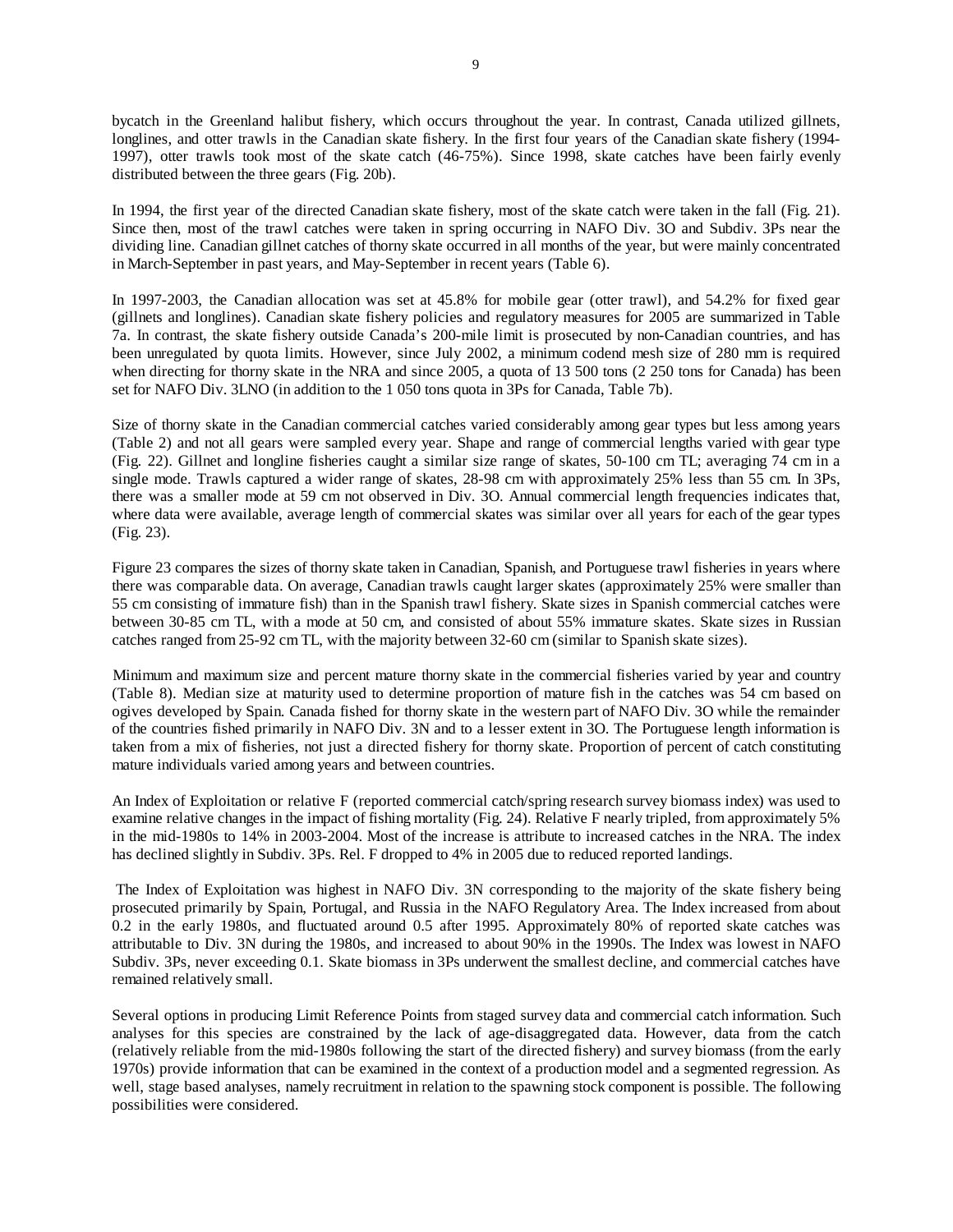bycatch in the Greenland halibut fishery, which occurs throughout the year. In contrast, Canada utilized gillnets, longlines, and otter trawls in the Canadian skate fishery. In the first four years of the Canadian skate fishery (1994-1997), otter trawls took most of the skate catch (46-75%). Since 1998, skate catches have been fairly evenly distributed between the three gears (Fig. 20b).

In 1994, the first year of the directed Canadian skate fishery, most of the skate catch were taken in the fall (Fig. 21). Since then, most of the trawl catches were taken in spring occurring in NAFO Div. 3O and Subdiv. 3Ps near the dividing line. Canadian gillnet catches of thorny skate occurred in all months of the year, but were mainly concentrated in March-September in past years, and May-September in recent years (Table 6).

In 1997-2003, the Canadian allocation was set at 45.8% for mobile gear (otter trawl), and 54.2% for fixed gear (gillnets and longlines). Canadian skate fishery policies and regulatory measures for 2005 are summarized in Table 7a. In contrast, the skate fishery outside Canada's 200-mile limit is prosecuted by non-Canadian countries, and has been unregulated by quota limits. However, since July 2002, a minimum codend mesh size of 280 mm is required when directing for thorny skate in the NRA and since 2005, a quota of 13 500 tons (2 250 tons for Canada) has been set for NAFO Div. 3LNO (in addition to the 1 050 tons quota in 3Ps for Canada, Table 7b).

Size of thorny skate in the Canadian commercial catches varied considerably among gear types but less among years (Table 2) and not all gears were sampled every year. Shape and range of commercial lengths varied with gear type (Fig. 22). Gillnet and longline fisheries caught a similar size range of skates, 50-100 cm TL; averaging 74 cm in a single mode. Trawls captured a wider range of skates, 28-98 cm with approximately 25% less than 55 cm. In 3Ps, there was a smaller mode at 59 cm not observed in Div. 3O. Annual commercial length frequencies indicates that, where data were available, average length of commercial skates was similar over all years for each of the gear types (Fig. 23).

Figure 23 compares the sizes of thorny skate taken in Canadian, Spanish, and Portuguese trawl fisheries in years where there was comparable data. On average, Canadian trawls caught larger skates (approximately 25% were smaller than 55 cm consisting of immature fish) than in the Spanish trawl fishery. Skate sizes in Spanish commercial catches were between 30-85 cm TL, with a mode at 50 cm, and consisted of about 55% immature skates. Skate sizes in Russian catches ranged from 25-92 cm TL, with the majority between 32-60 cm (similar to Spanish skate sizes).

Minimum and maximum size and percent mature thorny skate in the commercial fisheries varied by year and country (Table 8). Median size at maturity used to determine proportion of mature fish in the catches was 54 cm based on ogives developed by Spain. Canada fished for thorny skate in the western part of NAFO Div. 3O while the remainder of the countries fished primarily in NAFO Div. 3N and to a lesser extent in 3O. The Portuguese length information is taken from a mix of fisheries, not just a directed fishery for thorny skate. Proportion of percent of catch constituting mature individuals varied among years and between countries.

An Index of Exploitation or relative F (reported commercial catch/spring research survey biomass index) was used to examine relative changes in the impact of fishing mortality (Fig. 24). Relative F nearly tripled, from approximately 5% in the mid-1980s to 14% in 2003-2004. Most of the increase is attribute to increased catches in the NRA. The index has declined slightly in Subdiv. 3Ps. Rel. F dropped to 4% in 2005 due to reduced reported landings.

 The Index of Exploitation was highest in NAFO Div. 3N corresponding to the majority of the skate fishery being prosecuted primarily by Spain, Portugal, and Russia in the NAFO Regulatory Area. The Index increased from about 0.2 in the early 1980s, and fluctuated around 0.5 after 1995. Approximately 80% of reported skate catches was attributable to Div. 3N during the 1980s, and increased to about 90% in the 1990s. The Index was lowest in NAFO Subdiv. 3Ps, never exceeding 0.1. Skate biomass in 3Ps underwent the smallest decline, and commercial catches have remained relatively small.

Several options in producing Limit Reference Points from staged survey data and commercial catch information. Such analyses for this species are constrained by the lack of age-disaggregated data. However, data from the catch (relatively reliable from the mid-1980s following the start of the directed fishery) and survey biomass (from the early 1970s) provide information that can be examined in the context of a production model and a segmented regression. As well, stage based analyses, namely recruitment in relation to the spawning stock component is possible. The following possibilities were considered.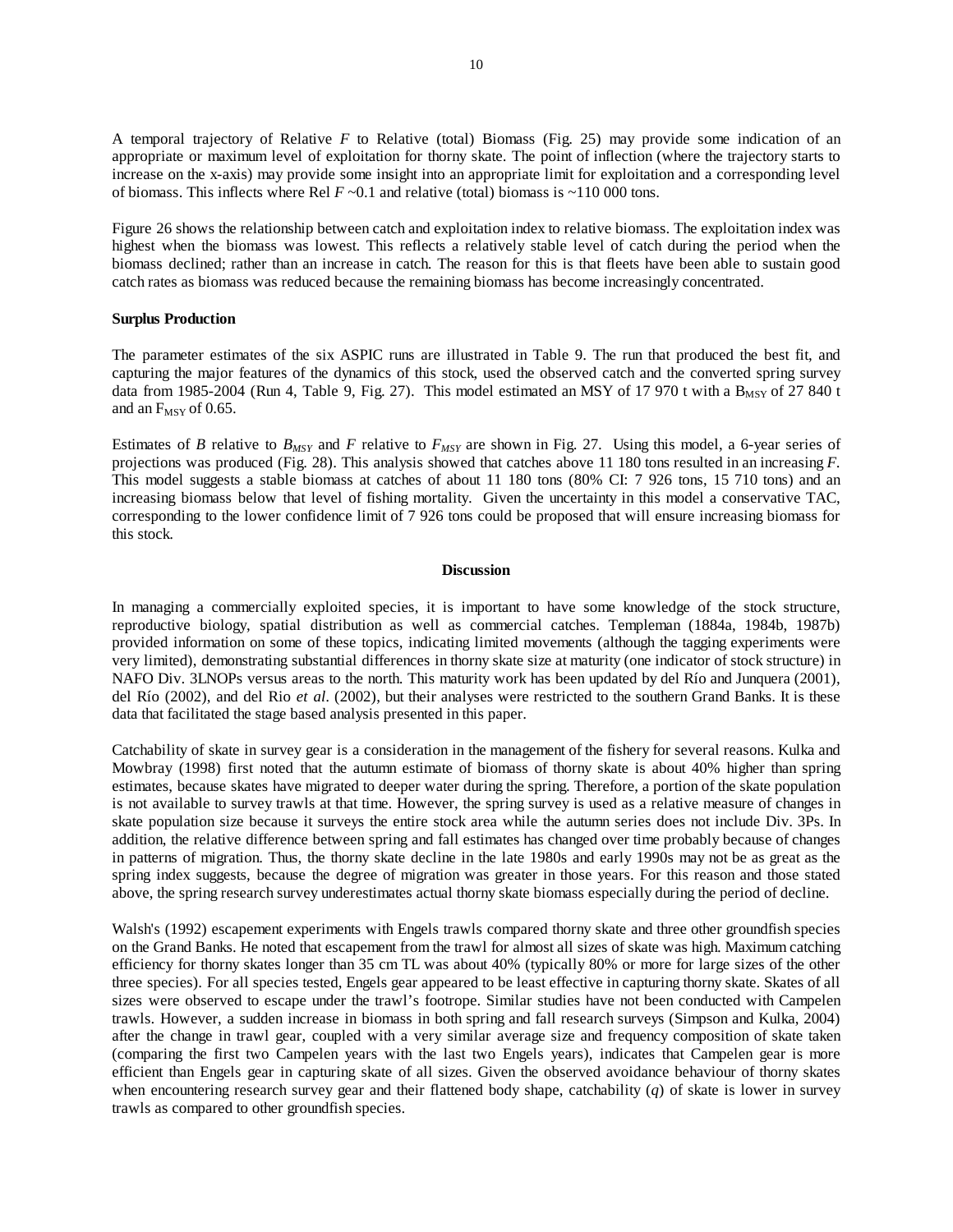A temporal trajectory of Relative *F* to Relative (total) Biomass (Fig. 25) may provide some indication of an appropriate or maximum level of exploitation for thorny skate. The point of inflection (where the trajectory starts to increase on the x-axis) may provide some insight into an appropriate limit for exploitation and a corresponding level of biomass. This inflects where Rel  $F \sim 0.1$  and relative (total) biomass is  $\sim 110\,000$  tons.

Figure 26 shows the relationship between catch and exploitation index to relative biomass. The exploitation index was highest when the biomass was lowest. This reflects a relatively stable level of catch during the period when the biomass declined; rather than an increase in catch. The reason for this is that fleets have been able to sustain good catch rates as biomass was reduced because the remaining biomass has become increasingly concentrated.

#### **Surplus Production**

The parameter estimates of the six ASPIC runs are illustrated in Table 9. The run that produced the best fit, and capturing the major features of the dynamics of this stock, used the observed catch and the converted spring survey data from 1985-2004 (Run 4, Table 9, Fig. 27). This model estimated an MSY of 17 970 t with a  $B_{MSY}$  of 27 840 t and an  $F_{MSY}$  of 0.65.

Estimates of *B* relative to *BMSY* and *F* relative to *FMSY* are shown in Fig. 27. Using this model, a 6-year series of projections was produced (Fig. 28). This analysis showed that catches above 11 180 tons resulted in an increasing *F*. This model suggests a stable biomass at catches of about 11 180 tons (80% CI: 7 926 tons, 15 710 tons) and an increasing biomass below that level of fishing mortality. Given the uncertainty in this model a conservative TAC, corresponding to the lower confidence limit of 7 926 tons could be proposed that will ensure increasing biomass for this stock.

#### **Discussion**

In managing a commercially exploited species, it is important to have some knowledge of the stock structure, reproductive biology, spatial distribution as well as commercial catches. Templeman (1884a, 1984b, 1987b) provided information on some of these topics, indicating limited movements (although the tagging experiments were very limited), demonstrating substantial differences in thorny skate size at maturity (one indicator of stock structure) in NAFO Div. 3LNOPs versus areas to the north. This maturity work has been updated by del Río and Junquera (2001), del Río (2002), and del Rio *et al.* (2002), but their analyses were restricted to the southern Grand Banks. It is these data that facilitated the stage based analysis presented in this paper.

Catchability of skate in survey gear is a consideration in the management of the fishery for several reasons. Kulka and Mowbray (1998) first noted that the autumn estimate of biomass of thorny skate is about 40% higher than spring estimates, because skates have migrated to deeper water during the spring. Therefore, a portion of the skate population is not available to survey trawls at that time. However, the spring survey is used as a relative measure of changes in skate population size because it surveys the entire stock area while the autumn series does not include Div. 3Ps. In addition, the relative difference between spring and fall estimates has changed over time probably because of changes in patterns of migration. Thus, the thorny skate decline in the late 1980s and early 1990s may not be as great as the spring index suggests, because the degree of migration was greater in those years. For this reason and those stated above, the spring research survey underestimates actual thorny skate biomass especially during the period of decline.

Walsh's (1992) escapement experiments with Engels trawls compared thorny skate and three other groundfish species on the Grand Banks. He noted that escapement from the trawl for almost all sizes of skate was high. Maximum catching efficiency for thorny skates longer than 35 cm TL was about 40% (typically 80% or more for large sizes of the other three species). For all species tested, Engels gear appeared to be least effective in capturing thorny skate. Skates of all sizes were observed to escape under the trawl's footrope. Similar studies have not been conducted with Campelen trawls. However, a sudden increase in biomass in both spring and fall research surveys (Simpson and Kulka, 2004) after the change in trawl gear, coupled with a very similar average size and frequency composition of skate taken (comparing the first two Campelen years with the last two Engels years), indicates that Campelen gear is more efficient than Engels gear in capturing skate of all sizes. Given the observed avoidance behaviour of thorny skates when encountering research survey gear and their flattened body shape, catchability (*q*) of skate is lower in survey trawls as compared to other groundfish species.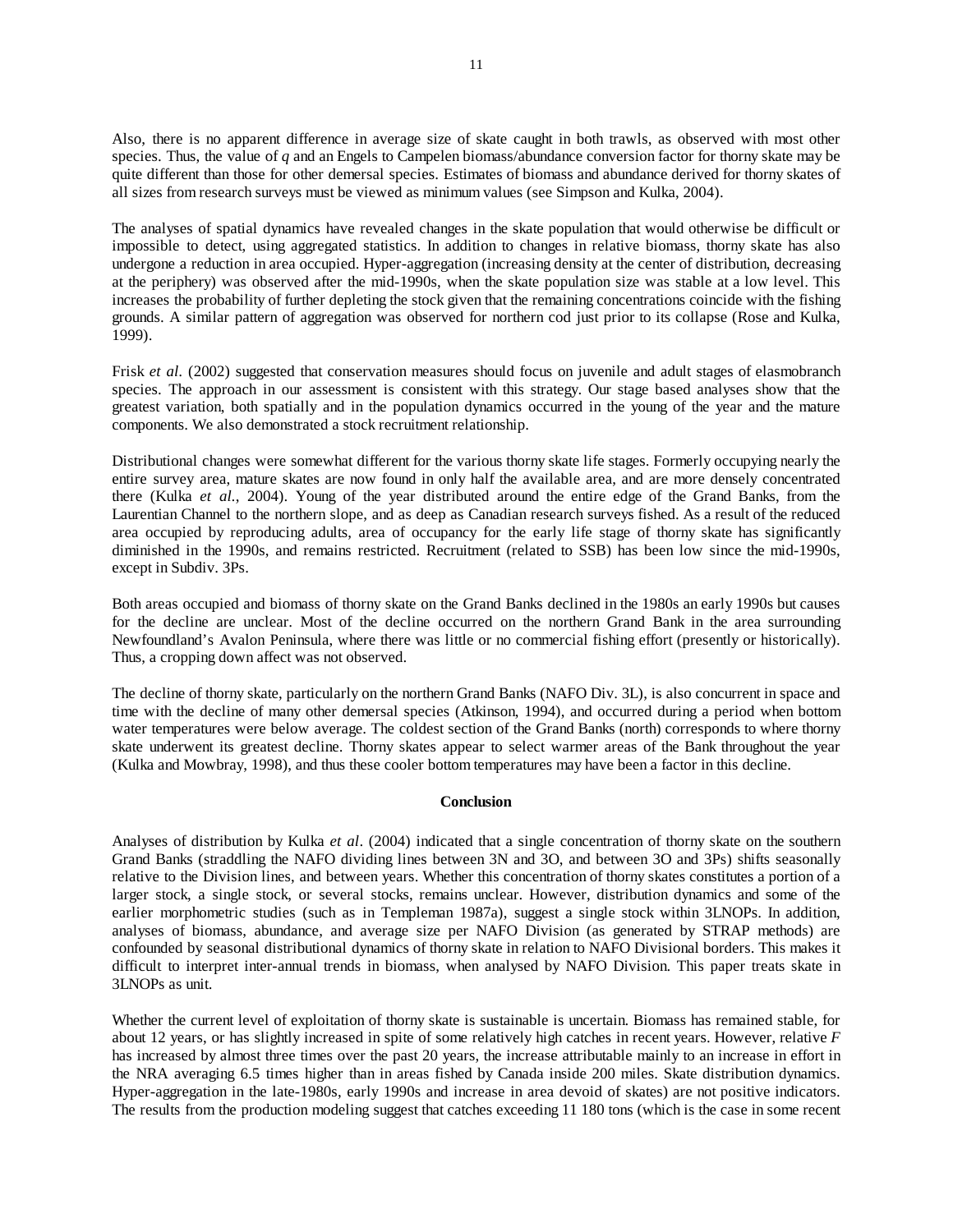Also, there is no apparent difference in average size of skate caught in both trawls, as observed with most other species. Thus, the value of *q* and an Engels to Campelen biomass/abundance conversion factor for thorny skate may be quite different than those for other demersal species. Estimates of biomass and abundance derived for thorny skates of all sizes from research surveys must be viewed as minimum values (see Simpson and Kulka, 2004).

The analyses of spatial dynamics have revealed changes in the skate population that would otherwise be difficult or impossible to detect, using aggregated statistics. In addition to changes in relative biomass, thorny skate has also undergone a reduction in area occupied. Hyper-aggregation (increasing density at the center of distribution, decreasing at the periphery) was observed after the mid-1990s, when the skate population size was stable at a low level. This increases the probability of further depleting the stock given that the remaining concentrations coincide with the fishing grounds. A similar pattern of aggregation was observed for northern cod just prior to its collapse (Rose and Kulka, 1999).

Frisk *et al.* (2002) suggested that conservation measures should focus on juvenile and adult stages of elasmobranch species. The approach in our assessment is consistent with this strategy. Our stage based analyses show that the greatest variation, both spatially and in the population dynamics occurred in the young of the year and the mature components. We also demonstrated a stock recruitment relationship.

Distributional changes were somewhat different for the various thorny skate life stages. Formerly occupying nearly the entire survey area, mature skates are now found in only half the available area, and are more densely concentrated there (Kulka *et al.*, 2004). Young of the year distributed around the entire edge of the Grand Banks, from the Laurentian Channel to the northern slope, and as deep as Canadian research surveys fished. As a result of the reduced area occupied by reproducing adults, area of occupancy for the early life stage of thorny skate has significantly diminished in the 1990s, and remains restricted. Recruitment (related to SSB) has been low since the mid-1990s, except in Subdiv. 3Ps.

Both areas occupied and biomass of thorny skate on the Grand Banks declined in the 1980s an early 1990s but causes for the decline are unclear. Most of the decline occurred on the northern Grand Bank in the area surrounding Newfoundland's Avalon Peninsula, where there was little or no commercial fishing effort (presently or historically). Thus, a cropping down affect was not observed.

The decline of thorny skate, particularly on the northern Grand Banks (NAFO Div. 3L), is also concurrent in space and time with the decline of many other demersal species (Atkinson, 1994), and occurred during a period when bottom water temperatures were below average. The coldest section of the Grand Banks (north) corresponds to where thorny skate underwent its greatest decline. Thorny skates appear to select warmer areas of the Bank throughout the year (Kulka and Mowbray, 1998), and thus these cooler bottom temperatures may have been a factor in this decline.

### **Conclusion**

Analyses of distribution by Kulka *et al*. (2004) indicated that a single concentration of thorny skate on the southern Grand Banks (straddling the NAFO dividing lines between 3N and 3O, and between 3O and 3Ps) shifts seasonally relative to the Division lines, and between years. Whether this concentration of thorny skates constitutes a portion of a larger stock, a single stock, or several stocks, remains unclear. However, distribution dynamics and some of the earlier morphometric studies (such as in Templeman 1987a), suggest a single stock within 3LNOPs. In addition, analyses of biomass, abundance, and average size per NAFO Division (as generated by STRAP methods) are confounded by seasonal distributional dynamics of thorny skate in relation to NAFO Divisional borders. This makes it difficult to interpret inter-annual trends in biomass, when analysed by NAFO Division. This paper treats skate in 3LNOPs as unit.

Whether the current level of exploitation of thorny skate is sustainable is uncertain. Biomass has remained stable, for about 12 years, or has slightly increased in spite of some relatively high catches in recent years. However, relative *F* has increased by almost three times over the past 20 years, the increase attributable mainly to an increase in effort in the NRA averaging 6.5 times higher than in areas fished by Canada inside 200 miles. Skate distribution dynamics. Hyper-aggregation in the late-1980s, early 1990s and increase in area devoid of skates) are not positive indicators. The results from the production modeling suggest that catches exceeding 11 180 tons (which is the case in some recent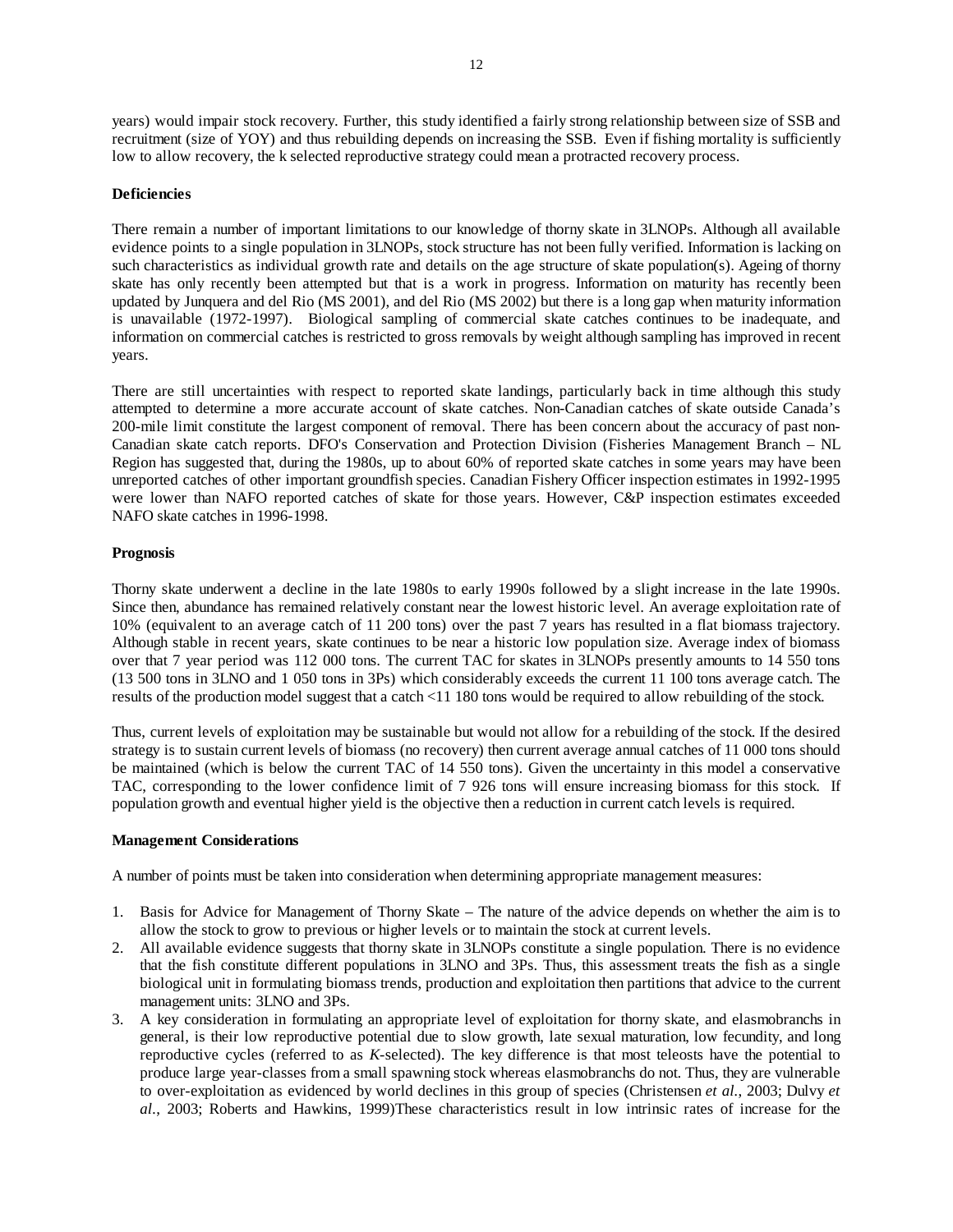years) would impair stock recovery. Further, this study identified a fairly strong relationship between size of SSB and recruitment (size of YOY) and thus rebuilding depends on increasing the SSB. Even if fishing mortality is sufficiently low to allow recovery, the k selected reproductive strategy could mean a protracted recovery process.

### **Deficiencies**

There remain a number of important limitations to our knowledge of thorny skate in 3LNOPs. Although all available evidence points to a single population in 3LNOPs, stock structure has not been fully verified. Information is lacking on such characteristics as individual growth rate and details on the age structure of skate population(s). Ageing of thorny skate has only recently been attempted but that is a work in progress. Information on maturity has recently been updated by Junquera and del Rio (MS 2001), and del Rio (MS 2002) but there is a long gap when maturity information is unavailable (1972-1997). Biological sampling of commercial skate catches continues to be inadequate, and information on commercial catches is restricted to gross removals by weight although sampling has improved in recent years.

There are still uncertainties with respect to reported skate landings, particularly back in time although this study attempted to determine a more accurate account of skate catches. Non-Canadian catches of skate outside Canada's 200-mile limit constitute the largest component of removal. There has been concern about the accuracy of past non-Canadian skate catch reports. DFO's Conservation and Protection Division (Fisheries Management Branch – NL Region has suggested that, during the 1980s, up to about 60% of reported skate catches in some years may have been unreported catches of other important groundfish species. Canadian Fishery Officer inspection estimates in 1992-1995 were lower than NAFO reported catches of skate for those years. However, C&P inspection estimates exceeded NAFO skate catches in 1996-1998.

# **Prognosis**

Thorny skate underwent a decline in the late 1980s to early 1990s followed by a slight increase in the late 1990s. Since then, abundance has remained relatively constant near the lowest historic level. An average exploitation rate of 10% (equivalent to an average catch of 11 200 tons) over the past 7 years has resulted in a flat biomass trajectory. Although stable in recent years, skate continues to be near a historic low population size. Average index of biomass over that 7 year period was 112 000 tons. The current TAC for skates in 3LNOPs presently amounts to 14 550 tons (13 500 tons in 3LNO and 1 050 tons in 3Ps) which considerably exceeds the current 11 100 tons average catch. The results of the production model suggest that a catch <11 180 tons would be required to allow rebuilding of the stock.

Thus, current levels of exploitation may be sustainable but would not allow for a rebuilding of the stock. If the desired strategy is to sustain current levels of biomass (no recovery) then current average annual catches of 11 000 tons should be maintained (which is below the current TAC of 14 550 tons). Given the uncertainty in this model a conservative TAC, corresponding to the lower confidence limit of 7 926 tons will ensure increasing biomass for this stock. If population growth and eventual higher yield is the objective then a reduction in current catch levels is required.

### **Management Considerations**

A number of points must be taken into consideration when determining appropriate management measures:

- 1. Basis for Advice for Management of Thorny Skate The nature of the advice depends on whether the aim is to allow the stock to grow to previous or higher levels or to maintain the stock at current levels.
- 2. All available evidence suggests that thorny skate in 3LNOPs constitute a single population. There is no evidence that the fish constitute different populations in 3LNO and 3Ps. Thus, this assessment treats the fish as a single biological unit in formulating biomass trends, production and exploitation then partitions that advice to the current management units: 3LNO and 3Ps.
- 3. A key consideration in formulating an appropriate level of exploitation for thorny skate, and elasmobranchs in general, is their low reproductive potential due to slow growth, late sexual maturation, low fecundity, and long reproductive cycles (referred to as *K*-selected). The key difference is that most teleosts have the potential to produce large year-classes from a small spawning stock whereas elasmobranchs do not. Thus, they are vulnerable to over-exploitation as evidenced by world declines in this group of species (Christensen *et al.*, 2003; Dulvy *et al.*, 2003; Roberts and Hawkins, 1999)These characteristics result in low intrinsic rates of increase for the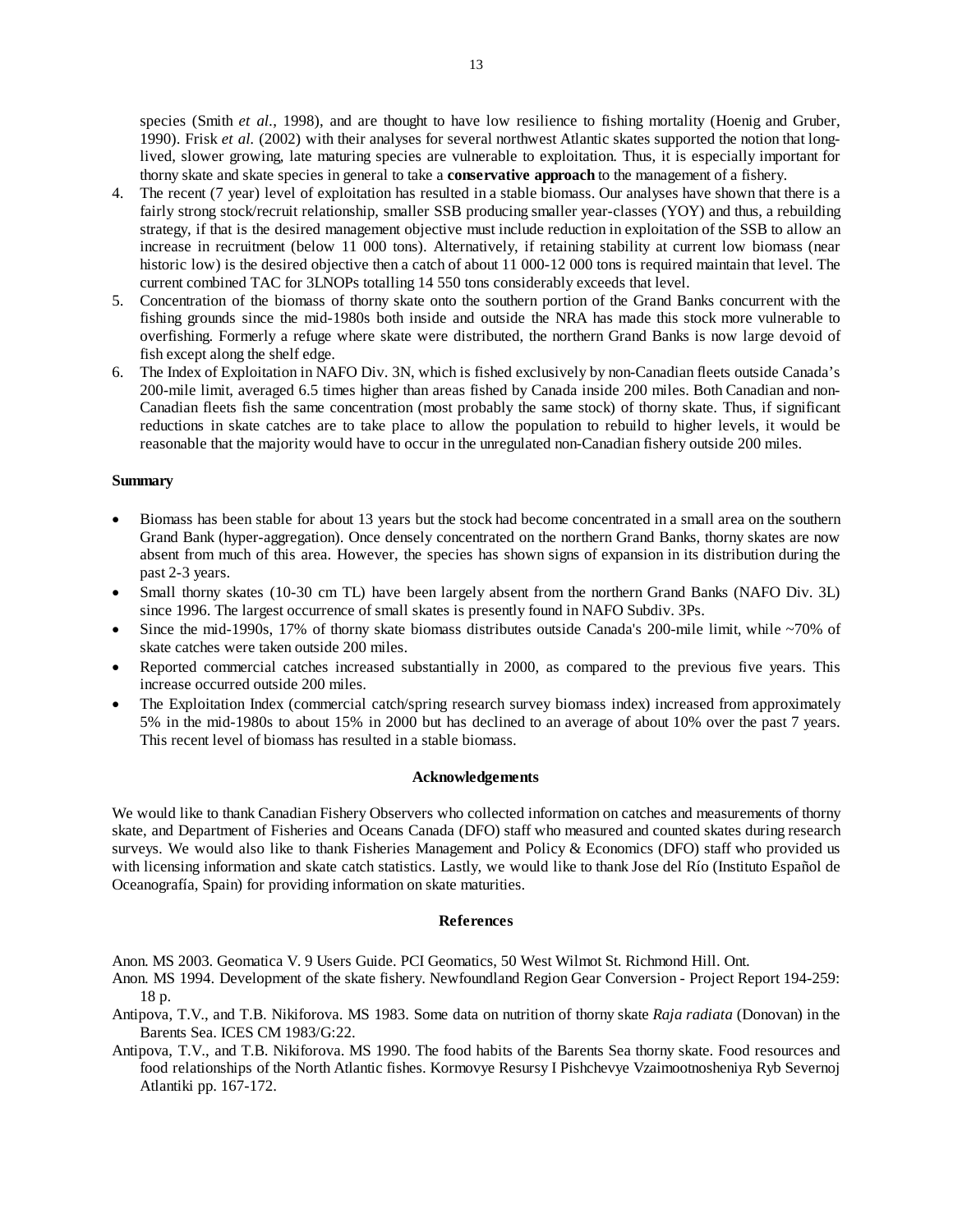species (Smith *et al.*, 1998), and are thought to have low resilience to fishing mortality (Hoenig and Gruber, 1990). Frisk *et al.* (2002) with their analyses for several northwest Atlantic skates supported the notion that longlived, slower growing, late maturing species are vulnerable to exploitation. Thus, it is especially important for thorny skate and skate species in general to take a **conservative approach** to the management of a fishery.

- 4. The recent (7 year) level of exploitation has resulted in a stable biomass. Our analyses have shown that there is a fairly strong stock/recruit relationship, smaller SSB producing smaller year-classes (YOY) and thus, a rebuilding strategy, if that is the desired management objective must include reduction in exploitation of the SSB to allow an increase in recruitment (below 11 000 tons). Alternatively, if retaining stability at current low biomass (near historic low) is the desired objective then a catch of about 11 000-12 000 tons is required maintain that level. The current combined TAC for 3LNOPs totalling 14 550 tons considerably exceeds that level.
- 5. Concentration of the biomass of thorny skate onto the southern portion of the Grand Banks concurrent with the fishing grounds since the mid-1980s both inside and outside the NRA has made this stock more vulnerable to overfishing. Formerly a refuge where skate were distributed, the northern Grand Banks is now large devoid of fish except along the shelf edge.
- 6. The Index of Exploitation in NAFO Div. 3N, which is fished exclusively by non-Canadian fleets outside Canada's 200-mile limit, averaged 6.5 times higher than areas fished by Canada inside 200 miles. Both Canadian and non-Canadian fleets fish the same concentration (most probably the same stock) of thorny skate. Thus, if significant reductions in skate catches are to take place to allow the population to rebuild to higher levels, it would be reasonable that the majority would have to occur in the unregulated non-Canadian fishery outside 200 miles.

#### **Summary**

- Biomass has been stable for about 13 years but the stock had become concentrated in a small area on the southern Grand Bank (hyper-aggregation). Once densely concentrated on the northern Grand Banks, thorny skates are now absent from much of this area. However, the species has shown signs of expansion in its distribution during the past 2-3 years.
- Small thorny skates (10-30 cm TL) have been largely absent from the northern Grand Banks (NAFO Div. 3L) since 1996. The largest occurrence of small skates is presently found in NAFO Subdiv. 3Ps.
- Since the mid-1990s, 17% of thorny skate biomass distributes outside Canada's 200-mile limit, while  $\sim$ 70% of skate catches were taken outside 200 miles.
- Reported commercial catches increased substantially in 2000, as compared to the previous five years. This increase occurred outside 200 miles.
- The Exploitation Index (commercial catch/spring research survey biomass index) increased from approximately 5% in the mid-1980s to about 15% in 2000 but has declined to an average of about 10% over the past 7 years. This recent level of biomass has resulted in a stable biomass.

### **Acknowledgements**

We would like to thank Canadian Fishery Observers who collected information on catches and measurements of thorny skate, and Department of Fisheries and Oceans Canada (DFO) staff who measured and counted skates during research surveys. We would also like to thank Fisheries Management and Policy & Economics (DFO) staff who provided us with licensing information and skate catch statistics. Lastly, we would like to thank Jose del Río (Instituto Español de Oceanografía, Spain) for providing information on skate maturities.

#### **References**

Anon. MS 2003. Geomatica V. 9 Users Guide. PCI Geomatics, 50 West Wilmot St. Richmond Hill. Ont.

- Anon. MS 1994. Development of the skate fishery. Newfoundland Region Gear Conversion Project Report 194-259: 18 p.
- Antipova, T.V., and T.B. Nikiforova. MS 1983. Some data on nutrition of thorny skate *Raja radiata* (Donovan) in the Barents Sea. ICES CM 1983/G:22.
- Antipova, T.V., and T.B. Nikiforova. MS 1990. The food habits of the Barents Sea thorny skate. Food resources and food relationships of the North Atlantic fishes. Kormovye Resursy I Pishchevye Vzaimootnosheniya Ryb Severnoj Atlantiki pp. 167-172.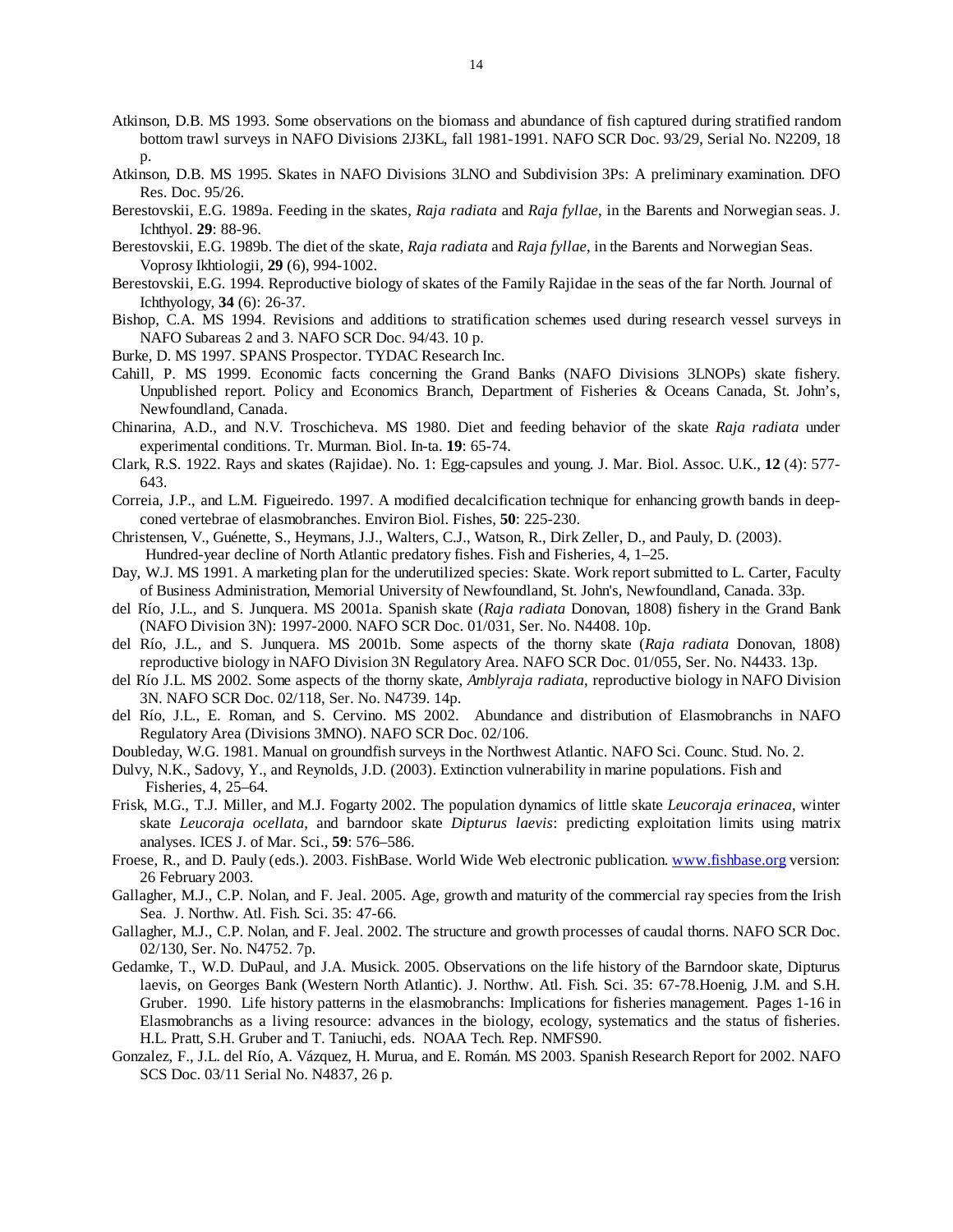- Atkinson, D.B. MS 1993. Some observations on the biomass and abundance of fish captured during stratified random bottom trawl surveys in NAFO Divisions 2J3KL, fall 1981-1991. NAFO SCR Doc. 93/29, Serial No. N2209, 18 p.
- Atkinson, D.B. MS 1995. Skates in NAFO Divisions 3LNO and Subdivision 3Ps: A preliminary examination. DFO Res. Doc. 95/26.
- Berestovskii, E.G. 1989a. Feeding in the skates, *Raja radiata* and *Raja fyllae*, in the Barents and Norwegian seas. J. Ichthyol. **29**: 88-96.
- Berestovskii, E.G. 1989b. The diet of the skate, *Raja radiata* and *Raja fyllae*, in the Barents and Norwegian Seas. Voprosy Ikhtiologii, **29** (6), 994-1002.
- Berestovskii, E.G. 1994. Reproductive biology of skates of the Family Rajidae in the seas of the far North. Journal of Ichthyology, **34** (6): 26-37.
- Bishop, C.A. MS 1994. Revisions and additions to stratification schemes used during research vessel surveys in NAFO Subareas 2 and 3. NAFO SCR Doc. 94/43. 10 p.
- Burke, D. MS 1997. SPANS Prospector. TYDAC Research Inc.
- Cahill, P. MS 1999. Economic facts concerning the Grand Banks (NAFO Divisions 3LNOPs) skate fishery. Unpublished report. Policy and Economics Branch, Department of Fisheries & Oceans Canada, St. John's, Newfoundland, Canada.
- Chinarina, A.D., and N.V. Troschicheva. MS 1980. Diet and feeding behavior of the skate *Raja radiata* under experimental conditions. Tr. Murman. Biol. In-ta. **19**: 65-74.
- Clark, R.S. 1922. Rays and skates (Rajidae). No. 1: Egg-capsules and young. J. Mar. Biol. Assoc. U.K., **12** (4): 577- 643.
- Correia, J.P., and L.M. Figueiredo. 1997. A modified decalcification technique for enhancing growth bands in deepconed vertebrae of elasmobranches. Environ Biol. Fishes, **50**: 225-230.
- Christensen, V., Guénette, S., Heymans, J.J., Walters, C.J., Watson, R., Dirk Zeller, D., and Pauly, D. (2003). Hundred-year decline of North Atlantic predatory fishes. Fish and Fisheries, 4, 1–25.
- Day, W.J. MS 1991. A marketing plan for the underutilized species: Skate. Work report submitted to L. Carter, Faculty of Business Administration, Memorial University of Newfoundland, St. John's, Newfoundland, Canada. 33p.
- del Río, J.L., and S. Junquera. MS 2001a. Spanish skate (*Raja radiata* Donovan, 1808) fishery in the Grand Bank (NAFO Division 3N): 1997-2000. NAFO SCR Doc. 01/031, Ser. No. N4408. 10p.
- del Río, J.L., and S. Junquera. MS 2001b. Some aspects of the thorny skate (*Raja radiata* Donovan, 1808) reproductive biology in NAFO Division 3N Regulatory Area. NAFO SCR Doc. 01/055, Ser. No. N4433. 13p.
- del Río J.L. MS 2002. Some aspects of the thorny skate, *Amblyraja radiata*, reproductive biology in NAFO Division 3N. NAFO SCR Doc. 02/118, Ser. No. N4739. 14p.
- del Río, J.L., E. Roman, and S. Cervino. MS 2002. Abundance and distribution of Elasmobranchs in NAFO Regulatory Area (Divisions 3MNO). NAFO SCR Doc. 02/106.
- Doubleday, W.G. 1981. Manual on groundfish surveys in the Northwest Atlantic. NAFO Sci. Counc. Stud. No. 2.
- Dulvy, N.K., Sadovy, Y., and Reynolds, J.D. (2003). Extinction vulnerability in marine populations. Fish and Fisheries, 4, 25–64.
- Frisk, M.G., T.J. Miller, and M.J. Fogarty 2002. The population dynamics of little skate *Leucoraja erinacea*, winter skate *Leucoraja ocellata*, and barndoor skate *Dipturus laevis*: predicting exploitation limits using matrix analyses. ICES J. of Mar. Sci., **59**: 576–586.
- Froese, R., and D. Pauly (eds.). 2003. FishBase. World Wide Web electronic publication. www.fishbase.org version: 26 February 2003.
- Gallagher, M.J., C.P. Nolan, and F. Jeal. 2005. Age, growth and maturity of the commercial ray species from the Irish Sea. J. Northw. Atl. Fish. Sci. 35: 47-66.
- Gallagher, M.J., C.P. Nolan, and F. Jeal. 2002. The structure and growth processes of caudal thorns. NAFO SCR Doc. 02/130, Ser. No. N4752. 7p.
- Gedamke, T., W.D. DuPaul, and J.A. Musick. 2005. Observations on the life history of the Barndoor skate, Dipturus laevis, on Georges Bank (Western North Atlantic). J. Northw. Atl. Fish. Sci. 35: 67-78.Hoenig, J.M. and S.H. Gruber. 1990. Life history patterns in the elasmobranchs: Implications for fisheries management. Pages 1-16 in Elasmobranchs as a living resource: advances in the biology, ecology, systematics and the status of fisheries. H.L. Pratt, S.H. Gruber and T. Taniuchi, eds. NOAA Tech. Rep. NMFS90.
- Gonzalez, F., J.L. del Río, A. Vázquez, H. Murua, and E. Román. MS 2003. Spanish Research Report for 2002. NAFO SCS Doc. 03/11 Serial No. N4837, 26 p.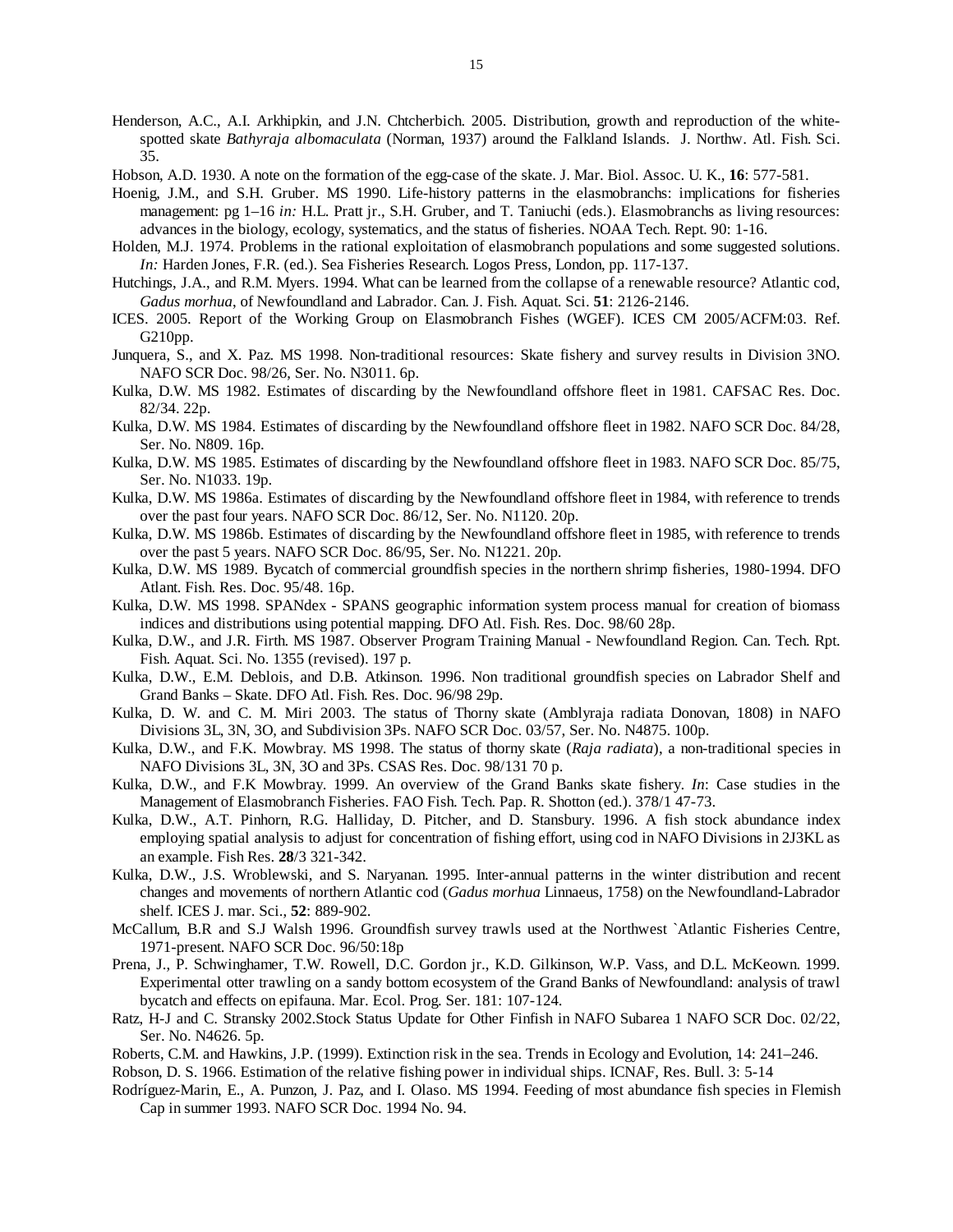- Henderson, A.C., A.I. Arkhipkin, and J.N. Chtcherbich. 2005. Distribution, growth and reproduction of the whitespotted skate *Bathyraja albomaculata* (Norman, 1937) around the Falkland Islands. J. Northw. Atl. Fish. Sci. 35.
- Hobson, A.D. 1930. A note on the formation of the egg-case of the skate. J. Mar. Biol. Assoc. U. K., **16**: 577-581.
- Hoenig, J.M., and S.H. Gruber. MS 1990. Life-history patterns in the elasmobranchs: implications for fisheries management: pg 1–16 *in:* H.L. Pratt jr., S.H. Gruber, and T. Taniuchi (eds.). Elasmobranchs as living resources: advances in the biology, ecology, systematics, and the status of fisheries. NOAA Tech. Rept. 90: 1-16.
- Holden, M.J. 1974. Problems in the rational exploitation of elasmobranch populations and some suggested solutions. *In:* Harden Jones, F.R. (ed.). Sea Fisheries Research. Logos Press, London, pp. 117-137.
- Hutchings, J.A., and R.M. Myers. 1994. What can be learned from the collapse of a renewable resource? Atlantic cod, *Gadus morhua*, of Newfoundland and Labrador. Can. J. Fish. Aquat. Sci. **51**: 2126-2146.
- ICES. 2005. Report of the Working Group on Elasmobranch Fishes (WGEF). ICES CM 2005/ACFM:03. Ref. G210pp.
- Junquera, S., and X. Paz. MS 1998. Non-traditional resources: Skate fishery and survey results in Division 3NO. NAFO SCR Doc. 98/26, Ser. No. N3011. 6p.
- Kulka, D.W. MS 1982. Estimates of discarding by the Newfoundland offshore fleet in 1981. CAFSAC Res. Doc. 82/34. 22p.
- Kulka, D.W. MS 1984. Estimates of discarding by the Newfoundland offshore fleet in 1982. NAFO SCR Doc. 84/28, Ser. No. N809. 16p.
- Kulka, D.W. MS 1985. Estimates of discarding by the Newfoundland offshore fleet in 1983. NAFO SCR Doc. 85/75, Ser. No. N1033. 19p.
- Kulka, D.W. MS 1986a. Estimates of discarding by the Newfoundland offshore fleet in 1984, with reference to trends over the past four years. NAFO SCR Doc. 86/12, Ser. No. N1120. 20p.
- Kulka, D.W. MS 1986b. Estimates of discarding by the Newfoundland offshore fleet in 1985, with reference to trends over the past 5 years. NAFO SCR Doc. 86/95, Ser. No. N1221. 20p.
- Kulka, D.W. MS 1989. Bycatch of commercial groundfish species in the northern shrimp fisheries, 1980-1994. DFO Atlant. Fish. Res. Doc. 95/48. 16p.
- Kulka, D.W. MS 1998. SPANdex SPANS geographic information system process manual for creation of biomass indices and distributions using potential mapping. DFO Atl. Fish. Res. Doc. 98/60 28p.
- Kulka, D.W., and J.R. Firth. MS 1987. Observer Program Training Manual Newfoundland Region. Can. Tech. Rpt. Fish. Aquat. Sci. No. 1355 (revised). 197 p.
- Kulka, D.W., E.M. Deblois, and D.B. Atkinson. 1996. Non traditional groundfish species on Labrador Shelf and Grand Banks – Skate. DFO Atl. Fish. Res. Doc. 96/98 29p.
- Kulka, D. W. and C. M. Miri 2003. The status of Thorny skate (Amblyraja radiata Donovan, 1808) in NAFO Divisions 3L, 3N, 3O, and Subdivision 3Ps. NAFO SCR Doc. 03/57, Ser. No. N4875. 100p.
- Kulka, D.W., and F.K. Mowbray. MS 1998. The status of thorny skate (*Raja radiata*), a non-traditional species in NAFO Divisions 3L, 3N, 3O and 3Ps. CSAS Res. Doc. 98/131 70 p.
- Kulka, D.W., and F.K Mowbray. 1999. An overview of the Grand Banks skate fishery. *In*: Case studies in the Management of Elasmobranch Fisheries. FAO Fish. Tech. Pap. R. Shotton (ed.). 378/1 47-73.
- Kulka, D.W., A.T. Pinhorn, R.G. Halliday, D. Pitcher, and D. Stansbury. 1996. A fish stock abundance index employing spatial analysis to adjust for concentration of fishing effort, using cod in NAFO Divisions in 2J3KL as an example. Fish Res. **28**/3 321-342.
- Kulka, D.W., J.S. Wroblewski, and S. Naryanan. 1995. Inter-annual patterns in the winter distribution and recent changes and movements of northern Atlantic cod (*Gadus morhua* Linnaeus, 1758) on the Newfoundland-Labrador shelf. ICES J. mar. Sci., **52**: 889-902.
- McCallum, B.R and S.J Walsh 1996. Groundfish survey trawls used at the Northwest `Atlantic Fisheries Centre, 1971-present. NAFO SCR Doc. 96/50:18p
- Prena, J., P. Schwinghamer, T.W. Rowell, D.C. Gordon jr., K.D. Gilkinson, W.P. Vass, and D.L. McKeown. 1999. Experimental otter trawling on a sandy bottom ecosystem of the Grand Banks of Newfoundland: analysis of trawl bycatch and effects on epifauna. Mar. Ecol. Prog. Ser. 181: 107-124.
- Ratz, H-J and C. Stransky 2002.Stock Status Update for Other Finfish in NAFO Subarea 1 NAFO SCR Doc. 02/22, Ser. No. N4626. 5p.
- Roberts, C.M. and Hawkins, J.P. (1999). Extinction risk in the sea. Trends in Ecology and Evolution, 14: 241–246.

Robson, D. S. 1966. Estimation of the relative fishing power in individual ships. ICNAF, Res. Bull. 3: 5-14

Rodríguez-Marin, E., A. Punzon, J. Paz, and I. Olaso. MS 1994. Feeding of most abundance fish species in Flemish Cap in summer 1993. NAFO SCR Doc. 1994 No. 94.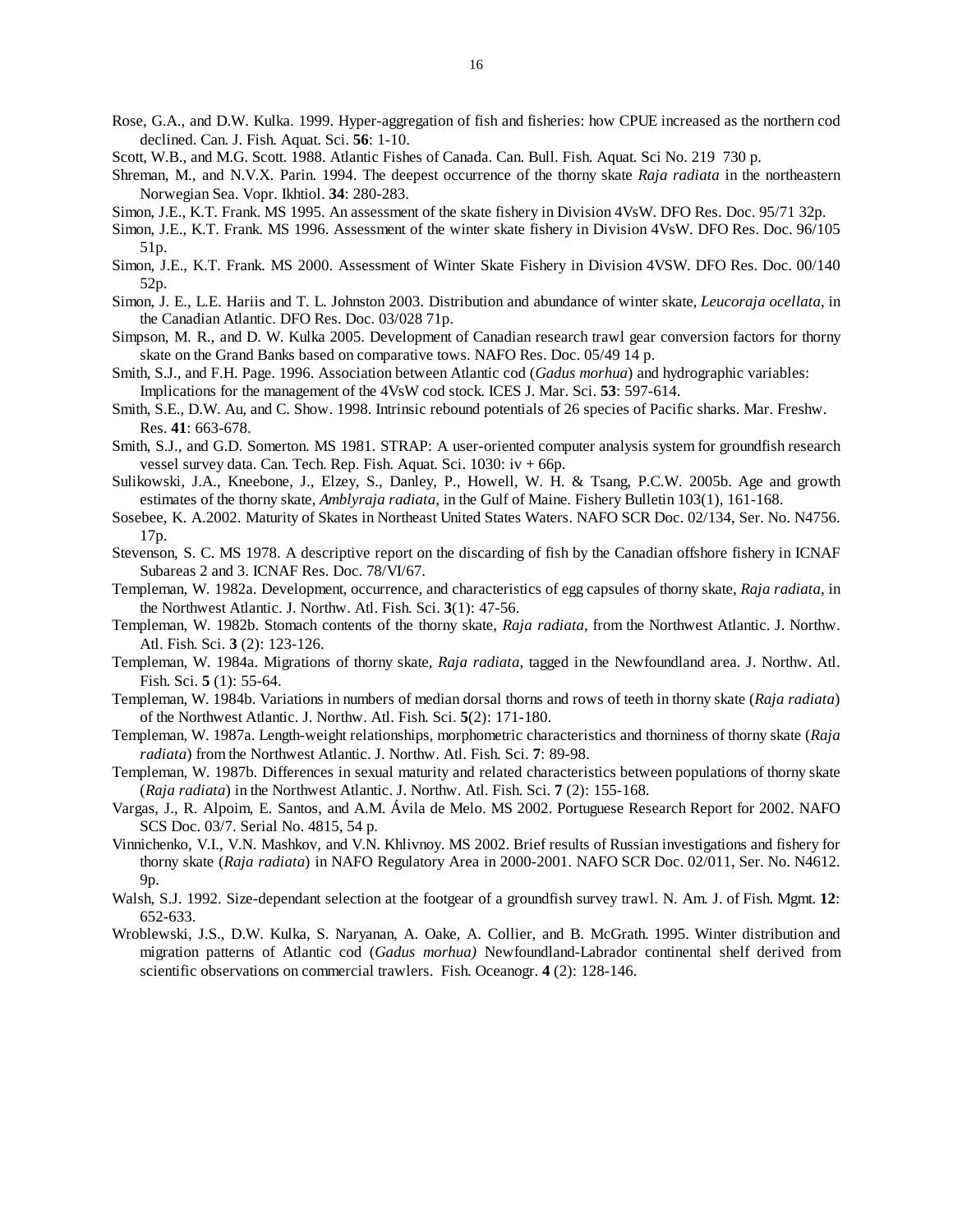- Rose, G.A., and D.W. Kulka. 1999. Hyper-aggregation of fish and fisheries: how CPUE increased as the northern cod declined. Can. J. Fish. Aquat. Sci. **56**: 1-10.
- Scott, W.B., and M.G. Scott. 1988. Atlantic Fishes of Canada. Can. Bull. Fish. Aquat. Sci No. 219 730 p.
- Shreman, M., and N.V.X. Parin. 1994. The deepest occurrence of the thorny skate *Raja radiata* in the northeastern Norwegian Sea. Vopr. Ikhtiol. **34**: 280-283.
- Simon, J.E., K.T. Frank. MS 1995. An assessment of the skate fishery in Division 4VsW. DFO Res. Doc. 95/71 32p.
- Simon, J.E., K.T. Frank. MS 1996. Assessment of the winter skate fishery in Division 4VsW. DFO Res. Doc. 96/105 51p.
- Simon, J.E., K.T. Frank. MS 2000. Assessment of Winter Skate Fishery in Division 4VSW. DFO Res. Doc. 00/140 52p.
- Simon, J. E., L.E. Hariis and T. L. Johnston 2003. Distribution and abundance of winter skate, *Leucoraja ocellata*, in the Canadian Atlantic. DFO Res. Doc. 03/028 71p.
- Simpson, M. R., and D. W. Kulka 2005. Development of Canadian research trawl gear conversion factors for thorny skate on the Grand Banks based on comparative tows. NAFO Res. Doc. 05/49 14 p.
- Smith, S.J., and F.H. Page. 1996. Association between Atlantic cod (*Gadus morhua*) and hydrographic variables: Implications for the management of the 4VsW cod stock. ICES J. Mar. Sci. **53**: 597-614.
- Smith, S.E., D.W. Au, and C. Show. 1998. Intrinsic rebound potentials of 26 species of Pacific sharks. Mar. Freshw. Res. **41**: 663-678.
- Smith, S.J., and G.D. Somerton. MS 1981. STRAP: A user-oriented computer analysis system for groundfish research vessel survey data. Can. Tech. Rep. Fish. Aquat. Sci. 1030: iv + 66p.
- Sulikowski, J.A., Kneebone, J., Elzey, S., Danley, P., Howell, W. H. & Tsang, P.C.W. 2005b. Age and growth estimates of the thorny skate, *Amblyraja radiata*, in the Gulf of Maine. Fishery Bulletin 103(1), 161-168.
- Sosebee, K. A.2002. Maturity of Skates in Northeast United States Waters. NAFO SCR Doc. 02/134, Ser. No. N4756. 17p.
- Stevenson, S. C. MS 1978. A descriptive report on the discarding of fish by the Canadian offshore fishery in ICNAF Subareas 2 and 3. ICNAF Res. Doc. 78/VI/67.
- Templeman, W. 1982a. Development, occurrence, and characteristics of egg capsules of thorny skate, *Raja radiata*, in the Northwest Atlantic. J. Northw. Atl. Fish. Sci. **3**(1): 47-56.
- Templeman, W. 1982b. Stomach contents of the thorny skate, *Raja radiata*, from the Northwest Atlantic. J. Northw. Atl. Fish. Sci. **3** (2): 123-126.
- Templeman, W. 1984a. Migrations of thorny skate, *Raja radiata*, tagged in the Newfoundland area. J. Northw. Atl. Fish. Sci. **5** (1): 55-64.
- Templeman, W. 1984b. Variations in numbers of median dorsal thorns and rows of teeth in thorny skate (*Raja radiata*) of the Northwest Atlantic. J. Northw. Atl. Fish. Sci. **5**(2): 171-180.
- Templeman, W. 1987a. Length-weight relationships, morphometric characteristics and thorniness of thorny skate (*Raja radiata*) from the Northwest Atlantic. J. Northw. Atl. Fish. Sci. **7**: 89-98.
- Templeman, W. 1987b. Differences in sexual maturity and related characteristics between populations of thorny skate (*Raja radiata*) in the Northwest Atlantic. J. Northw. Atl. Fish. Sci. **7** (2): 155-168.
- Vargas, J., R. Alpoim, E. Santos, and A.M. Ávila de Melo. MS 2002. Portuguese Research Report for 2002. NAFO SCS Doc. 03/7. Serial No. 4815, 54 p.
- Vinnichenko, V.I., V.N. Mashkov, and V.N. Khlivnoy. MS 2002. Brief results of Russian investigations and fishery for thorny skate (*Raja radiata*) in NAFO Regulatory Area in 2000-2001. NAFO SCR Doc. 02/011, Ser. No. N4612. 9p.
- Walsh, S.J. 1992. Size-dependant selection at the footgear of a groundfish survey trawl. N. Am. J. of Fish. Mgmt. **12**: 652-633.
- Wroblewski, J.S., D.W. Kulka, S. Naryanan, A. Oake, A. Collier, and B. McGrath. 1995. Winter distribution and migration patterns of Atlantic cod (*Gadus morhua)* Newfoundland-Labrador continental shelf derived from scientific observations on commercial trawlers. Fish. Oceanogr. **4** (2): 128-146.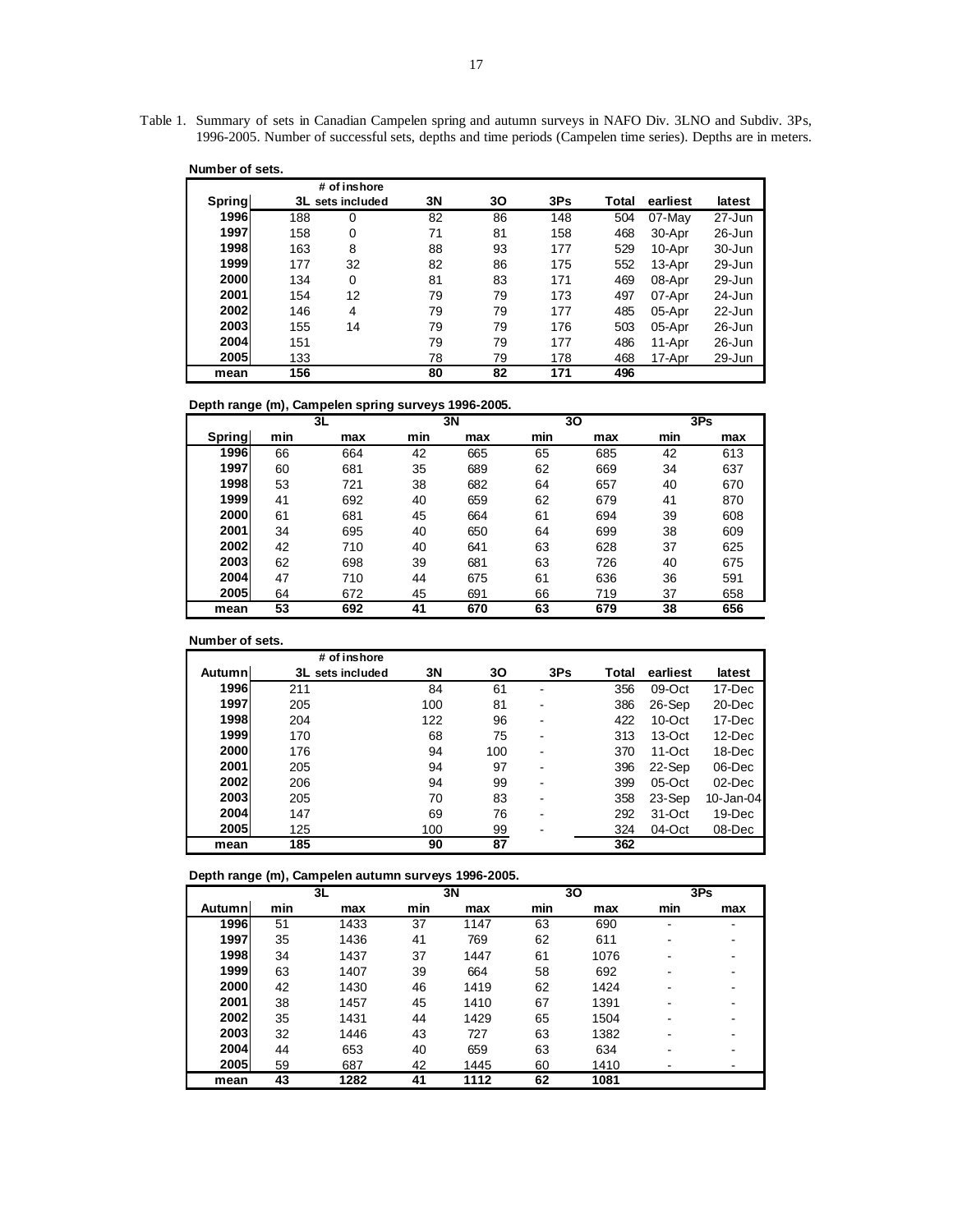Table 1. Summary of sets in Canadian Campelen spring and autumn surveys in NAFO Div. 3LNO and Subdiv. 3Ps, 1996-2005. Number of successful sets, depths and time periods (Campelen time series). Depths are in meters.

| Number of sets. |     |                  |    |    |     |       |          |            |
|-----------------|-----|------------------|----|----|-----|-------|----------|------------|
|                 |     | # of inshore     |    |    |     |       |          |            |
| Spring          |     | 3L sets included | 3N | 30 | 3Ps | Total | earliest | latest     |
| 1996            | 188 | 0                | 82 | 86 | 148 | 504   | 07-May   | $27 - Jun$ |
| 1997            | 158 | 0                | 71 | 81 | 158 | 468   | 30-Apr   | $26$ -Jun  |
| 1998            | 163 | 8                | 88 | 93 | 177 | 529   | 10-Apr   | $30 - Jun$ |
| 1999            | 177 | 32               | 82 | 86 | 175 | 552   | 13-Apr   | $29 - Jun$ |
| 2000            | 134 | 0                | 81 | 83 | 171 | 469   | 08-Apr   | $29 - Jun$ |
| 2001            | 154 | 12               | 79 | 79 | 173 | 497   | 07-Apr   | $24$ -Jun  |
| 2002            | 146 | 4                | 79 | 79 | 177 | 485   | 05-Apr   | $22$ -Jun  |
| 2003            | 155 | 14               | 79 | 79 | 176 | 503   | 05-Apr   | $26$ -Jun  |
| 2004            | 151 |                  | 79 | 79 | 177 | 486   | 11-Apr   | $26$ -Jun  |
| 2005            | 133 |                  | 78 | 79 | 178 | 468   | 17-Apr   | 29-Jun     |
| mean            | 156 |                  | 80 | 82 | 171 | 496   |          |            |

**Depth range (m), Campelen spring surveys 1996-2005.**

|        |     | 3L  |     | 3N  |     | 30  |     | 3Ps |
|--------|-----|-----|-----|-----|-----|-----|-----|-----|
| Spring | min | max | min | max | min | max | min | max |
| 1996   | 66  | 664 | 42  | 665 | 65  | 685 | 42  | 613 |
| 1997   | 60  | 681 | 35  | 689 | 62  | 669 | 34  | 637 |
| 1998   | 53  | 721 | 38  | 682 | 64  | 657 | 40  | 670 |
| 1999   | 41  | 692 | 40  | 659 | 62  | 679 | 41  | 870 |
| 2000   | 61  | 681 | 45  | 664 | 61  | 694 | 39  | 608 |
| 2001   | 34  | 695 | 40  | 650 | 64  | 699 | 38  | 609 |
| 2002   | 42  | 710 | 40  | 641 | 63  | 628 | 37  | 625 |
| 2003   | 62  | 698 | 39  | 681 | 63  | 726 | 40  | 675 |
| 2004   | 47  | 710 | 44  | 675 | 61  | 636 | 36  | 591 |
| 2005   | 64  | 672 | 45  | 691 | 66  | 719 | 37  | 658 |
| mean   | 53  | 692 | 41  | 670 | 63  | 679 | 38  | 656 |

**Number of sets.**

|               | # of inshore        |     |     |     |       |           |           |
|---------------|---------------------|-----|-----|-----|-------|-----------|-----------|
| <b>Autumn</b> | 3L<br>sets included | 3N  | 30  | 3Ps | Total | earliest  | latest    |
| 1996          | 211                 | 84  | 61  |     | 356   | 09-Oct    | 17-Dec    |
| 1997          | 205                 | 100 | 81  |     | 386   | 26-Sep    | 20-Dec    |
| 1998          | 204                 | 122 | 96  |     | 422   | $10$ -Oct | 17-Dec    |
| 1999          | 170                 | 68  | 75  |     | 313   | $13-Oct$  | $12$ -Dec |
| <b>2000</b>   | 176                 | 94  | 100 |     | 370   | $11$ -Oct | 18-Dec    |
| 2001          | 205                 | 94  | 97  |     | 396   | 22-Sep    | 06-Dec    |
| <b>2002</b>   | 206                 | 94  | 99  |     | 399   | 05-Oct    | $02$ -Dec |
| 2003          | 205                 | 70  | 83  | -   | 358   | 23-Sep    | 10-Jan-04 |
| 2004          | 147                 | 69  | 76  |     | 292   | 31-Oct    | $19$ -Dec |
| 2005          | 125                 | 100 | 99  |     | 324   | 04-Oct    | 08-Dec    |
| mean          | 185                 | 90  | 87  |     | 362   |           |           |

**Depth range (m), Campelen autumn surveys 1996-2005.**

|        |     | 3L   |     | 3N   |     | 30   |     | 3Ps |
|--------|-----|------|-----|------|-----|------|-----|-----|
| Autumn | min | max  | min | max  | min | max  | min | max |
| 1996   | 51  | 1433 | 37  | 1147 | 63  | 690  | ۰   |     |
| 1997   | 35  | 1436 | 41  | 769  | 62  | 611  | ۰   |     |
| 1998   | 34  | 1437 | 37  | 1447 | 61  | 1076 | ۰   |     |
| 1999   | 63  | 1407 | 39  | 664  | 58  | 692  |     |     |
| 2000   | 42  | 1430 | 46  | 1419 | 62  | 1424 | ۰   |     |
| 2001   | 38  | 1457 | 45  | 1410 | 67  | 1391 | ۰   |     |
| 2002   | 35  | 1431 | 44  | 1429 | 65  | 1504 |     |     |
| 2003   | 32  | 1446 | 43  | 727  | 63  | 1382 |     |     |
| 2004   | 44  | 653  | 40  | 659  | 63  | 634  | -   |     |
| 2005   | 59  | 687  | 42  | 1445 | 60  | 1410 |     |     |
| mean   | 43  | 1282 | 41  | 1112 | 62  | 1081 |     |     |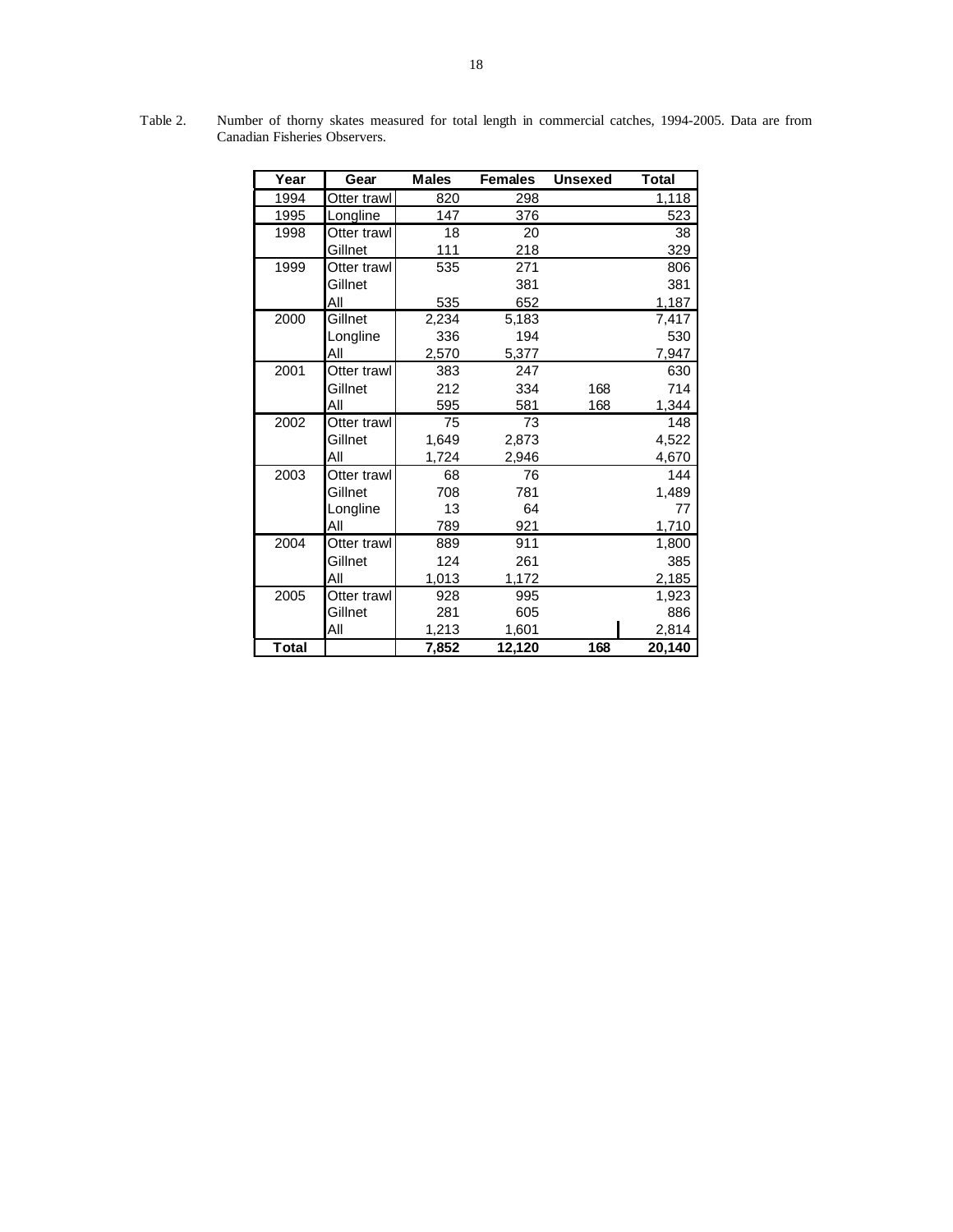| Year         | Gear        | <b>Males</b> | <b>Females</b> | <b>Unsexed</b> | <b>Total</b> |
|--------------|-------------|--------------|----------------|----------------|--------------|
| 1994         | Otter trawl | 820          | 298            |                | 1,118        |
| 1995         | Longline    | 147          | 376            |                | 523          |
| 1998         | Otter trawl | 18           | 20             |                | 38           |
|              | Gillnet     | 111          | 218            |                | 329          |
| 1999         | Otter trawl | 535          | 271            |                | 806          |
|              | Gillnet     |              | 381            |                | 381          |
|              | All         | 535          | 652            |                | 1,187        |
| 2000         | Gillnet     | 2,234        | 5,183          |                | 7,417        |
|              | Longline    | 336          | 194            |                | 530          |
|              | All         | 2,570        | 5,377          |                | 7,947        |
| 2001         | Otter trawl | 383          | 247            |                | 630          |
|              | Gillnet     | 212          | 334            | 168            | 714          |
|              | All         | 595          | 581            | 168            | 1,344        |
| 2002         | Otter trawl | 75           | 73             |                | 148          |
|              | Gillnet     | 1,649        | 2,873          |                | 4,522        |
|              | All         | 1,724        | 2,946          |                | 4,670        |
| 2003         | Otter trawl | 68           | 76             |                | 144          |
|              | Gillnet     | 708          | 781            |                | 1,489        |
|              | Longline    | 13           | 64             |                | 77           |
|              | All         | 789          | 921            |                | 1,710        |
| 2004         | Otter trawl | 889          | 911            |                | 1,800        |
|              | Gillnet     | 124          | 261            |                | 385          |
|              | ΑIΙ         | 1,013        | 1,172          |                | 2,185        |
| 2005         | Otter trawl | 928          | 995            |                | 1,923        |
|              | Gillnet     | 281          | 605            |                | 886          |
|              | All         | 1,213        | 1,601          |                | 2,814        |
| <b>Total</b> |             | 7,852        | 12,120         | 168            | 20,140       |

Table 2. Number of thorny skates measured for total length in commercial catches, 1994-2005. Data are from Canadian Fisheries Observers.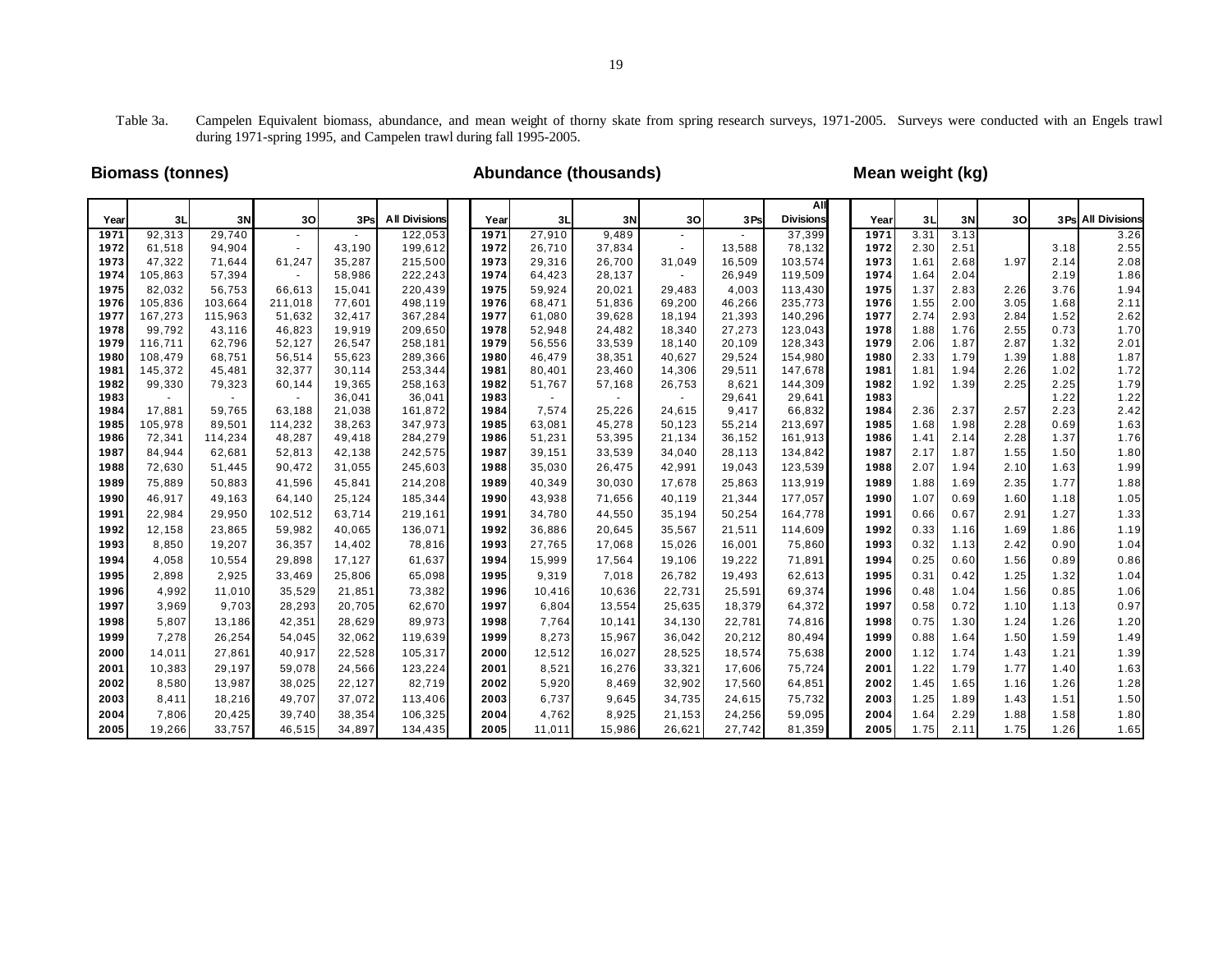Table 3a. Campelen Equivalent biomass, abundance, and mean weight of thorny skate from spring research surveys, 1971-2005. Surveys were conducted with an Engels trawl during 1971-spring 1995, and Campelen trawl during fall 1995-2005.

# **Biomass (tonnes) Abundance (thousands) Mean weight (kg)**

|              |                   |                  |                  |                  |                      |              |                  |                  |                  |                 | All                |              |              |              |      |              |                    |
|--------------|-------------------|------------------|------------------|------------------|----------------------|--------------|------------------|------------------|------------------|-----------------|--------------------|--------------|--------------|--------------|------|--------------|--------------------|
| Year         | 3L                | 3N               | 30               | 3Ps              | <b>All Divisions</b> | Year         | 3L               | 3N               | 30 <sup>2</sup>  | 3Ps             | <b>Divisions</b>   | Year         | 3L           | 3N           | 30   |              | 3 Ps All Divisions |
| 1971         | 92,313            | 29,740           |                  |                  | 122,053              | 1971         | 27,910           | 9,489            |                  |                 | 37,399             | 1971         | 3.31         | 3.13         |      |              | 3.26               |
| 1972         | 61,518            | 94,904           |                  | 43,190           | 199,612              | 1972         | 26,710           | 37,834           | $\sim$           | 13,588          | 78,132             | 1972         | 2.30         | 2.51         |      | 3.18         | 2.55               |
| 1973<br>1974 | 47,322<br>105,863 | 71,644<br>57,394 | 61,247           | 35,287           | 215,500<br>222,243   | 1973<br>1974 | 29,316           | 26,700<br>28,137 | 31,049           | 16,509          | 103,574            | 1973<br>1974 | 1.61<br>1.64 | 2.68<br>2.04 | 1.97 | 2.14<br>2.19 | 2.08<br>1.86       |
| 1975         | 82,032            | 56,753           | $\sim$<br>66,613 | 58,986<br>15,041 | 220,439              | 1975         | 64,423<br>59,924 | 20,021           | $\sim$<br>29,483 | 26,949<br>4,003 | 119,509<br>113,430 | 1975         | 1.37         | 2.83         | 2.26 | 3.76         | 1.94               |
| 1976         | 105,836           | 103,664          | 211,018          | 77,601           | 498,119              | 1976         | 68,471           | 51,836           | 69,200           | 46,266          | 235,773            | 1976         | 1.55         | 2.00         | 3.05 | 1.68         | 2.11               |
| 1977         | 167,273           | 115,963          | 51,632           | 32,417           | 367,284              | 1977         | 61,080           | 39,628           | 18,194           | 21,393          | 140,296            | 1977         | 2.74         | 2.93         | 2.84 | 1.52         | 2.62               |
| 1978         | 99,792            | 43,116           | 46,823           | 19,919           | 209,650              | 1978         | 52,948           | 24,482           | 18,340           | 27,273          | 123,043            | 1978         | 1.88         | 1.76         | 2.55 | 0.73         | 1.70               |
| 1979         | 116,711           | 62,796           | 52,127           | 26,547           | 258,181              | 1979         | 56,556           | 33,539           | 18,140           | 20,109          | 128,343            | 1979         | 2.06         | 1.87         | 2.87 | 1.32         | 2.01               |
| 1980         | 108,479           | 68,751           | 56,514           | 55,623           | 289,366              | 1980         | 46,479           | 38,351           | 40,627           | 29,524          | 154,980            | 1980         | 2.33         | 1.79         | 1.39 | 1.88         | 1.87               |
| 1981         | 145,372           | 45,481           | 32,377           | 30,114           | 253,344              | 1981         | 80,401           | 23,460           | 14,306           | 29,511          | 147,678            | 1981         | 1.81         | 1.94         | 2.26 | 1.02         | 1.72               |
| 1982         | 99,330            | 79,323           | 60,144           | 19,365           | 258,163              | 1982         | 51,767           | 57,168           | 26,753           | 8,621           | 144,309            | 1982         | 1.92         | 1.39         | 2.25 | 2.25         | 1.79               |
| 1983         |                   | $\sim$           |                  | 36,041           | 36,041               | 1983         | $\sim$           | $\sim$           | $\sim$           | 29,641          | 29,641             | 1983         |              |              |      | 1.22         | 1.22               |
| 1984         | 17,881            | 59.765           | 63,188           | 21,038           | 161,872              | 1984         | 7,574            | 25,226           | 24.615           | 9,417           | 66,832             | 1984         | 2.36         | 2.37         | 2.57 | 2.23         | 2.42               |
| 1985         | 105,978           | 89,501           | 114,232          | 38,263           | 347,973              | 1985         | 63,081           | 45,278           | 50,123           | 55,214          | 213,697            | 1985         | 1.68         | 1.98         | 2.28 | 0.69         | 1.63               |
| 1986         | 72,341            | 114,234          | 48,287           | 49,418           | 284,279              | 1986         | 51,231           | 53,395           | 21,134           | 36,152          | 161,913            | 1986         | 1.41         | 2.14         | 2.28 | 1.37         | 1.76               |
| 1987         | 84,944            | 62,681           | 52,813           | 42,138           | 242,575              | 1987         | 39,151           | 33,539           | 34,040           | 28,113          | 134,842            | 1987         | 2.17         | 1.87         | 1.55 | 1.50         | 1.80               |
| 1988         | 72,630            | 51,445           | 90,472           | 31,055           | 245,603              | 1988         | 35,030           | 26,475           | 42,991           | 19,043          | 123,539            | 1988         | 2.07         | 1.94         | 2.10 | 1.63         | 1.99               |
| 1989         | 75,889            | 50,883           | 41,596           | 45,841           | 214,208              | 1989         | 40,349           | 30,030           | 17,678           | 25,863          | 113,919            | 1989         | 1.88         | 1.69         | 2.35 | 1.77         | 1.88               |
| 1990         | 46,917            | 49,163           | 64,140           | 25,124           | 185,344              | 1990         | 43,938           | 71,656           | 40,119           | 21,344          | 177,057            | 1990         | 1.07         | 0.69         | 1.60 | 1.18         | 1.05               |
| 1991         | 22,984            | 29,950           | 102,512          | 63,714           | 219,161              | 1991         | 34,780           | 44,550           | 35,194           | 50,254          | 164,778            | 1991         | 0.66         | 0.67         | 2.91 | 1.27         | 1.33               |
| 1992         | 12,158            | 23,865           | 59,982           | 40,065           | 136,071              | 1992         | 36,886           | 20,645           | 35,567           | 21,511          | 114,609            | 1992         | 0.33         | 1.16         | 1.69 | 1.86         | 1.19               |
| 1993         | 8,850             | 19,207           | 36,357           | 14,402           | 78,816               | 1993         | 27,765           | 17,068           | 15,026           | 16,001          | 75,860             | 1993         | 0.32         | 1.13         | 2.42 | 0.90         | 1.04               |
| 1994         | 4,058             | 10,554           | 29,898           | 17,127           | 61,637               | 1994         | 15,999           | 17,564           | 19,106           | 19,222          | 71,891             | 1994         | 0.25         | 0.60         | 1.56 | 0.89         | 0.86               |
| 1995         | 2,898             | 2,925            | 33,469           | 25,806           | 65,098               | 1995         | 9,319            | 7,018            | 26,782           | 19,493          | 62,613             | 1995         | 0.31         | 0.42         | 1.25 | 1.32         | 1.04               |
| 1996         | 4,992             | 11,010           | 35,529           | 21,851           | 73,382               | 1996         | 10,416           | 10,636           | 22,731           | 25,591          | 69,374             | 1996         | 0.48         | 1.04         | 1.56 | 0.85         | 1.06               |
| 1997         | 3,969             | 9,703            | 28,293           | 20,705           | 62,670               | 1997         | 6,804            | 13,554           | 25,635           | 18,379          | 64,372             | 1997         | 0.58         | 0.72         | 1.10 | 1.13         | 0.97               |
| 1998         | 5,807             | 13,186           | 42,351           | 28,629           | 89,973               | 1998         | 7,764            | 10,141           | 34,130           | 22,781          | 74,816             | 1998         | 0.75         | 1.30         | 1.24 | 1.26         | 1.20               |
| 1999         | 7,278             | 26,254           | 54,045           | 32,062           | 119,639              | 1999         | 8,273            | 15,967           | 36,042           | 20,212          | 80,494             | 1999         | 0.88         | 1.64         | 1.50 | 1.59         | 1.49               |
| 2000         | 14,011            | 27,861           | 40,917           | 22,528           | 105,317              | 2000         | 12,512           | 16,027           | 28,525           | 18,574          | 75,638             | 2000         | 1.12         | 1.74         | 1.43 | 1.21         | 1.39               |
| 2001         | 10,383            | 29,197           | 59,078           | 24,566           | 123,224              | 2001         | 8,521            | 16,276           | 33,321           | 17,606          | 75,724             | 2001         | 1.22         | 1.79         | 1.77 | 1.40         | 1.63               |
| 2002         | 8,580             | 13,987           | 38,025           | 22,127           | 82,719               | 2002         | 5,920            | 8,469            | 32,902           | 17,560          | 64,851             | 2002         | 1.45         | 1.65         | 1.16 | 1.26         | 1.28               |
| 2003         | 8,411             | 18,216           | 49,707           | 37,072           | 113,406              | 2003         | 6,737            | 9,645            | 34,735           | 24,615          | 75,732             | 2003         | 1.25         | 1.89         | 1.43 | 1.51         | 1.50               |
| 2004         | 7,806             | 20,425           | 39,740           | 38,354           | 106,325              | 2004         | 4,762            | 8,925            | 21,153           | 24,256          | 59,095             | 2004         | 1.64         | 2.29         | 1.88 | 1.58         | 1.80               |
| 2005         | 19,266            | 33,757           | 46,515           | 34,897           | 134,435              | 2005         | 11,011           | 15,986           | 26,621           | 27,742          | 81,359             | 2005         | 1.75         | 2.11         | 1.75 | 1.26         | 1.65               |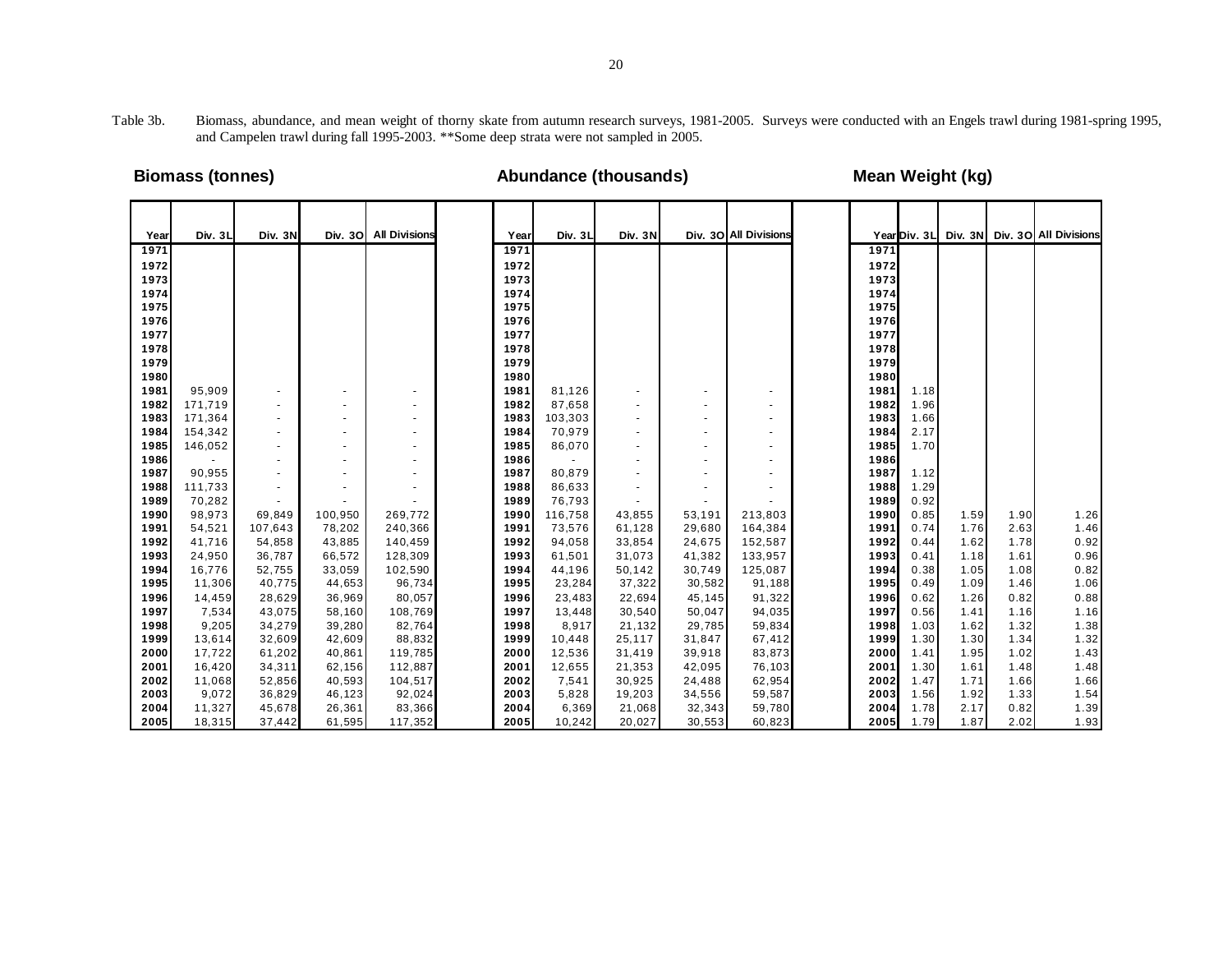Table 3b. Biomass, abundance, and mean weight of thorny skate from autumn research surveys, 1981-2005. Surveys were conducted with an Engels trawl during 1981-spring 1995, and Campelen trawl during fall 1995-2003. \*\*Some deep strata were not sampled in 2005.

# **Biomass (tonnes) Abundance (thousands) Mean Weight (kg)**

| Year         | Div. 3L        | Div. 3N          |                  | Div. 30 All Divisions | Year         | Div. 3L          | Div. 3N          |                          | Div. 30 All Divisions |              |              |              |              | Year Div. 3L Div. 3N Div. 30 All Divisions |
|--------------|----------------|------------------|------------------|-----------------------|--------------|------------------|------------------|--------------------------|-----------------------|--------------|--------------|--------------|--------------|--------------------------------------------|
| 1971         |                |                  |                  |                       | 1971         |                  |                  |                          |                       | 1971         |              |              |              |                                            |
| 1972         |                |                  |                  |                       | 1972         |                  |                  |                          |                       | 1972         |              |              |              |                                            |
| 1973         |                |                  |                  |                       | 1973         |                  |                  |                          |                       | 1973         |              |              |              |                                            |
| 1974         |                |                  |                  |                       | 1974         |                  |                  |                          |                       | 1974         |              |              |              |                                            |
| 1975         |                |                  |                  |                       | 1975         |                  |                  |                          |                       | 1975         |              |              |              |                                            |
| 1976         |                |                  |                  |                       | 1976         |                  |                  |                          |                       | 1976         |              |              |              |                                            |
| 1977         |                |                  |                  |                       | 1977         |                  |                  |                          |                       | 1977         |              |              |              |                                            |
| 1978         |                |                  |                  |                       | 1978         |                  |                  |                          |                       | 1978         |              |              |              |                                            |
| 1979         |                |                  |                  |                       | 1979         |                  |                  |                          |                       | 1979         |              |              |              |                                            |
| 1980         |                |                  |                  |                       | 1980         |                  |                  |                          |                       | 1980         |              |              |              |                                            |
| 1981         | 95,909         |                  |                  |                       | 1981         | 81,126           | ٠                | $\blacksquare$           | ٠                     | 1981         | 1.18         |              |              |                                            |
| 1982         | 171,719        |                  |                  |                       | 1982         | 87,658           | ٠                | $\blacksquare$           |                       | 1982         | 1.96         |              |              |                                            |
| 1983         | 171,364        |                  |                  |                       | 1983         | 103,303          | $\blacksquare$   | $\overline{\phantom{a}}$ | ٠                     | 1983         | 1.66         |              |              |                                            |
| 1984         | 154,342        |                  |                  |                       | 1984         | 70,979           | $\blacksquare$   | $\blacksquare$           | ٠                     | 1984         | 2.17         |              |              |                                            |
| 1985         | 146,052        |                  |                  |                       | 1985         | 86,070           | ٠                | $\overline{\phantom{a}}$ | ۰                     | 1985         | 1.70         |              |              |                                            |
| 1986         |                |                  |                  |                       | 1986         |                  |                  | $\sim$                   | ٠                     | 1986         |              |              |              |                                            |
| 1987         | 90,955         |                  |                  |                       | 1987         | 80,879           |                  | $\blacksquare$           | $\blacksquare$        | 1987         | 1.12         |              |              |                                            |
| 1988         | 111,733        |                  | ٠                |                       | 1988         | 86,633           | ٠                | $\blacksquare$           | ٠                     | 1988         | 1.29         |              |              |                                            |
| 1989         | 70,282         |                  |                  |                       | 1989         | 76,793           |                  |                          |                       | 1989         | 0.92         |              |              |                                            |
| 1990         | 98,973         | 69,849           | 100,950          | 269,772               | 1990         | 116,758          | 43,855           | 53,191                   | 213,803               | 1990         | 0.85         | 1.59         | 1.90         | 1.26                                       |
| 1991         | 54,521         | 107,643          | 78,202           | 240,366               | 1991         | 73,576           | 61,128           | 29,680                   | 164,384               | 1991         | 0.74         | 1.76         | 2.63         | 1.46                                       |
| 1992         | 41,716         | 54,858           | 43,885           | 140,459               | 1992         | 94,058           | 33,854           | 24,675                   | 152,587               | 1992         | 0.44         | 1.62         | 1.78         | 0.92                                       |
| 1993         | 24,950         | 36,787           | 66,572           | 128,309               | 1993         | 61,501           | 31,073           | 41,382                   | 133,957               | 1993         | 0.41         | 1.18         | 1.61         | 0.96                                       |
| 1994         | 16,776         | 52,755           | 33,059           | 102,590               | 1994         | 44,196           | 50,142           | 30,749                   | 125,087               | 1994         | 0.38         | 1.05         | 1.08         | 0.82                                       |
| 1995<br>1996 | 11,306         | 40,775           | 44,653           | 96,734                | 1995<br>1996 | 23,284           | 37,322           | 30,582                   | 91,188                | 1995<br>1996 | 0.49<br>0.62 | 1.09<br>1.26 | 1.46         | 1.06                                       |
| 1997         | 14,459         | 28,629           | 36,969<br>58,160 | 80,057<br>108,769     | 1997         | 23,483<br>13,448 | 22,694           | 45,145<br>50,047         | 91,322                | 1997         | 0.56         | 1.41         | 0.82<br>1.16 | 0.88<br>1.16                               |
| 1998         | 7,534<br>9,205 | 43,075<br>34,279 | 39,280           | 82,764                | 1998         | 8,917            | 30,540<br>21,132 | 29,785                   | 94,035<br>59,834      | 1998         | 1.03         | 1.62         | 1.32         | 1.38                                       |
| 1999         | 13,614         | 32,609           | 42,609           | 88,832                | 1999         | 10,448           | 25,117           | 31,847                   | 67,412                | 1999         | 1.30         | 1.30         | 1.34         | 1.32                                       |
| 2000         | 17,722         | 61,202           | 40,861           | 119,785               | 2000         | 12,536           | 31,419           | 39,918                   | 83,873                | 2000         | 1.41         | 1.95         | 1.02         | 1.43                                       |
| 2001         | 16,420         | 34,311           | 62,156           | 112,887               | 2001         | 12,655           | 21,353           | 42,095                   | 76,103                | 2001         | 1.30         | 1.61         | 1.48         | 1.48                                       |
| 2002         | 11,068         | 52,856           | 40,593           | 104,517               | 2002         | 7,541            | 30,925           | 24,488                   | 62,954                | 2002         | 1.47         | 1.71         | 1.66         | 1.66                                       |
| 2003         | 9,072          | 36,829           | 46,123           | 92,024                | 2003         | 5,828            | 19,203           | 34,556                   | 59,587                | 2003         | 1.56         | 1.92         | 1.33         | 1.54                                       |
| 2004         | 11,327         | 45,678           | 26,361           | 83,366                | 2004         | 6,369            | 21,068           | 32,343                   | 59,780                | 2004         | 1.78         | 2.17         | 0.82         | 1.39                                       |
| 2005         | 18,315         | 37.442           | 61,595           | 117,352               | 2005         | 10,242           | 20,027           | 30,553                   | 60,823                | 2005         | 1.79         | 1.87         | 2.02         | 1.93                                       |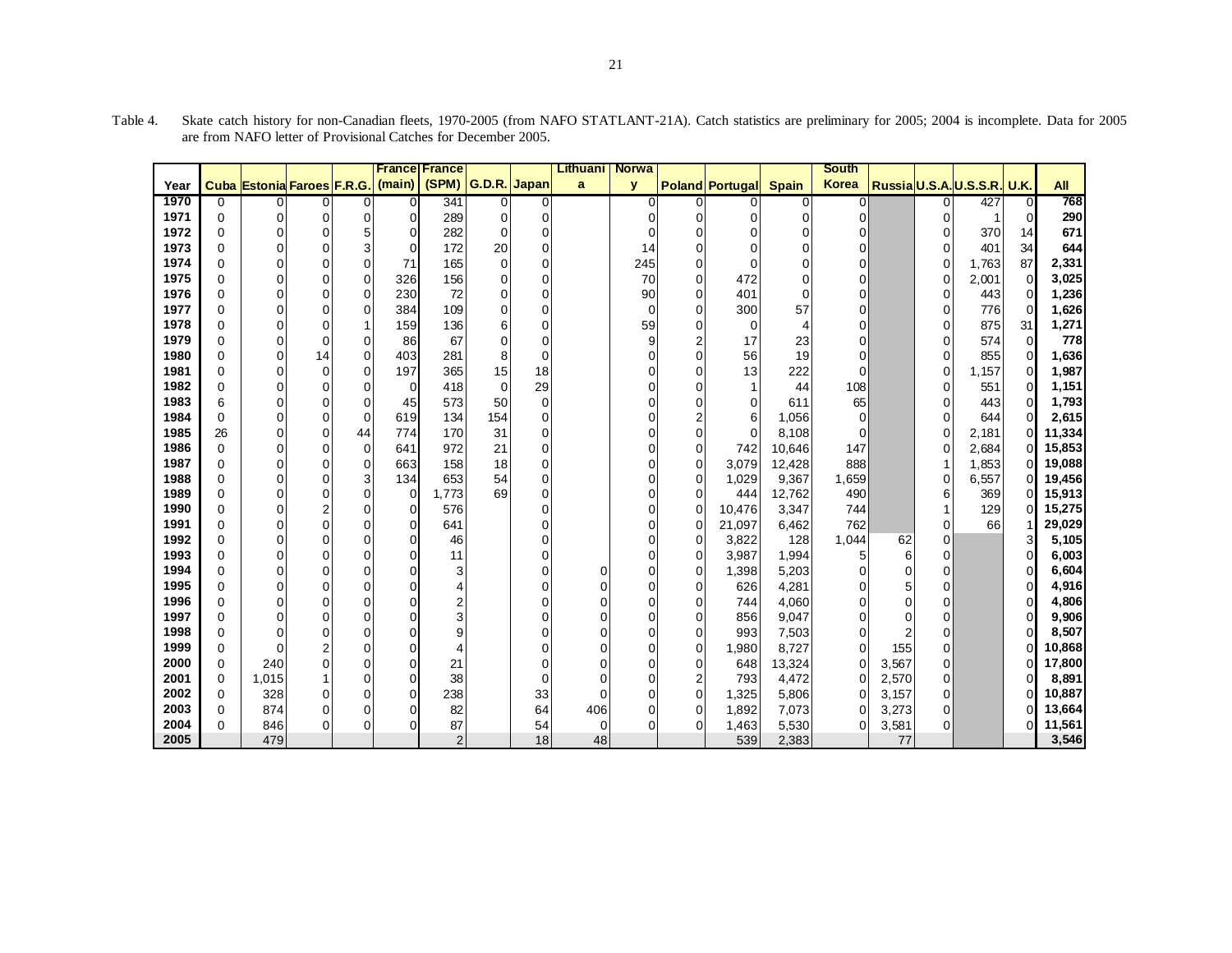|              |               |                            |                                  |             | <b>France France</b> |                |                |             | <b>Lithuani</b> | <b>Norwa</b> |                         |                        |                | <b>South</b> |                |                |                             |             |                  |
|--------------|---------------|----------------------------|----------------------------------|-------------|----------------------|----------------|----------------|-------------|-----------------|--------------|-------------------------|------------------------|----------------|--------------|----------------|----------------|-----------------------------|-------------|------------------|
| Year         |               | Cuba Estonia Faroes F.R.G. |                                  |             | (main)               | (SPM)          | G.D.R. Japan   |             | a               | $\mathbf{y}$ |                         | <b>Poland Portugal</b> | <b>Spain</b>   | <b>Korea</b> |                |                | Russia U.S.A. U.S.S.R. U.K. |             | <b>All</b>       |
| 1970         | 0             | 0                          | 0                                | 0           | 0                    | 341            | $\overline{0}$ | 0           |                 | 0            | $\overline{0}$          | 0                      | 0              | 0            |                | $\Omega$       | 427                         | 0           | 768              |
| 1971         | $\mathbf 0$   | 0                          | $\mathbf 0$                      | $\mathbf 0$ | 0                    | 289            | 0              | 0           |                 | 0            | $\overline{0}$          | 0                      | $\mathbf 0$    | 0            |                | 0              |                             | $\mathbf 0$ | 290              |
| 1972         | 0             | 0                          | 0                                | 5           | 0                    | 282            | $\mathbf 0$    | 0           |                 | 0            | 0                       | 0                      | $\mathbf 0$    | 0            |                | 0              | 370                         | 14          | 671              |
| 1973         | $\Omega$      | 0                          | $\overline{0}$                   | 3           | $\mathbf 0$          | 172            | 20             | 0           |                 | 14           | 0                       | 0                      | $\mathbf 0$    | $\Omega$     |                | 0              | 401                         | 34          | 644              |
| 1974         | $\Omega$      | 0                          | $\Omega$                         | $\Omega$    | 71                   | 165            | $\mathbf 0$    | 0           |                 | 245          | $\Omega$                | $\overline{0}$         | $\mathbf 0$    | $\Omega$     |                | 0              | 1,763                       | 87          | 2,331            |
| 1975         | $\Omega$      | 0                          | $\mathbf 0$                      | $\mathbf 0$ | 326                  | 156            | $\mathbf 0$    | 0           |                 | 70           | $\overline{0}$          | 472                    | $\mathbf 0$    | $\Omega$     |                | 0              | 2,001                       | 0           | 3,025            |
| 1976         | $\Omega$      | 0                          | $\mathbf 0$                      | $\mathbf 0$ | 230                  | 72             | 0              | 0           |                 | 90           | $\overline{0}$          | 401                    | $\mathbf 0$    | $\Omega$     |                | 0              | 443                         | $\Omega$    | 1,236            |
| 1977         | $\Omega$      | 0                          | $\Omega$                         | 0           | 384                  | 109            | $\mathbf 0$    | 0           |                 | $\mathbf 0$  | $\Omega$                | 300                    | 57             | $\Omega$     |                | 0              | 776                         | $\Omega$    | 1,626            |
| 1978         | $\Omega$      | 0                          | $\Omega$                         | 1           | 159                  | 136            | 6              | 0           |                 | 59           | $\Omega$                | $\mathbf 0$            | $\overline{4}$ | $\Omega$     |                | 0              | 875                         | 31          | 1,271            |
| 1979         | $\Omega$      | 0                          | $\Omega$                         | $\Omega$    | 86                   | 67             | $\mathbf 0$    | 0           |                 | 9            | $\overline{2}$          | 17                     | 23             | $\Omega$     |                | 0              | 574                         | $\Omega$    | 778              |
| 1980         | $\Omega$      | 0                          | 14                               | $\Omega$    | 403                  | 281            | 8              | $\mathbf 0$ |                 | 0            | $\overline{0}$          | 56                     | 19             | $\Omega$     |                | 0              | 855                         | $\Omega$    | 1,636            |
| 1981         | $\Omega$      | 0                          | $\mathbf 0$                      | $\Omega$    | 197                  | 365            | 15             | 18          |                 | 0            | $\overline{0}$          | 13                     | 222            | $\Omega$     |                | 0              | 1,157                       | $\Omega$    | 1,987            |
| 1982         | $\Omega$      | 0                          | $\mathbf 0$                      | $\Omega$    | $\mathbf 0$          | 418            | $\mathbf 0$    | 29          |                 | 0            | $\overline{0}$          | 1                      | 44             | 108          |                | 0              | 551                         | $\Omega$    | 1,151            |
| 1983         | 6             | 0                          | $\mathbf 0$                      | $\Omega$    | 45                   | 573            | 50             | $\mathbf 0$ |                 | 0            | $\overline{0}$          | 0                      | 611            | 65           |                | 0              | 443                         | $\Omega$    | 1,793            |
| 1984         | 0             | 0                          | $\mathbf 0$                      | $\Omega$    | 619                  | 134            | 154            | 0           |                 | 0            | $\overline{\mathbf{c}}$ | 6                      | 1,056          | $\mathbf 0$  |                | 0              | 644                         | $\Omega$    | 2,615            |
| 1985         | 26            | 0                          | $\mathbf 0$                      | 44          | 774                  | 170            | 31             | 0           |                 | 0            | $\overline{0}$          | $\overline{0}$         | 8,108          | 0            |                | 0              | 2,181                       | 0           | 11,334           |
| 1986         | 0             | 0                          | 0                                | $\mathbf 0$ | 641                  | 972            | 21             | 0           |                 | 0            | $\overline{0}$          | 742                    | 10,646         | 147          |                | 0              | 2,684                       |             | 15,853           |
| 1987         | 0             | 0                          | 0                                | 0           | 663                  | 158            | 18             | 0           |                 | 0            | $\overline{0}$          | 3,079                  | 12,428         | 888          |                |                | 1,853                       |             | 19,088           |
| 1988         | $\Omega$      | 0                          | $\mathbf 0$                      | 3           | 134                  | 653            | 54             | 0           |                 | 0            | $\overline{0}$          | 1,029                  | 9,367          | 1,659        |                | 0              | 6,557                       |             | 19,456           |
| 1989<br>1990 | $\Omega$      | 0                          | $\mathbf 0$                      | 0<br>U      | $\mathbf 0$          | 1,773          | 69             | 0           |                 | 0            | 0                       | 444                    | 12,762         | 490          |                | 6              | 369                         |             | 15,913           |
| 1991         | $\Omega$      | 0                          | $\overline{2}$<br>$\overline{0}$ |             | 0                    | 576            |                | 0           |                 | 0            | 0                       | 10,476                 | 3,347          | 744          |                |                | 129                         |             | 15,275<br>29,029 |
| 1992         | 0<br>$\Omega$ | 0<br>0                     | $\mathbf 0$                      | 0<br>U      | 0<br>0               | 641<br>46      |                | 0<br>0      |                 | 0<br>0       | 0<br>0                  | 21,097<br>3,822        | 6,462<br>128   | 762<br>1,044 | 62             | 0<br>0         | 66                          |             | 5,105            |
| 1993         | 0             | 0                          | $\mathbf 0$                      | U           | 0                    | 11             |                | 0           |                 | 0            | 0                       | 3,987                  | 1,994          | 5            | 6              | 0              |                             |             | 6,003            |
| 1994         | $\Omega$      | 0                          | $\mathbf 0$                      | $\Omega$    | 0                    | 3              |                | 0           | 0               | 0            | 0                       | 1,398                  | 5,203          | 0            | 0              | 0              |                             |             | 6,604            |
| 1995         | $\Omega$      | 0                          | $\mathbf 0$                      | $\Omega$    | 0                    | 4              |                | 0           | $\mathbf 0$     | 0            | 0                       | 626                    | 4,281          | 0            | 5              | 0              |                             |             | 4,916            |
| 1996         | $\Omega$      | 0                          | $\mathbf 0$                      | $\Omega$    | $\Omega$             | $\overline{c}$ |                | 0           | $\mathbf 0$     | 0            | 0                       | 744                    | 4,060          | $\mathbf 0$  | $\Omega$       | 0              |                             |             | 4,806            |
| 1997         | 0             | 0                          | $\mathbf 0$                      | $\Omega$    | 0                    | 3              |                | 0           | $\mathbf 0$     | 0            | 0                       | 856                    | 9,047          | 0            | $\mathbf 0$    | 0              |                             |             | 9,906            |
| 1998         | $\Omega$      | 0                          | $\mathbf 0$                      | $\Omega$    | $\Omega$             | 9              |                | $\Omega$    | $\mathbf 0$     | 0            | $\Omega$                | 993                    | 7,503          | $\mathbf 0$  | $\overline{2}$ | 0              |                             |             | 8,507            |
| 1999         | $\Omega$      | 0                          | $\overline{c}$                   | $\Omega$    | $\Omega$             | 4              |                | $\Omega$    | $\overline{0}$  | 0            | $\mathbf 0$             | 1,980                  | 8,727          | $\mathbf 0$  | 155            | $\overline{0}$ |                             |             | 10,868           |
| 2000         | $\Omega$      | 240                        | $\overline{0}$                   | $\Omega$    | 0                    | 21             |                | $\Omega$    | $\overline{0}$  | 0            | 0                       | 648                    | 13,324         | 0            | 3,567          | $\overline{0}$ |                             |             | 17,800           |
| 2001         | $\Omega$      | 1,015                      | $\mathbf{1}$                     | $\Omega$    | $\overline{0}$       | 38             |                | $\mathbf 0$ | $\Omega$        | 0            | $\overline{2}$          | 793                    | 4,472          | $\mathbf 0$  | 2,570          | $\overline{0}$ |                             |             | 8,891            |
| 2002         | $\Omega$      | 328                        | $\Omega$                         | $\Omega$    | $\overline{0}$       | 238            |                | 33          | $\Omega$        | 0            | $\Omega$                | 1,325                  | 5,806          | $\Omega$     | 3,157          | $\Omega$       |                             |             | 10,887           |
| 2003         | $\Omega$      | 874                        | $\Omega$                         |             | $\Omega$             | 82             |                | 64          | 406             | 0            | $\Omega$                | 1,892                  | 7,073          | 0            | 3,273          | $\Omega$       |                             |             | 13,664           |
| 2004         | $\Omega$      | 846                        | $\Omega$                         |             | $\Omega$             | 87             |                | 54          | $\Omega$        | $\Omega$     | $\Omega$                | 1,463                  | 5,530          | $\Omega$     | 3,581          | 0              |                             |             | 11,561           |
| 2005         |               | 479                        |                                  |             |                      | 2              |                | 18          | 48              |              |                         | 539                    | 2,383          |              | 77             |                |                             |             | 3,546            |

Table 4. Skate catch history for non-Canadian fleets, 1970-2005 (from NAFO STATLANT-21A). Catch statistics are preliminary for 2005; 2004 is incomplete. Data for 2005 are from NAFO letter of Provisional Catches for December 2005.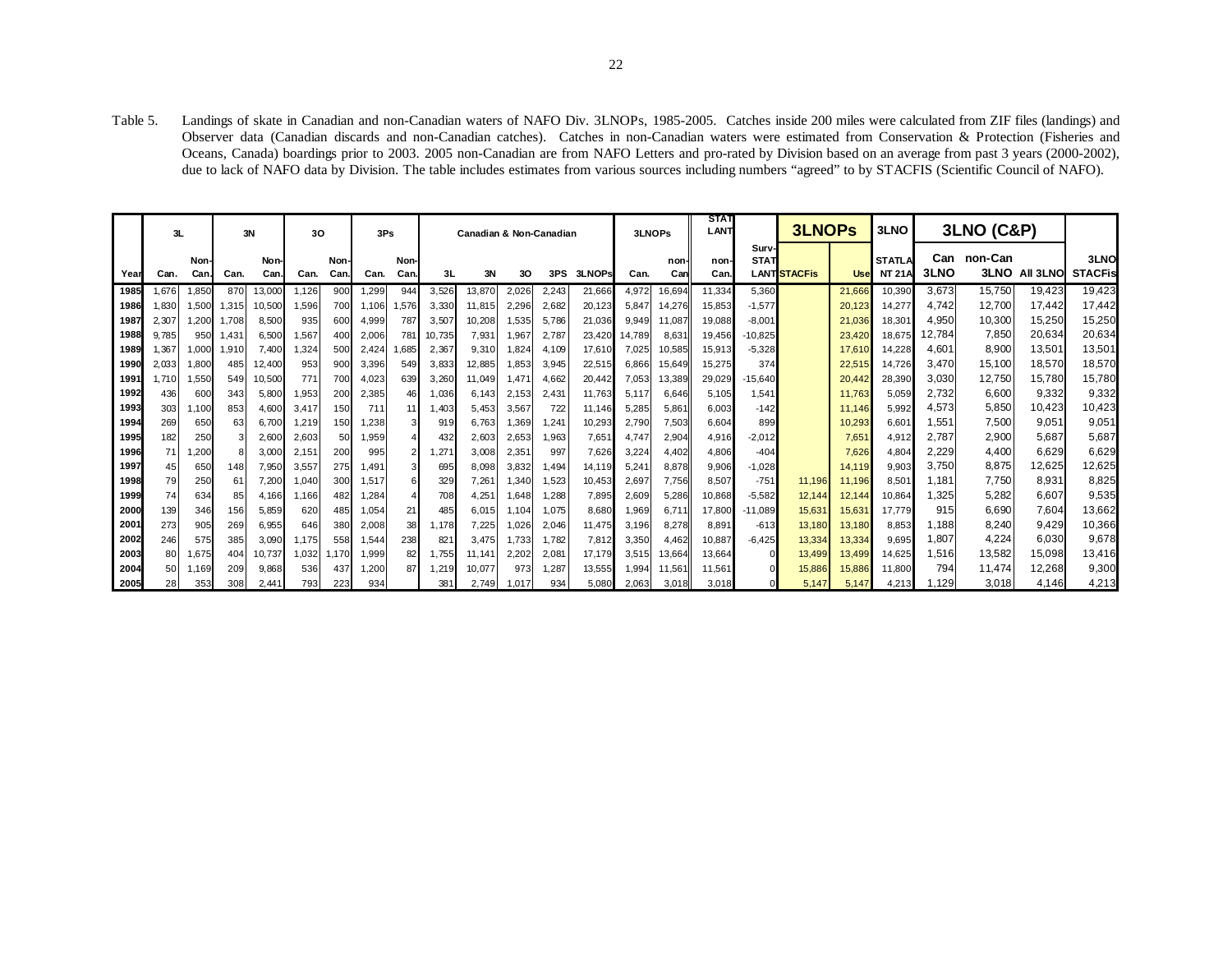Table 5. Landings of skate in Canadian and non-Canadian waters of NAFO Div. 3LNOPs, 1985-2005. Catches inside 200 miles were calculated from ZIF files (landings) and Observer data (Canadian discards and non-Canadian catches). Catches in non-Canadian waters were estimated from Conservation & Protection (Fisheries and Oceans, Canada) boardings prior to 2003. 2005 non-Canadian are from NAFO Letters and pro-rated by Division based on an average from past 3 years (2000-2002), due to lack of NAFO data by Division. The table includes estimates from various sources including numbers "agreed" to by STACFIS (Scientific Council of NAFO).

|      | 3L    |             |       | 3N           | 30    |                    | 3Ps   |              |        | Canadian & Non-Canadian |        | 3LNOPs |        | <b>STAT</b><br>LANT |             | <b>3LNOPs</b> |                      | 3LNO                |        | <b>3LNO (C&amp;P)</b>          |             |                        |          |                        |
|------|-------|-------------|-------|--------------|-------|--------------------|-------|--------------|--------|-------------------------|--------|--------|--------|---------------------|-------------|---------------|----------------------|---------------------|--------|--------------------------------|-------------|------------------------|----------|------------------------|
| Year | Can.  | Non<br>Can. | Can.  | Non-<br>Can. | Can.  | <b>Non</b><br>Can. | Can.  | Non-<br>Can. | 3L     | 3N                      | 30     | 3PS    | 3LNOPs | Can.                | non-<br>Can | non-<br>Can.  | Surv-<br><b>STAT</b> | <b>LANTISTACFis</b> | Use    | <b>STATLA</b><br><b>NT 21A</b> | Can<br>3LNO | non-Can<br><b>3LNO</b> | All 3LNO | 3LNO<br><b>STACFis</b> |
| 1985 | .676  | 1.850       | 870   | 13.000       | 1.126 | 900                | 1,299 | 944          | 3,526  | 13,870                  | 2,026  | 2,243  | 21,666 | 4.972               | 16,694      | 11,334        | 5,360                |                     | 21.666 | 10,390                         | 3,673       | 15.750                 | 19,423   | 19,423                 |
| 1986 | .830  | 1,500       | 1,315 | 10,500       | .596  | 700                | 1.106 | .576         | 3,330  | 11.815                  | 2,296  | 2,682  | 20,123 | 5.847               | 14,276      | 15.853        | $-1,577$             |                     | 20.123 | 14.277                         | 4.742       | 12.700                 | 17.442   | 17,442                 |
| 1987 | 2.307 | 1.200       | 1.708 | 8.500        | 935   | 600                | 4,999 | 787          | 3,507  | 10,208                  | 1,535  | 5,786  | 21,036 | 9.949               | 11.087      | 19.088        | $-8,001$             |                     | 21.036 | 18,301                         | 4,950       | 10,300                 | 15,250   | 15,250                 |
| 1988 | 9.785 | 950         | ,431  | 6,50         | .567  |                    | 2,006 | 781          | 10.735 | 7,931                   | 1,967  | 2,787  | 23,420 | 14.789              | 8,631       | 19.456        | $-10,825$            |                     | 23.420 | 18,675                         | 12.784      | 7,850                  | 20,634   | 20,634                 |
| 1989 | ,367  | 1,000       | 1,910 | 7.400        | 324   | 500                | 2,424 | .685         | 2,367  | 9,310                   | 1,824  | 4.109  | 17,610 | 7.025               | 10,585      | 15.913        | $-5,328$             |                     | 17,610 | 14,228                         | 4,601       | 8,900                  | 13,501   | 13,501                 |
| 1990 | 2,033 | 1,800       | 485   | 12,400       | 953   | 900                | 3,396 | 549          | 3,833  | 12,885                  | 1,853  | 3,945  | 22,515 | 6.866               | 15,649      | 15.275        | 374                  |                     | 22,515 | 14.726                         | 3.470       | 15.100                 | 18,570   | 18,570                 |
| 1991 | .710  | 1,550       | 549   | 10,500       | 771   | 700                | 4,023 | 639          | 3,260  | 11,049                  | 1,471. | 4.662  | 20,442 | 7.053               | 13,389      | 29,029        | $-15,640$            |                     | 20.442 | 28,390                         | 3,030       | 12,750                 | 15,780   | 15,780                 |
| 1992 | 436   | 600         | 343   | 5,800        | .953  | 200                | 2,385 | 46           | 1,036  | 6,143                   | 2,153  | 2.431  | 11,763 | 5.117               | 6,646       | 5.105         | 1,541                |                     | 11.763 | 5,059                          | 2,732       | 6.600                  | 9,332    | 9,332                  |
| 1993 | 303   | 1,100       | 853   | 4,600        | 3,417 | 150                | 711   |              | .403   | 5,453                   | 3,567  | 722    | 11.146 | 5.285               | 5,861       | 6.003         | $-142$               |                     | 11.146 | 5,992                          | 4,573       | 5,850                  | 10,423   | 10,423                 |
| 1994 | 269   | 650         | 63    | 6,700        | 1.219 | 150                | 1.238 |              | 919    | 6.763                   | 1,369  | 1.241  | 10,293 | 2.790               | 7,503       | 6.604         | 899                  |                     | 10.293 | 6.601                          | 1,551       | 7,500                  | 9,051    | 9,051                  |
| 1995 | 182   | 25C         |       | 2,600        | 2,603 | 50                 | 1,959 |              | 432    | 2,603                   | 2,653  | 1,963  | 7,651  | 4.747               | 2,904       | 4.916         | $-2,012$             |                     | 7.651  | 4,912                          | 2.787       | 2,900                  | 5,687    | 5,687                  |
| 1996 | 71    | 1,200       |       | 3.000        | 2,151 | 200                | 995   |              | .271   | 3.008                   | 2,351  | 997    | 7,626  | 3.224               | 4.402       | 4.806         | $-404$               |                     | 7.626  | 4,804                          | 2,229       | 4.400                  | 6,629    | 6,629                  |
| 1997 | 45    | 650         | 148   | 7.950        | 3,557 | 275                | 1.491 |              | 695    | 8.098                   | 3,832  | .494   | 14,119 | 5.241               | 8,878       | 9.906         | $-1,028$             |                     | 14.119 | 9.903                          | 3,750       | 8.875                  | 12,625   | 12,625                 |
| 1998 | 79    | 250         | 61    | 7,200        | 1,040 | 300                | 1,517 | 6            | 329    | 7,261                   | 1,340  | 1,523  | 10,453 | 2,697               | 7,756       | 8.507         | $-751$               | 11,196              | 11.196 | 8,501                          | 1.181       | 7.750                  | 8,931    | 8,825                  |
| 1999 | 74    | 634         | 85    | 4.166        | .166  | 482                | 1,284 |              | 708    | 4,251                   | 1,648  | 1,288  | 7,895  | 2.609               | 5,286       | 10,868        | $-5,582$             | 12,144              | 12.144 | 10,864                         | ,325        | 5.282                  | 6.607    | 9,535                  |
| 2000 | 139   | 346         | 156   | 5,859        | 620   | 485                | 1,054 | 21           | 485    | 6,015                   | 1.104  | 1.075  | 8,680  | .969                | 6,711       | 17,800        | $-11,089$            | 15,631              | 15,631 | 17.779                         | 915         | 6,690                  | 7,604    | 13,662                 |
| 2001 | 273   | 905         | 269   | 6,955        | 646   | 380                | 2,008 | 38           | 1.178  | 7.225                   | 1.026  | 2.046  | 11,475 | 3.196               | 8,278       | 8.891         | $-613$               | 13.180              | 13.180 | 8.853                          | 1.188       | 8.240                  | 9.429    | 10,366                 |
| 2002 | 246   | 575         | 385   | 3,090        | 1.175 | 558                | 1,544 | 238          | 821    | 3.475                   | 1,733  | 1.782  | 7,812  | 3.350               | 4.462       | 10.887        | $-6.425$             | 13,334              | 13.334 | 9.695                          | 1,807       | 4,224                  | 6,030    | 9,678                  |
| 2003 | 80    | 1,675       | 404   | 10,737       | 1.032 | .170               | 1,999 | 82           | 1,755  | 11.14'                  | 2,202  | 2.081  | 17.179 | 3.515               | 13,664      | 13.664        |                      | 13.499              | 13.499 | 14,625                         | 1,516       | 13,582                 | 15,098   | 13,416                 |
| 2004 | 50    | 1,169       | 209   | 9.868        | 536   | 437                | 1,200 | 87           | 1,219  | 10,077                  | 973    | 1.287  | 13,555 | .994                | 11,561      | 11,561        |                      | 15.886              | 15.886 | 11.800                         | 794         | 11,474                 | 12,268   | 9,300                  |
| 2005 | 28    | 353         | 308   | 2,441        | 793   |                    | 934   |              | 381    | 2,749                   | ,017   | 934    | 5,080  | 2,063               | 3,018       | 3,018         |                      | 5.147               | 5,147  | 4,213                          | .129        | 3,018                  | 4,146    | 4,213                  |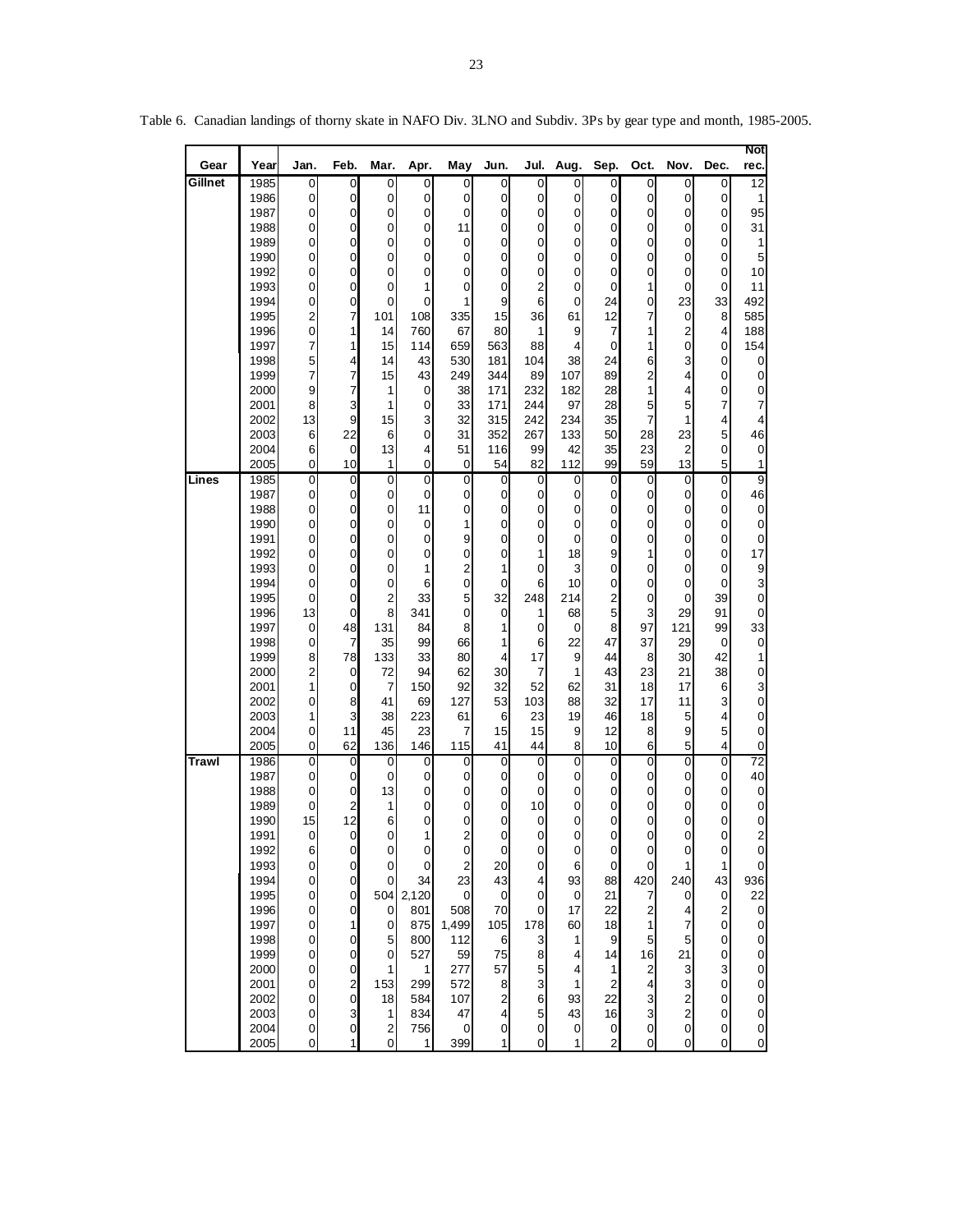| Gear         | Year         | Jan.                         | Feb.                             | Mar.                    | Apr.           | May                          | Jun.                             | Jul.                 | Aug.              | Sep.                             | Oct.                       | Nov.                                               | Dec.                    | Not<br>rec.                |
|--------------|--------------|------------------------------|----------------------------------|-------------------------|----------------|------------------------------|----------------------------------|----------------------|-------------------|----------------------------------|----------------------------|----------------------------------------------------|-------------------------|----------------------------|
| Gillnet      | 1985         | $\pmb{0}$                    | $\overline{0}$                   | $\pmb{0}$               | 0              | $\boldsymbol{0}$             | $\overline{0}$                   | 0                    | 0                 | 0                                | $\mathbf 0$                | $\pmb{0}$                                          | 0                       | $\overline{12}$            |
|              | 1986         | $\pmb{0}$                    | $\overline{0}$                   | $\pmb{0}$               | 0              | 0                            | $\overline{0}$                   | $\mathbf 0$          | 0                 | 0                                | $\overline{0}$             | 0                                                  | 0                       | 1                          |
|              | 1987         | 0                            | $\overline{0}$                   | 0                       | 0              | 0                            | $\overline{0}$                   | 0                    | 0                 | $\overline{0}$                   | $\mathbf 0$                | 0                                                  | 0                       | 95                         |
|              | 1988<br>1989 | 0<br>0                       | 0<br>0                           | 0<br>0                  | 0<br>0         | 11<br>0                      | $\overline{0}$<br>$\overline{0}$ | 0<br>0               | 0<br>0            | 0<br>0                           | 0<br>0                     | 0<br>0                                             | 0<br>0                  | 31<br>1                    |
|              | 1990         | 0                            | 0                                | 0                       | 0              | 0                            | $\overline{0}$                   | 0                    | 0                 | 0                                | 0                          | 0                                                  | 0                       | 5                          |
|              | 1992         | 0                            | $\overline{0}$                   | 0                       | 0              | 0                            | $\overline{0}$                   | 0                    | 0                 | 0                                | $\mathbf 0$                | 0                                                  | 0                       | 10                         |
|              | 1993         | 0                            | $\overline{0}$                   | 0                       | 1              | 0                            | $\overline{0}$                   | 2                    | 0                 | 0                                | 1                          | $\mathbf 0$                                        | 0                       | 11                         |
|              | 1994         | 0                            | $\overline{0}$                   | 0                       | 0              | 1                            | $\overline{9}$                   | 6                    | 0                 | 24                               | $\mathbf 0$                | 23                                                 | 33                      | 492                        |
|              | 1995         | 2                            | 7                                | 101                     | 108            | 335                          | 15                               | 36                   | 61                | 12                               | 7                          | 0                                                  | 8                       | 585                        |
|              | 1996<br>1997 | 0<br>7                       | 1<br>1                           | 14<br>15                | 760<br>114     | 67<br>659                    | 80<br>563                        | 1<br>88              | 9<br>4            | 7<br>0                           | 1<br>1                     | $\overline{c}$<br>0                                | 4<br>0                  | 188<br>154                 |
|              | 1998         | 5                            | 4                                | 14                      | 43             | 530                          | 181                              | 104                  | 38                | 24                               | 6                          | 3                                                  | $\mathbf 0$             | 0                          |
|              | 1999         | 7                            | 7                                | 15                      | 43             | 249                          | 344                              | 89                   | 107               | 89                               | 2                          | 4                                                  | 0                       | $\pmb{0}$                  |
|              | 2000         | 9                            | 7                                | 1                       | 0              | 38                           | 171                              | 232                  | 182               | 28                               | 1                          | 4                                                  | 0                       | 0                          |
|              | 2001         | 8                            | 3                                | 1                       | 0              | 33                           | 171                              | 244                  | 97                | 28                               | 5                          | 5                                                  | 7                       | 7                          |
|              | 2002         | 13                           | 9                                | 15                      | 3              | 32                           | 315                              | 242                  | 234               | 35                               | 7                          | 1                                                  | 4                       | 4                          |
|              | 2003         | 6                            | 22                               | 6                       | 0              | 31                           | 352                              | 267                  | 133               | 50                               | 28                         | 23                                                 | 5                       | 46                         |
|              | 2004<br>2005 | 6<br>$\pmb{0}$               | $\overline{0}$<br>10             | 13<br>1                 | 4<br>0         | 51<br>$\boldsymbol{0}$       | 116<br>54                        | 99<br>82             | 42<br>112         | 35<br>99                         | 23<br>59                   | 2<br>13                                            | 0<br>5                  | 0<br>1                     |
| Lines        | 1985         | 0                            | 0                                | 0                       | $\overline{0}$ | 0                            | $\overline{0}$                   | $\mathbf 0$          | 0                 | $\mathbf 0$                      | 0                          | 0                                                  | $\mathbf 0$             | $\overline{9}$             |
|              | 1987         | 0                            | 0                                | 0                       | 0              | 0                            | $\overline{0}$                   | 0                    | 0                 | 0                                | 0                          | 0                                                  | 0                       | 46                         |
|              | 1988         | 0                            | $\overline{0}$                   | 0                       | 11             | 0                            | $\overline{0}$                   | 0                    | 0                 | 0                                | 0                          | 0                                                  | 0                       | $\pmb{0}$                  |
|              | 1990         | 0                            | $\overline{0}$                   | 0                       | 0              | 1                            | $\overline{0}$                   | 0                    | 0                 | 0                                | $\mathbf 0$                | 0                                                  | 0                       | $\pmb{0}$                  |
|              | 1991         | 0                            | 0                                | 0                       | 0              | 9                            | $\overline{0}$                   | 0                    | 0                 | 0                                | $\boldsymbol{0}$           | 0                                                  | $\mathbf 0$             | $\pmb{0}$                  |
|              | 1992<br>1993 | 0                            | 0<br>0                           | 0                       | 0<br>1         | 0<br>$\overline{\mathbf{c}}$ | $\mathbf 0$<br>1                 | 1<br>0               | 18<br>3           | 9<br>0                           | 1<br>0                     | 0                                                  | 0                       | 17<br>9                    |
|              | 1994         | 0<br>0                       | 0                                | 0<br>0                  | 6              | $\boldsymbol{0}$             | $\overline{0}$                   | 6                    | 10                | 0                                | 0                          | 0<br>0                                             | 0<br>0                  | 3                          |
|              | 1995         | 0                            | $\overline{0}$                   | $\overline{\mathbf{c}}$ | 33             | 5                            | 32                               | 248                  | 214               | $\overline{2}$                   | 0                          | 0                                                  | 39                      | $\mathbf 0$                |
|              | 1996         | 13                           | 0                                | 8                       | 341            | 0                            | $\overline{0}$                   | 1                    | 68                | 5                                | 3                          | 29                                                 | 91                      | 0                          |
|              | 1997         | 0                            | 48                               | 131                     | 84             | 8                            | $\mathbf{1}$                     | 0                    | 0                 | 8 <sup>1</sup>                   | 97                         | 121                                                | 99                      | 33                         |
|              | 1998         | 0                            | 7                                | 35                      | 99             | 66                           | 1                                | 6                    | 22                | 47                               | 37                         | 29                                                 | 0                       | $\pmb{0}$                  |
|              | 1999         | 8                            | 78                               | 133                     | 33             | 80                           | $\overline{4}$                   | 17                   | 9                 | 44                               | 8                          | 30                                                 | 42                      | 1                          |
|              | 2000<br>2001 | $\overline{\mathbf{c}}$<br>1 | $\overline{0}$<br>0              | 72<br>7                 | 94<br>150      | 62<br>92                     | 30<br>32                         | $\overline{7}$<br>52 | 1<br>62           | 43<br>31                         | 23<br>18                   | 21<br>17                                           | 38<br>6                 | $\pmb{0}$<br>3             |
|              | 2002         | $\pmb{0}$                    | 8                                | 41                      | 69             | 127                          | 53                               | 103                  | 88                | 32                               | 17                         | 11                                                 | 3                       | $\mathbf 0$                |
|              | 2003         | 1                            | 3                                | 38                      | 223            | 61                           | 6                                | 23                   | 19                | 46                               | 18                         | 5                                                  | 4                       | $\overline{0}$             |
|              | 2004         | 0                            | 11                               | 45                      | 23             | 7                            | 15                               | 15                   | 9                 | 12                               | 8                          | 9                                                  | 5                       | 0                          |
|              | 2005         | 0                            | 62                               | 136                     | 146            | 115                          | 41                               | 44                   | 8                 | 10 <sup>1</sup>                  | 6                          | 5                                                  | $\overline{\mathbf{4}}$ | $\boldsymbol{0}$           |
| <b>Trawl</b> | 1986         | 0                            | $\overline{0}$                   | 0                       | 0              | 0                            | $\overline{0}$                   | 0                    | 0                 | $\overline{0}$                   | 0                          | 0                                                  | $\overline{0}$          | $\overline{72}$            |
|              | 1987<br>1988 | 0<br>0                       | $\overline{0}$<br>$\overline{0}$ | 0<br>13                 | 0<br>0         | 0<br>0                       | $\overline{0}$<br>$\overline{0}$ | 0<br>0               | 0<br>0            | $\overline{0}$<br>$\overline{0}$ | $\mathbf 0$<br>$\mathbf 0$ | 0<br>0                                             | 0<br>0                  | 40<br>$\overline{0}$       |
|              | 1989         | 0                            | 2                                | 1                       | 0              | 0                            | $\overline{0}$                   | 10                   | 0                 | 0                                | 0                          | 0                                                  | 0                       | 0                          |
|              | 1990         | 15                           | 12                               | 6                       | 0              | 0                            | $\overline{0}$                   | 0                    | 0                 | 0                                | 0                          | 0                                                  | $\pmb{0}$               | ${\mathsf o}$              |
|              | 1991         | 0                            | $\overline{0}$                   | 0                       | 1              | 2                            | $\overline{0}$                   | $\mathbf 0$          | 0                 | 0                                | $\mathbf 0$                | 0                                                  | $\mathbf 0$             | $\overline{2}$             |
|              | 1992         | 6                            | 0                                | 0                       | 0              | 0                            | $\Omega$                         | 0                    | 0                 | 0                                | 0                          | 0                                                  | 0                       | $\pmb{0}$                  |
|              | 1993         | 0                            | 0                                | 0                       | 0              | $\overline{2}$               | 20                               | 0                    | 6                 | $\overline{0}$                   | $\mathbf 0$                | 1                                                  | 1                       | $\mathbf 0$                |
|              | 1994<br>1995 | 0<br>0                       | $\overline{0}$<br>$\overline{0}$ | 0<br>504                | 34<br>2,120    | 23<br>0                      | 43<br>$\overline{0}$             | 4<br>0               | 93<br>$\mathbf 0$ | 88<br>21                         | 420<br>7                   | 240<br>0                                           | 43<br>$\pmb{0}$         | 936<br>22                  |
|              | 1996         | 0                            | 0                                | $\mathbf 0$             | 801            | 508                          | 70                               | $\mathbf 0$          | 17                | 22                               | $\overline{\mathbf{c}}$    | 4                                                  | $\overline{\mathbf{c}}$ | $\pmb{0}$                  |
|              | 1997         | 0                            | 1                                | 0                       | 875            | 1,499                        | 105                              | 178                  | 60                | 18                               | 1                          | 7                                                  | $\pmb{0}$               | $\pmb{0}$                  |
|              | 1998         | $\pmb{0}$                    | 0                                | 5                       | 800            | 112                          | $6 \overline{}$                  | 3                    | 1                 | 9                                | 5                          | 5                                                  | 0                       | $\mathbf 0$                |
|              | 1999         | 0                            | 0                                | 0                       | 527            | 59                           | 75                               | 8                    | 4                 | 14                               | 16                         | 21                                                 | $\pmb{0}$               | $\mathbf 0$                |
|              | 2000         | 0                            | 0                                | 1                       | 1              | 277                          | 57                               | 5                    | 4                 | 1                                | $\overline{c}$             | 3                                                  | 3                       | $\pmb{0}$                  |
|              | 2001         | 0                            | 2                                | 153                     | 299            | 572                          | $\boldsymbol{8}$                 | 3                    | 1                 | $\overline{2}$                   | 4                          | 3                                                  | 0                       | $\mathbf 0$                |
|              | 2002<br>2003 | 0<br>0                       | $\pmb{0}$<br>3                   | 18<br>1                 | 584<br>834     | 107<br>47                    | $\mathbf{2}$<br>$\overline{4}$   | 6<br>5               | 93<br>43          | 22<br>16                         | 3<br>3                     | $\overline{\mathbf{c}}$<br>$\overline{\mathbf{c}}$ | $\pmb{0}$<br>0          | $\mathbf 0$<br>$\mathbf 0$ |
|              | 2004         | $\overline{0}$               | $\overline{0}$                   | $\boldsymbol{2}$        | 756            | 0                            | $\overline{0}$                   | $\pmb{0}$            | $\pmb{0}$         | $\overline{0}$                   | $\overline{0}$             | $\overline{0}$                                     | $\pmb{0}$               | $\mathbf 0$                |
|              | 2005         | 0                            | 1                                | 0                       | 1              | 399                          | 1                                | $\mathbf 0$          | 1                 | $\overline{2}$                   | $\pmb{0}$                  | 0                                                  | $\pmb{0}$               | $\mathbf 0$                |

Table 6. Canadian landings of thorny skate in NAFO Div. 3LNO and Subdiv. 3Ps by gear type and month, 1985-2005.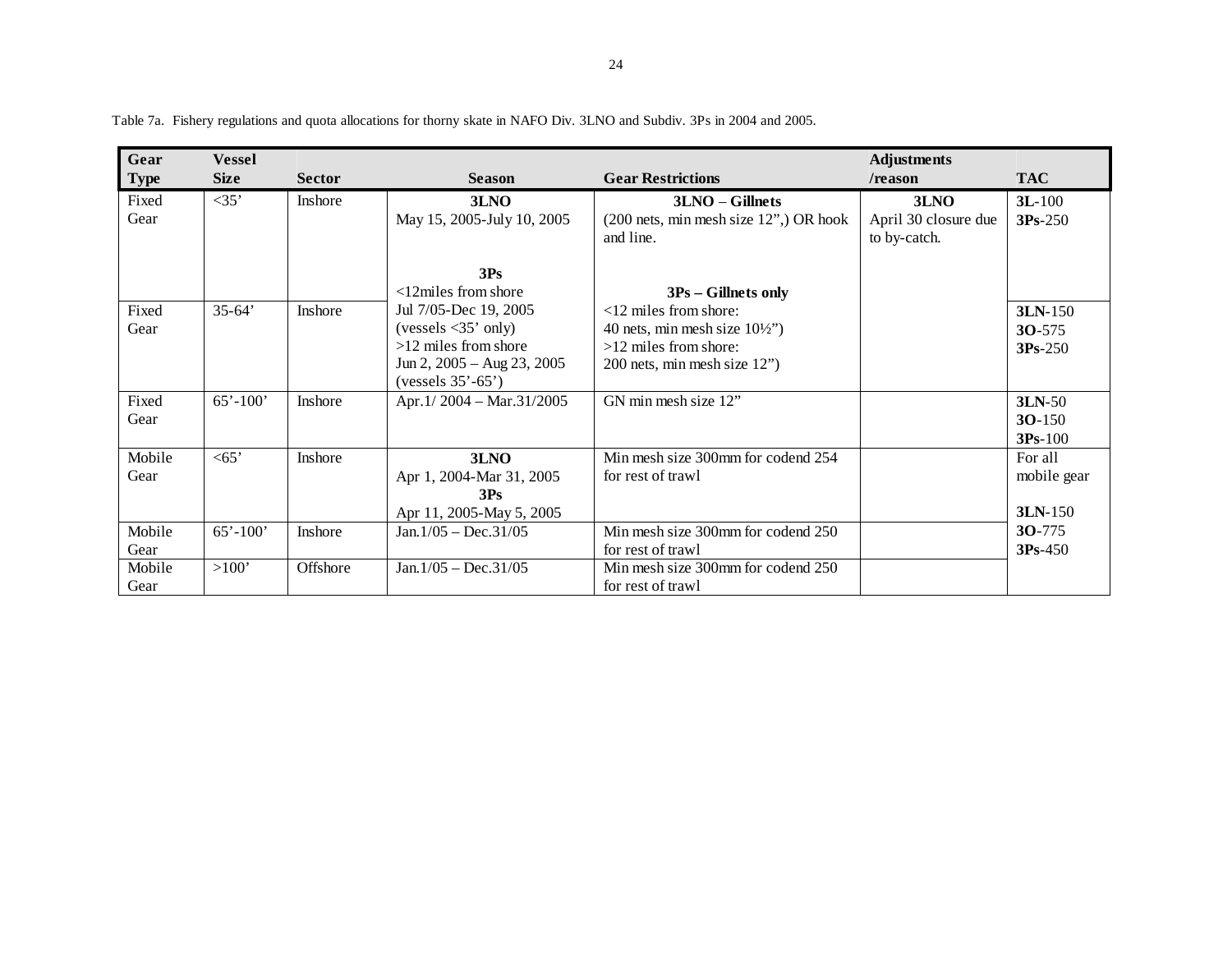| Gear        | <b>Vessel</b> |                |                                         |                                            | <b>Adjustments</b>   |             |
|-------------|---------------|----------------|-----------------------------------------|--------------------------------------------|----------------------|-------------|
| <b>Type</b> | <b>Size</b>   | <b>Sector</b>  | <b>Season</b>                           | <b>Gear Restrictions</b>                   | /reason              | <b>TAC</b>  |
| Fixed       | $<$ 35'       | Inshore        | 3LNO                                    | $3LNO - Gillnets$                          | 3LNO                 | $3L-100$    |
| Gear        |               |                | May 15, 2005-July 10, 2005              | $(200$ nets, min mesh size $12$ ", OR hook | April 30 closure due | $3Ps-250$   |
|             |               |                |                                         | and line.                                  | to by-catch.         |             |
|             |               |                |                                         |                                            |                      |             |
|             |               |                | 3Ps                                     |                                            |                      |             |
|             |               |                | $<$ 12 $m$ iles from shore              | $3Ps - Gillnets only$                      |                      |             |
| Fixed       | $35 - 64'$    | <b>Inshore</b> | Jul 7/05-Dec 19, 2005                   | $<12$ miles from shore:                    |                      | 3LN-150     |
| Gear        |               |                | (vessels $\langle 35'$ only)            | 40 nets, min mesh size $10\frac{1}{2}$     |                      | $30 - 575$  |
|             |               |                | $>12$ miles from shore                  | $>12$ miles from shore:                    |                      | $3Ps-250$   |
|             |               |                | Jun 2, $2005 - \text{Aug } 23$ , $2005$ | 200 nets, min mesh size 12")               |                      |             |
|             |               |                | $(vessels 35'-65')$                     |                                            |                      |             |
| Fixed       | $65' - 100'$  | Inshore        | Apr.1/2004 - Mar.31/2005                | GN min mesh size 12"                       |                      | 3LN-50      |
| Gear        |               |                |                                         |                                            |                      | $30-150$    |
|             |               |                |                                         |                                            |                      | $3Ps-100$   |
| Mobile      | $<$ 65'       | Inshore        | 3LNO                                    | Min mesh size 300mm for codend 254         |                      | For all     |
| Gear        |               |                | Apr 1, 2004-Mar 31, 2005                | for rest of trawl                          |                      | mobile gear |
|             |               |                | 3Ps                                     |                                            |                      |             |
|             |               |                | Apr 11, 2005-May 5, 2005                |                                            |                      | $3LN-150$   |
| Mobile      | $65' - 100'$  | Inshore        | $Jan.1/05 - Dec.31/05$                  | Min mesh size 300mm for codend 250         |                      | $30-775$    |
| Gear        |               |                |                                         | for rest of trawl                          |                      | $3Ps-450$   |
| Mobile      | >100'         | Offshore       | $Jan.1/05 - Dec.31/05$                  | Min mesh size 300mm for codend 250         |                      |             |
| Gear        |               |                |                                         | for rest of trawl                          |                      |             |

Table 7a. Fishery regulations and quota allocations for thorny skate in NAFO Div. 3LNO and Subdiv. 3Ps in 2004 and 2005.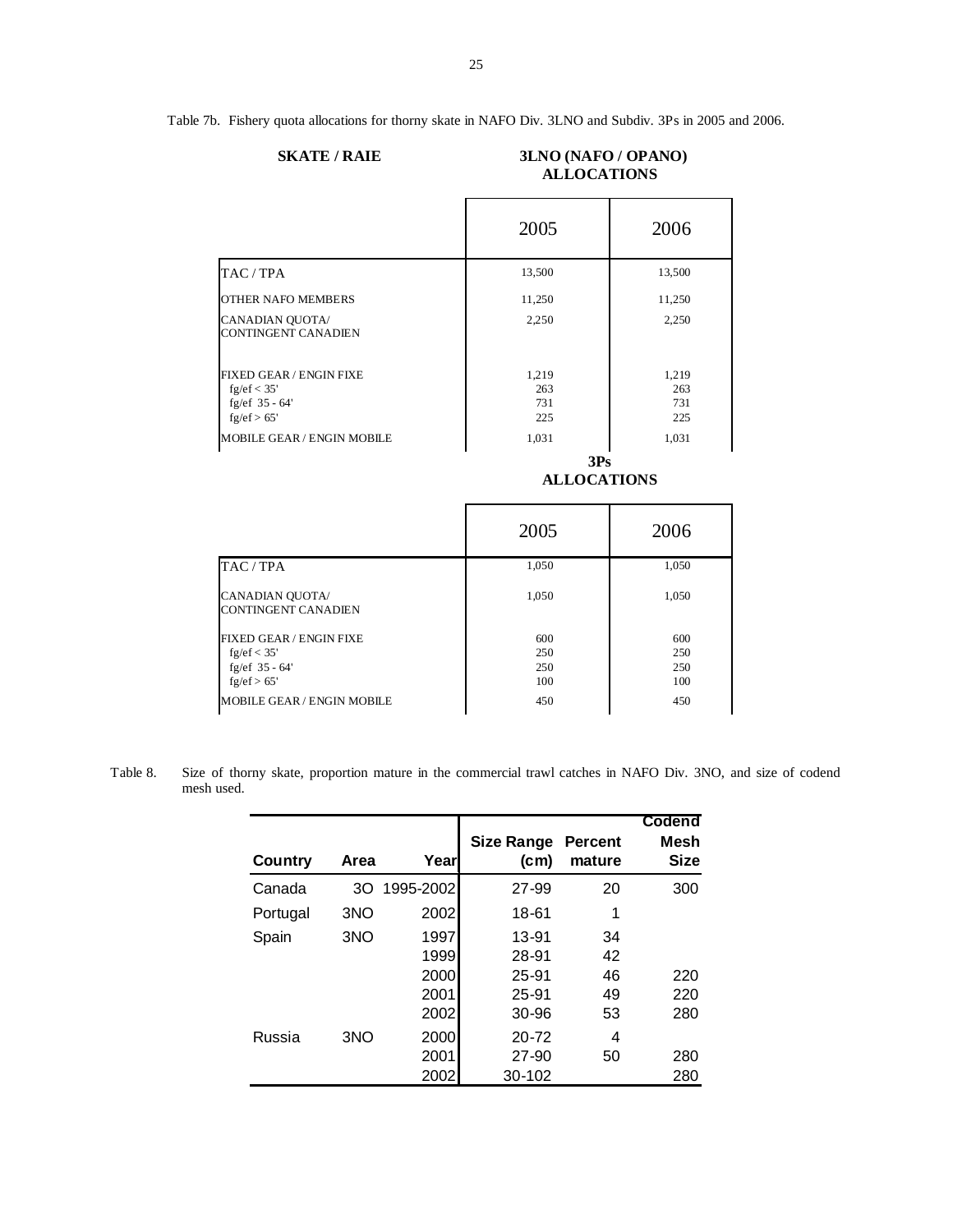Table 7b. Fishery quota allocations for thorny skate in NAFO Div. 3LNO and Subdiv. 3Ps in 2005 and 2006.

| <b>SKATE / RAIE</b> |  |
|---------------------|--|
|                     |  |

# **SKATE / RAIE 3LNO (NAFO / OPANO) ALLOCATIONS**

|                                                                                    | 2005                       | 2006                       |  |  |
|------------------------------------------------------------------------------------|----------------------------|----------------------------|--|--|
| TAC / TPA                                                                          | 13,500                     | 13,500                     |  |  |
| <b>OTHER NAFO MEMBERS</b>                                                          | 11,250                     | 11,250                     |  |  |
| CANADIAN QUOTA/<br><b>CONTINGENT CANADIEN</b>                                      | 2,250                      | 2,250                      |  |  |
| <b>FIXED GEAR / ENGIN FIXE</b><br>fg/ef $<$ 35'<br>fg/ef $35 - 64'$<br>fg/ef > 65' | 1,219<br>263<br>731<br>225 | 1,219<br>263<br>731<br>225 |  |  |
| MOBILE GEAR / ENGIN MOBILE                                                         | 1,031                      | 1,031                      |  |  |
|                                                                                    | 3Ps<br><b>ALLOCATIONS</b>  |                            |  |  |
|                                                                                    | 2005                       | 2006                       |  |  |

|                                                 | 2005       | 2006       |
|-------------------------------------------------|------------|------------|
| TAC / TPA                                       | 1,050      | 1,050      |
| CANADIAN QUOTA/<br><b>CONTINGENT CANADIEN</b>   | 1.050      | 1,050      |
| <b>FIXED GEAR / ENGIN FIXE</b><br>fg/ef $<$ 35' | 600<br>250 | 600<br>250 |
| fg/ef $35 - 64'$<br>fg/ef > 65'                 | 250<br>100 | 250<br>100 |
| MOBILE GEAR / ENGIN MOBILE                      | 450        | 450        |

Table 8. Size of thorny skate, proportion mature in the commercial trawl catches in NAFO Div. 3NO, and size of codend mesh used.

| Country  | Area | Year      | Size Range<br>(c <sub>m</sub> ) | <b>Percent</b><br>mature | Codend<br>Mesh<br><b>Size</b> |
|----------|------|-----------|---------------------------------|--------------------------|-------------------------------|
| Canada   | 30   | 1995-2002 | 27-99                           | 20                       | 300                           |
| Portugal | 3NO  | 2002      | 18-61                           |                          |                               |
| Spain    | 3NO  | 1997      | 13-91                           | 34                       |                               |
|          |      | 1999      | 28-91                           | 42                       |                               |
|          |      | 2000      | 25-91                           | 46                       | 220                           |
|          |      | 2001      | 25-91                           | 49                       | 220                           |
|          |      | 2002      | 30-96                           | 53                       | 280                           |
| Russia   | 3NO  | 2000      | $20 - 72$                       | 4                        |                               |
|          |      | 2001      | 27-90                           | 50                       | 280                           |
|          |      | 2002      | 30-102                          |                          | 280                           |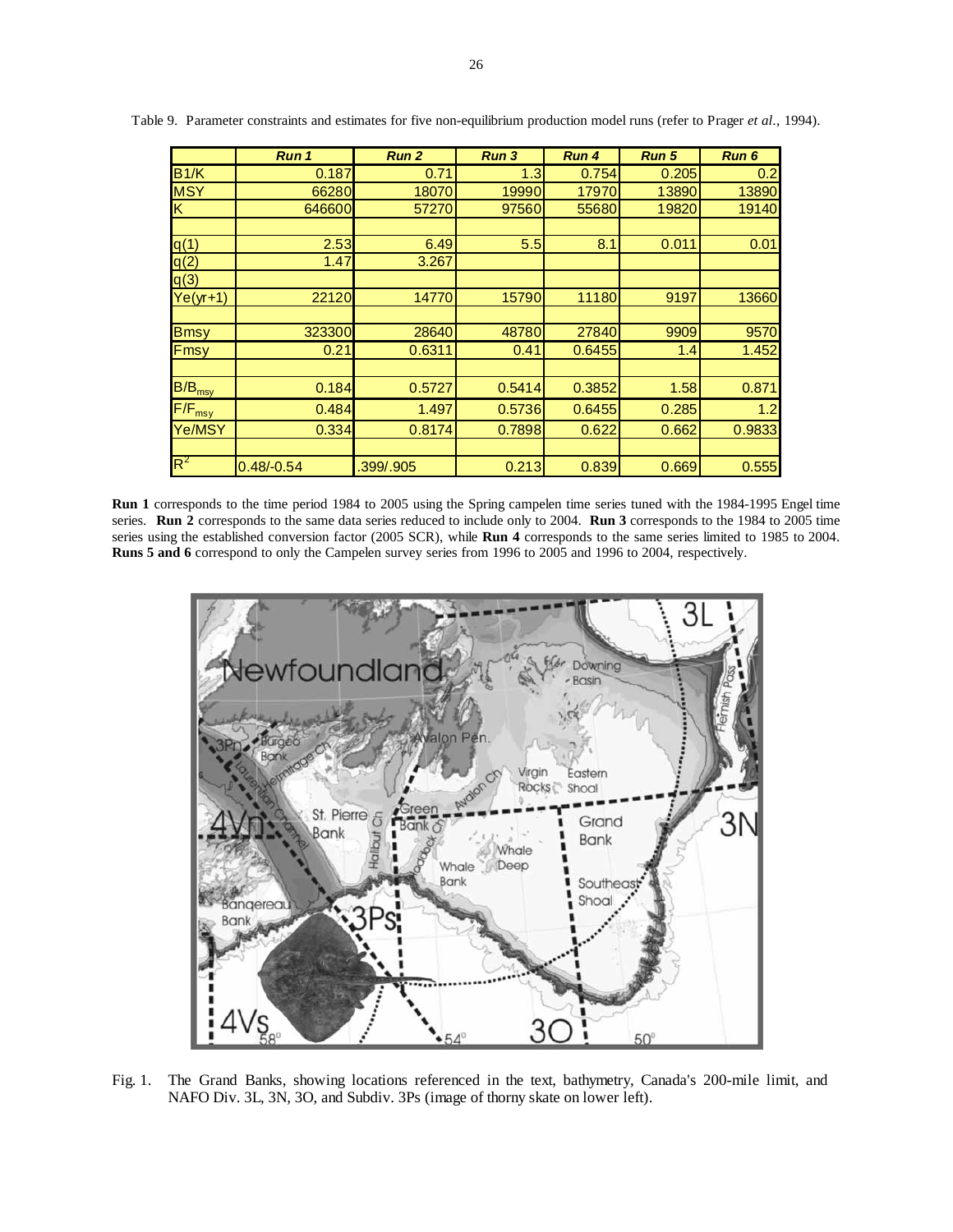|                    | Run 1        | Run <sub>2</sub> | Run 3  | Run 4          | <b>Run 5</b> | Run 6  |
|--------------------|--------------|------------------|--------|----------------|--------------|--------|
| B1/K               | 0.187        | 0.71             | 1.3    | 0.754          | 0.205        | 0.2    |
| <b>MSY</b>         | 66280        | 18070            | 19990  | 17970          | 13890        | 13890  |
| K.                 | 646600       | 57270            | 97560  | 55680<br>19820 |              | 19140  |
|                    |              |                  |        |                |              |        |
| q(1)               | 2.53         | 6.49             | 5.5    | 8.1            | 0.011        | 0.01   |
| q(2)               | 1.47         | 3.267            |        |                |              |        |
| q(3)               |              |                  |        |                |              |        |
| $Ye(yr+1)$         | 22120        | 14770            | 15790  | 11180          | 9197         | 13660  |
|                    |              |                  |        |                |              |        |
| <b>Bmsy</b>        | 323300       | 28640            | 48780  | 27840          | 9909         | 9570   |
| Fmsy               | 0.21         | 0.6311           | 0.41   | 0.6455         | 1.4          | 1.452  |
|                    |              |                  |        |                |              |        |
| $B/B_{\text{msy}}$ | 0.184        | 0.5727           | 0.5414 | 0.3852         | 1.58         | 0.871  |
| $F/F_{\text{msy}}$ | 0.484        | 1.497            | 0.5736 | 0.6455         | 0.285        | 1.2    |
| Ye/MSY             | 0.334        | 0.8174           | 0.7898 | 0.622          | 0.662        | 0.9833 |
|                    |              |                  |        |                |              |        |
| $R^2$              | $0.48/-0.54$ | .399/.905        | 0.213  | 0.839          | 0.669        | 0.555  |

Table 9. Parameter constraints and estimates for five non-equilibrium production model runs (refer to Prager *et al*., 1994).

**Run 1** corresponds to the time period 1984 to 2005 using the Spring campelen time series tuned with the 1984-1995 Engel time series. **Run 2** corresponds to the same data series reduced to include only to 2004. **Run 3** corresponds to the 1984 to 2005 time series using the established conversion factor (2005 SCR), while **Run 4** corresponds to the same series limited to 1985 to 2004. **Runs 5 and 6** correspond to only the Campelen survey series from 1996 to 2005 and 1996 to 2004, respectively.



Fig. 1. The Grand Banks, showing locations referenced in the text, bathymetry, Canada's 200-mile limit, and NAFO Div. 3L, 3N, 3O, and Subdiv. 3Ps (image of thorny skate on lower left).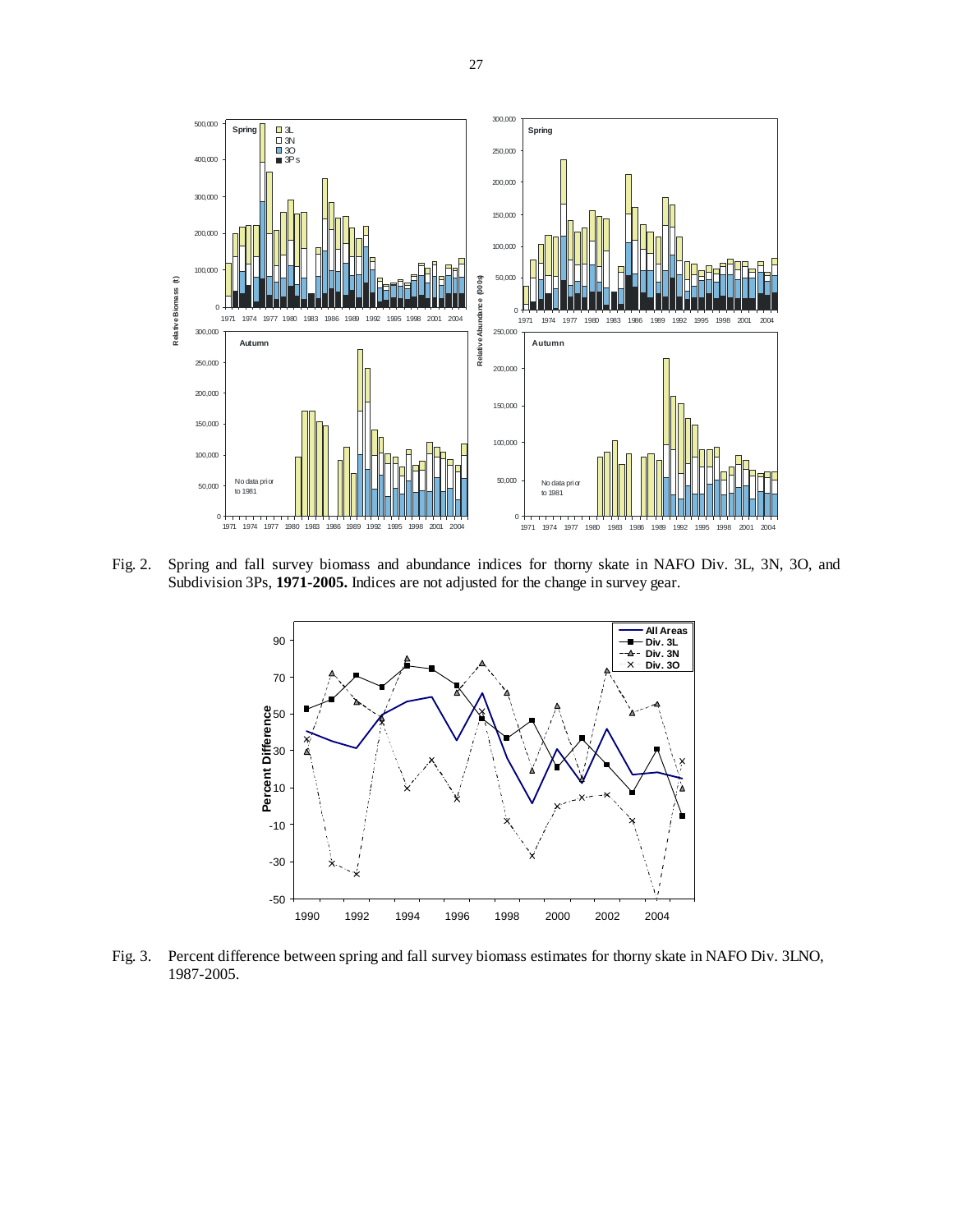

Fig. 2. Spring and fall survey biomass and abundance indices for thorny skate in NAFO Div. 3L, 3N, 3O, and Subdivision 3Ps, **1971-2005.** Indices are not adjusted for the change in survey gear.



Fig. 3. Percent difference between spring and fall survey biomass estimates for thorny skate in NAFO Div. 3LNO, 1987-2005.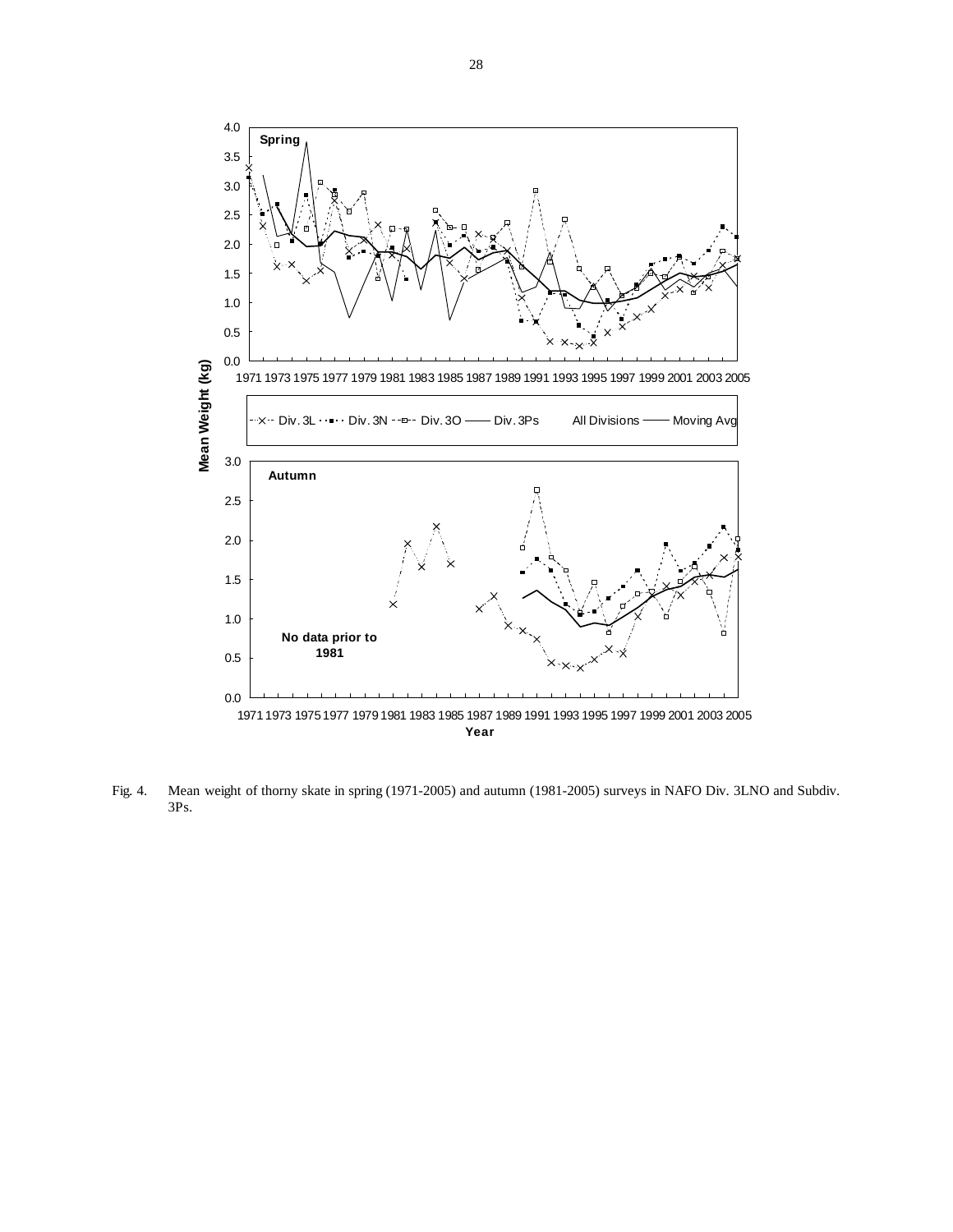

Fig. 4. Mean weight of thorny skate in spring (1971-2005) and autumn (1981-2005) surveys in NAFO Div. 3LNO and Subdiv.

3Ps.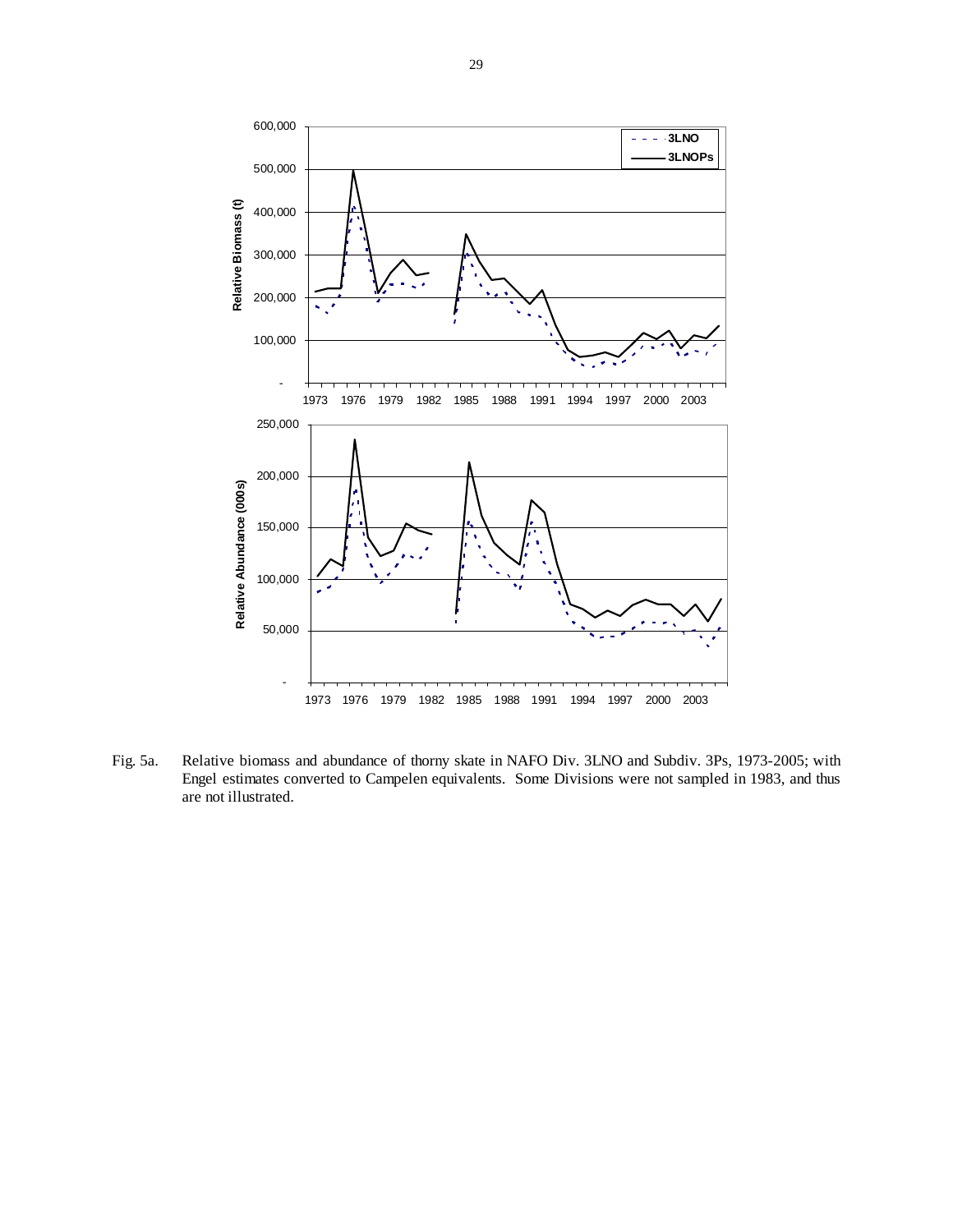

Fig. 5a. Relative biomass and abundance of thorny skate in NAFO Div. 3LNO and Subdiv. 3Ps, 1973-2005; with Engel estimates converted to Campelen equivalents. Some Divisions were not sampled in 1983, and thus are not illustrated.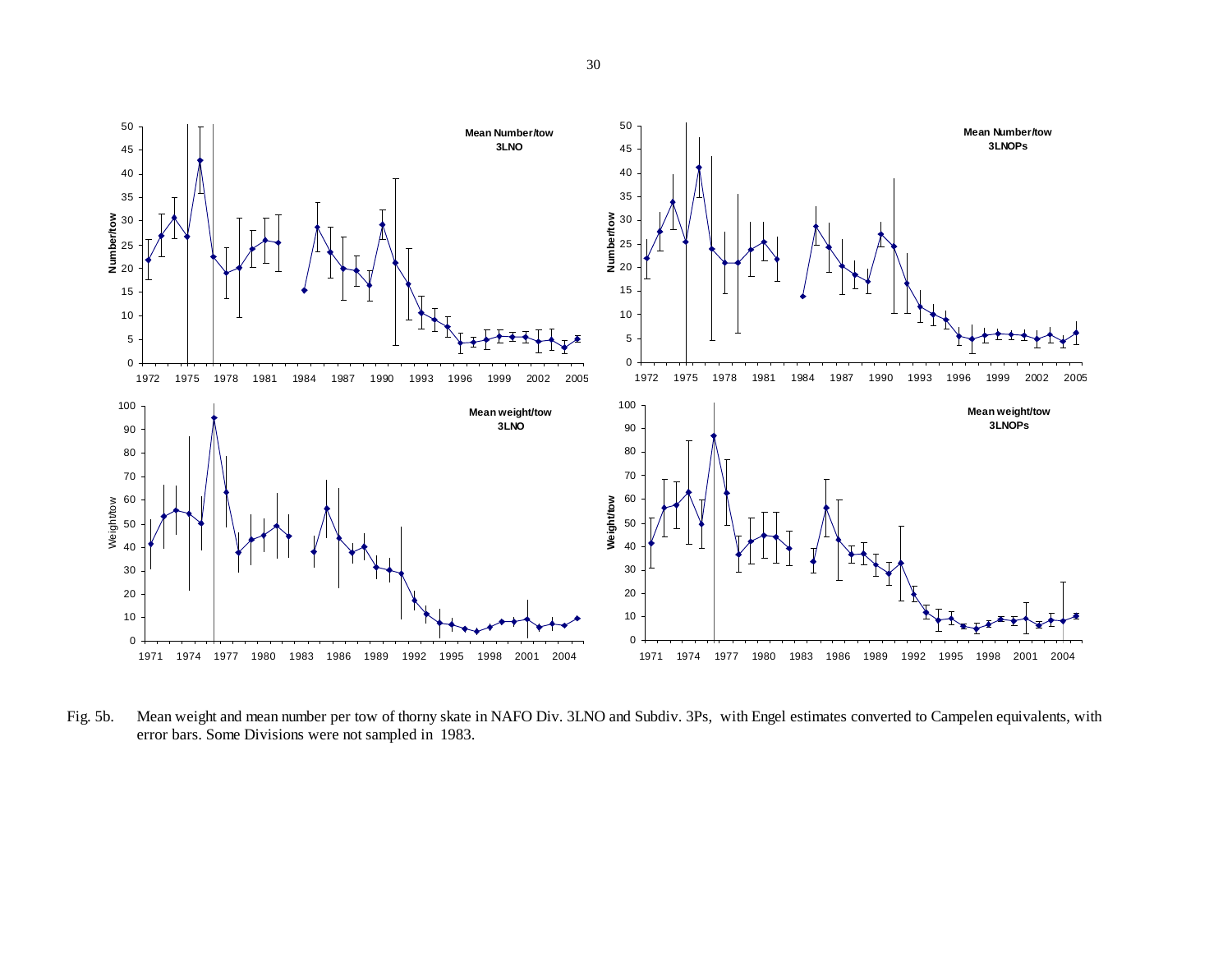

Fig. 5b. Mean weight and mean number per tow of thorny skate in NAFO Div. 3LNO and Subdiv. 3Ps, with Engel estimates converted to Campelen equivalents, with error bars. Some Divisions were not sampled in 1983.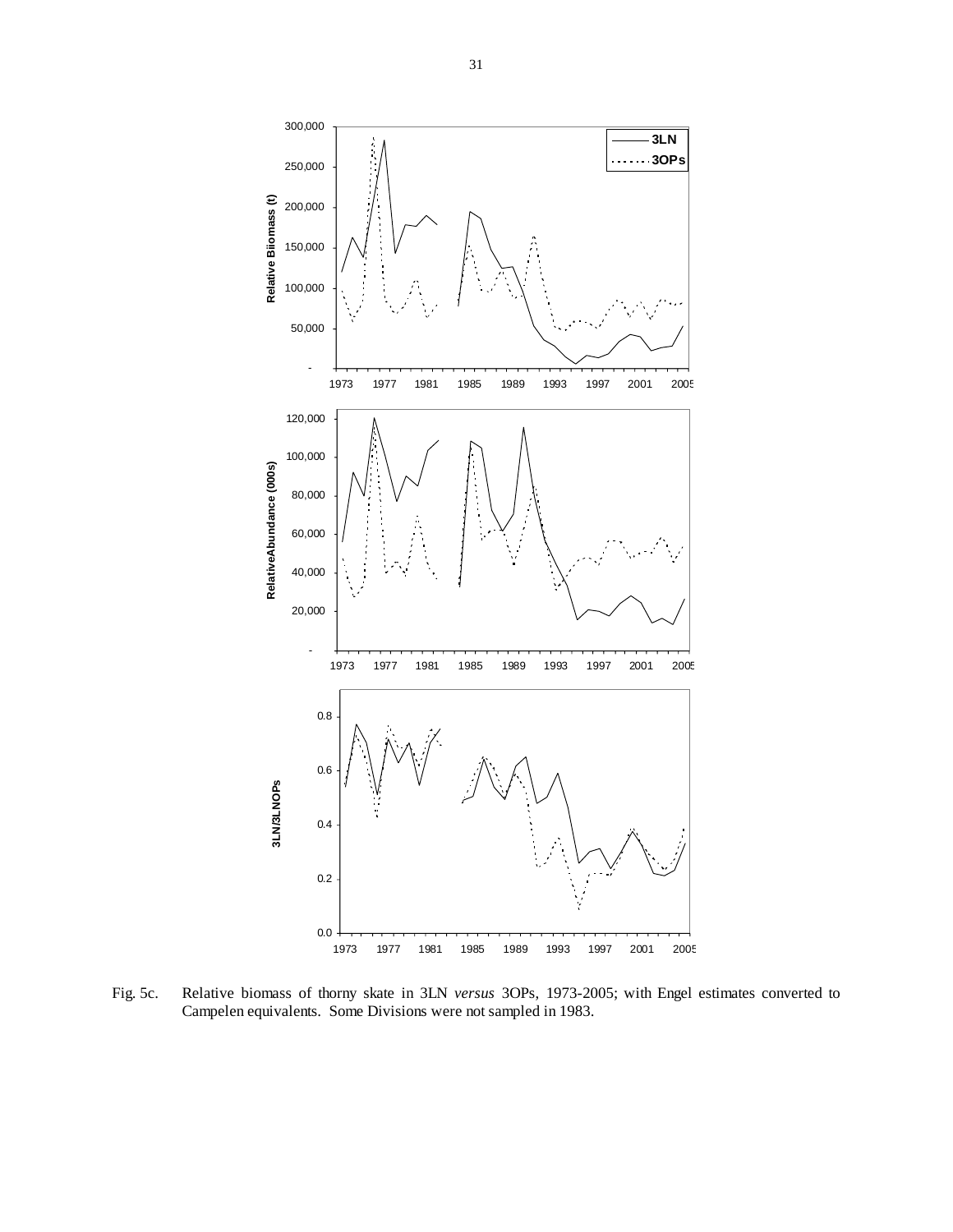

Fig. 5c. Relative biomass of thorny skate in 3LN *versus* 3OPs, 1973-2005; with Engel estimates converted to Campelen equivalents. Some Divisions were not sampled in 1983.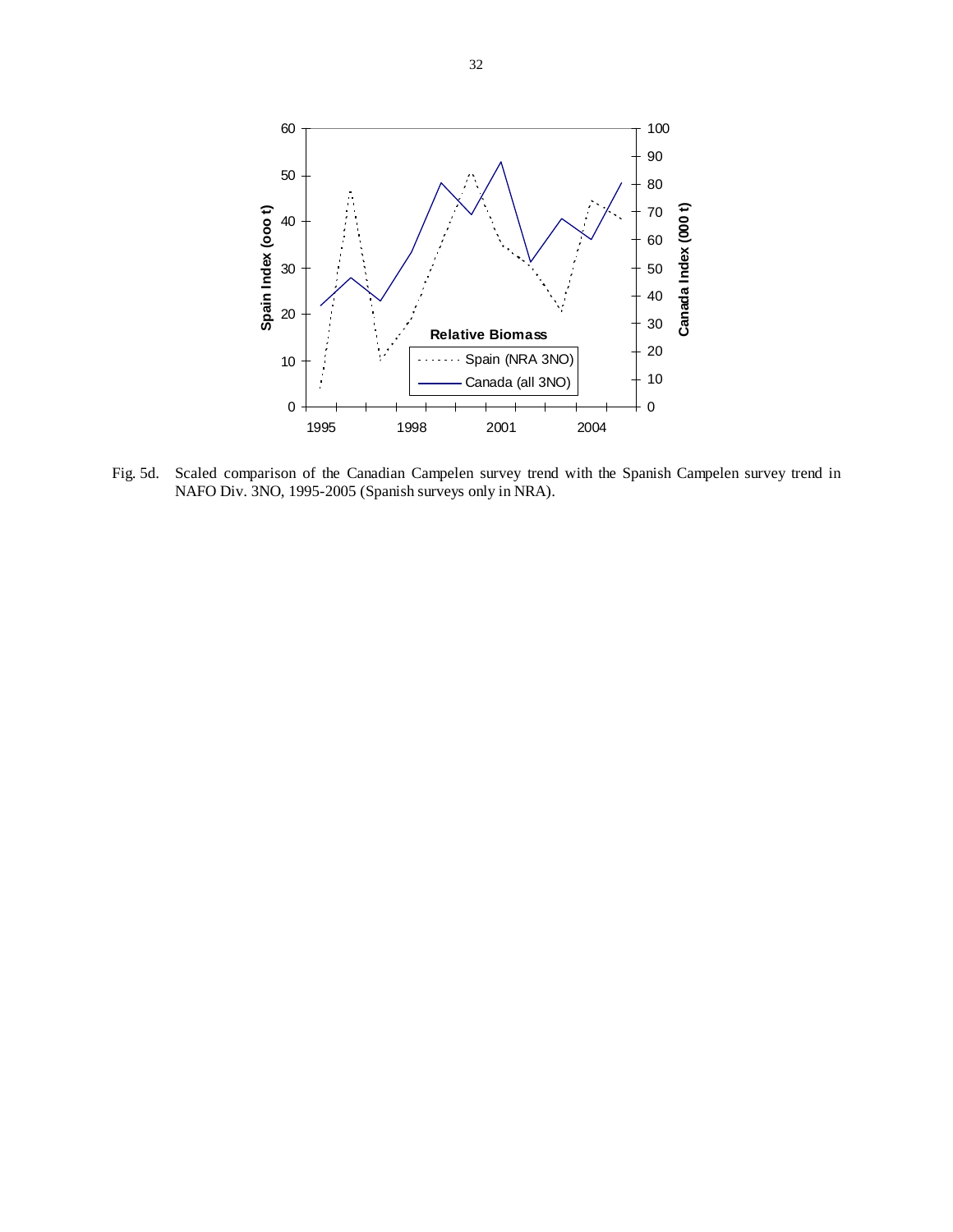

Fig. 5d. Scaled comparison of the Canadian Campelen survey trend with the Spanish Campelen survey trend in NAFO Div. 3NO, 1995-2005 (Spanish surveys only in NRA).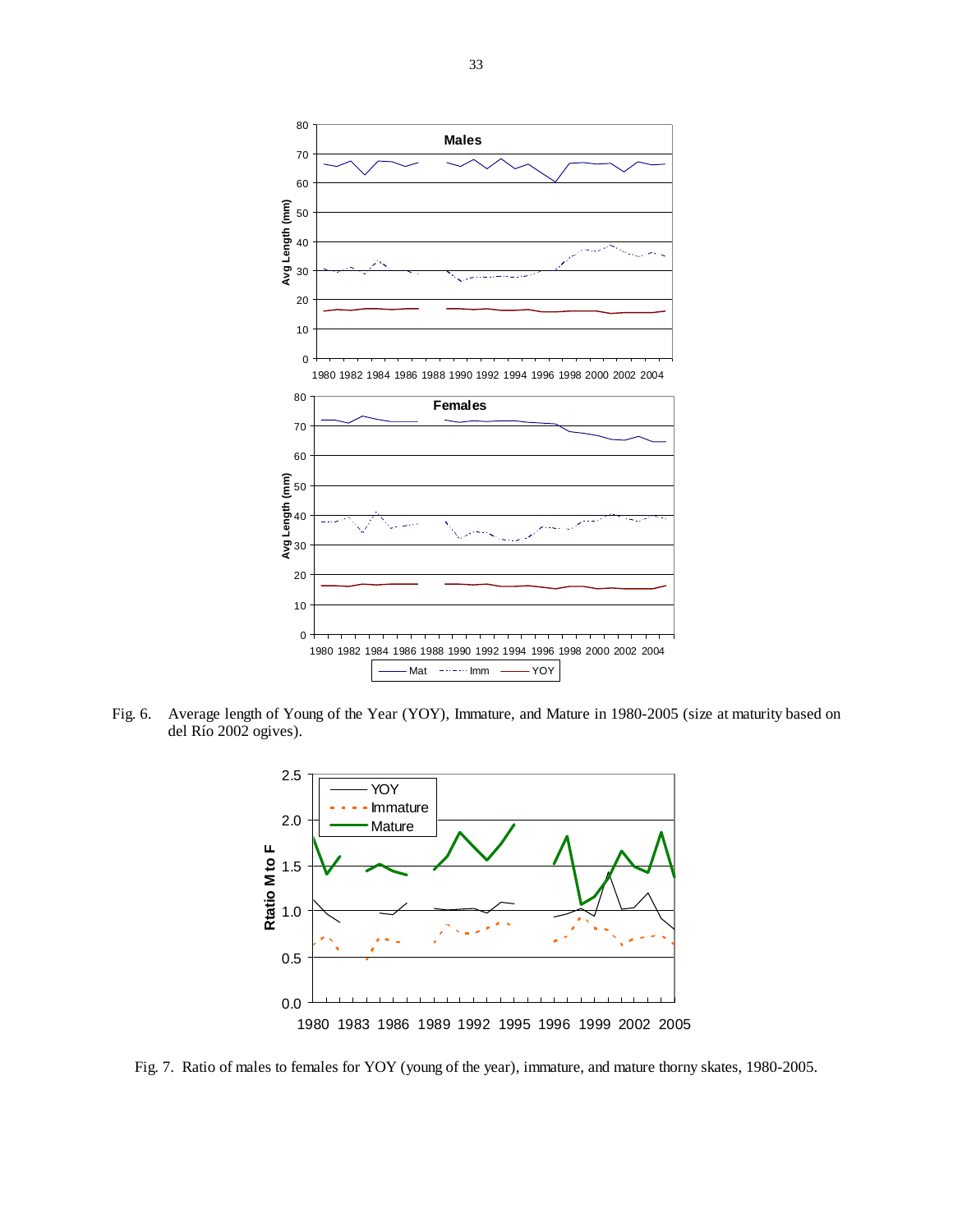

Fig. 6. Average length of Young of the Year (YOY), Immature, and Mature in 1980-2005 (size at maturity based on del Río 2002 ogives).



Fig. 7. Ratio of males to females for YOY (young of the year), immature, and mature thorny skates, 1980-2005.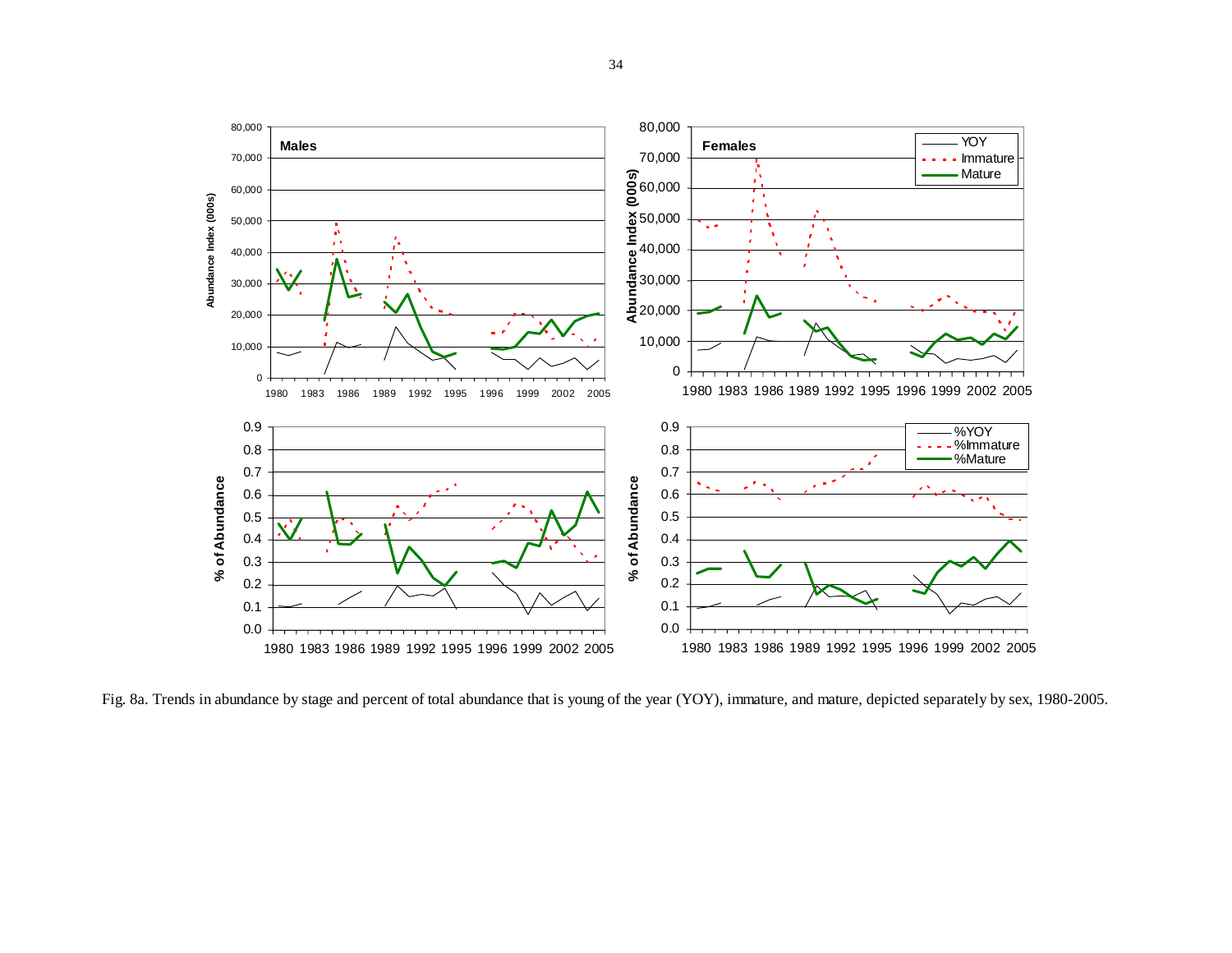

Fig. 8a. Trends in abundance by stage and percent of total abundance that is young of the year (YOY), immature, and mature, depicted separately by sex, 1980-2005.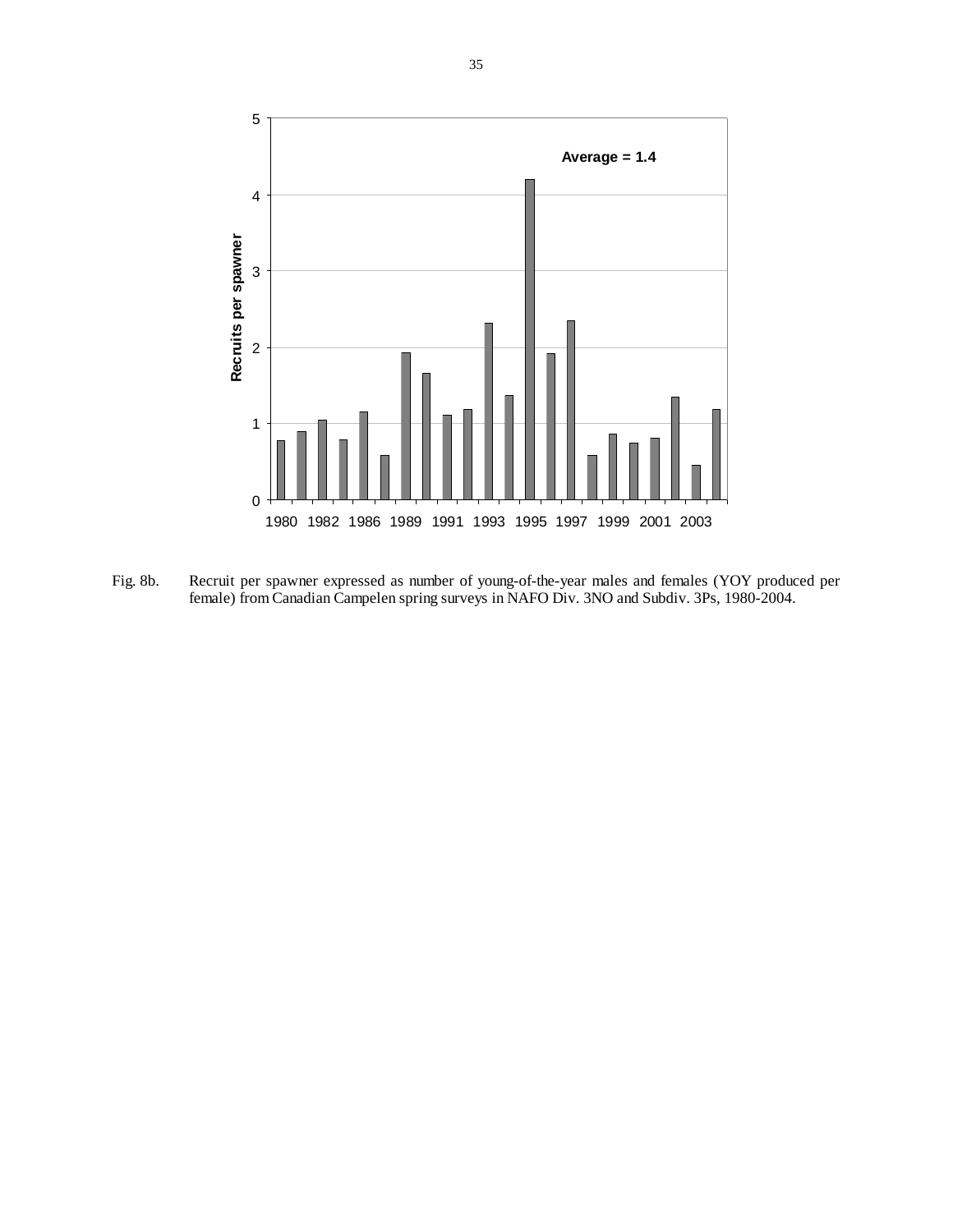

Fig. 8b. Recruit per spawner expressed as number of young-of-the-year males and females (YOY produced per female) from Canadian Campelen spring surveys in NAFO Div. 3NO and Subdiv. 3Ps, 1980-2004.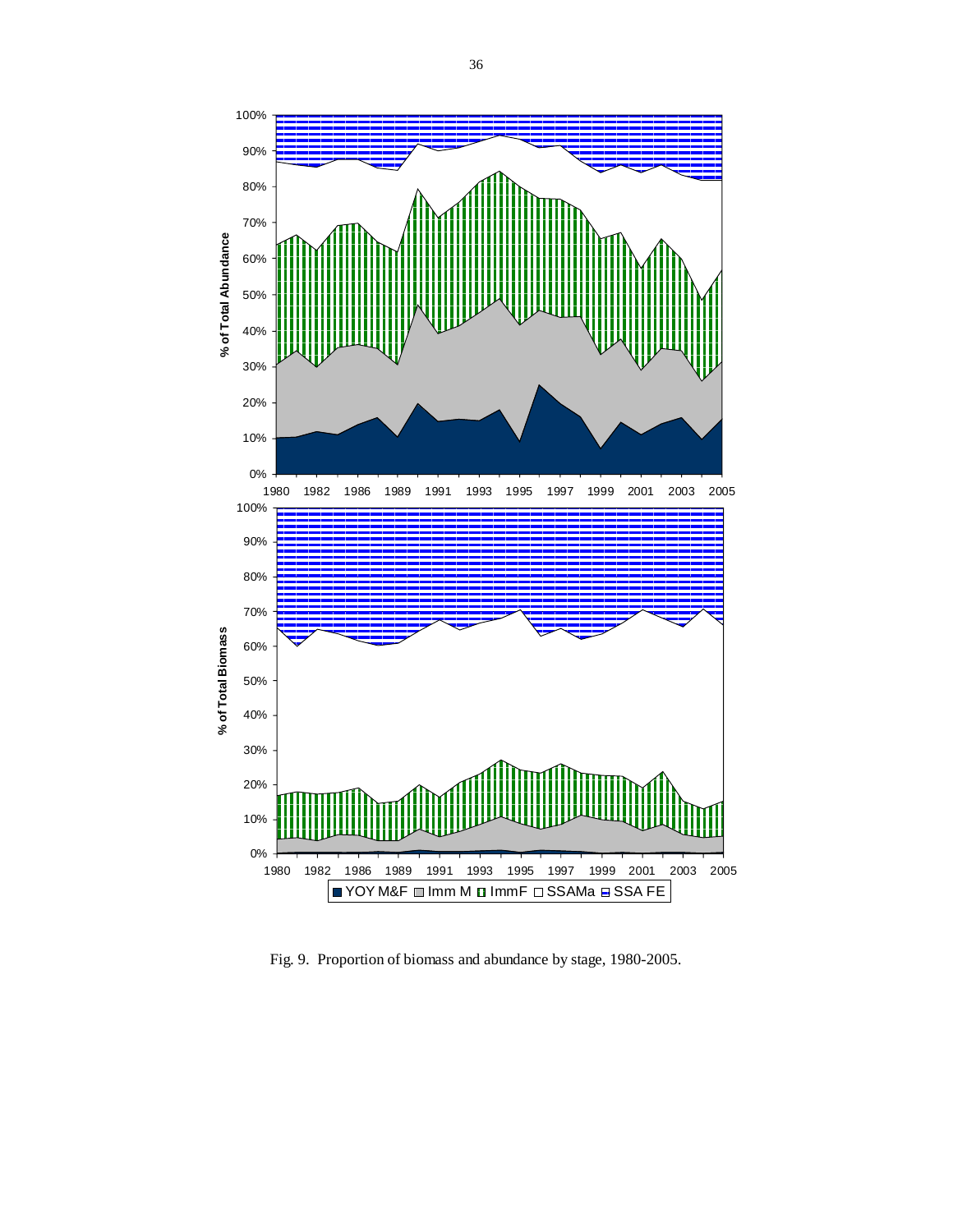

Fig. 9. Proportion of biomass and abundance by stage, 1980-2005.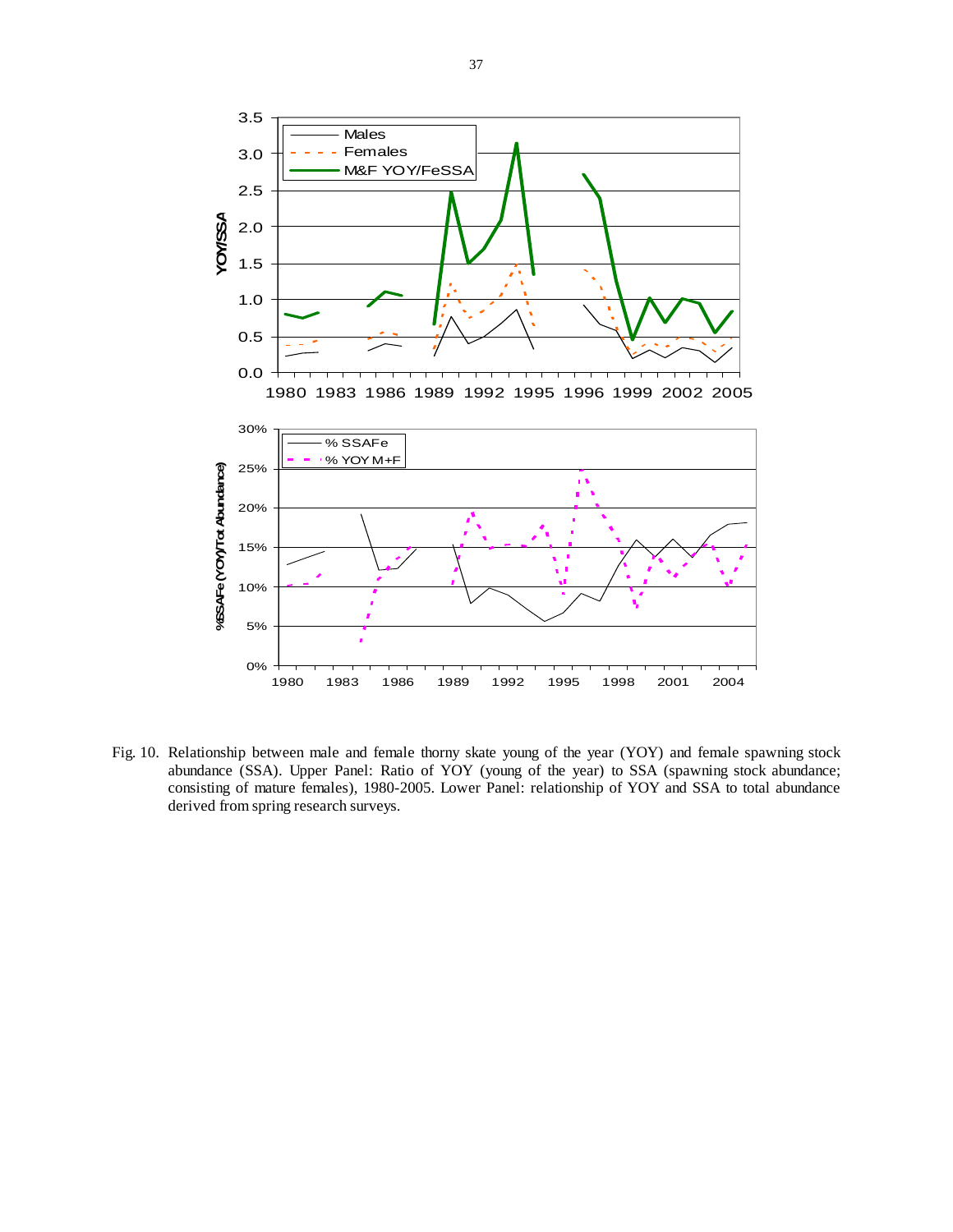

Fig. 10. Relationship between male and female thorny skate young of the year (YOY) and female spawning stock abundance (SSA). Upper Panel: Ratio of YOY (young of the year) to SSA (spawning stock abundance; consisting of mature females), 1980-2005. Lower Panel: relationship of YOY and SSA to total abundance derived from spring research surveys.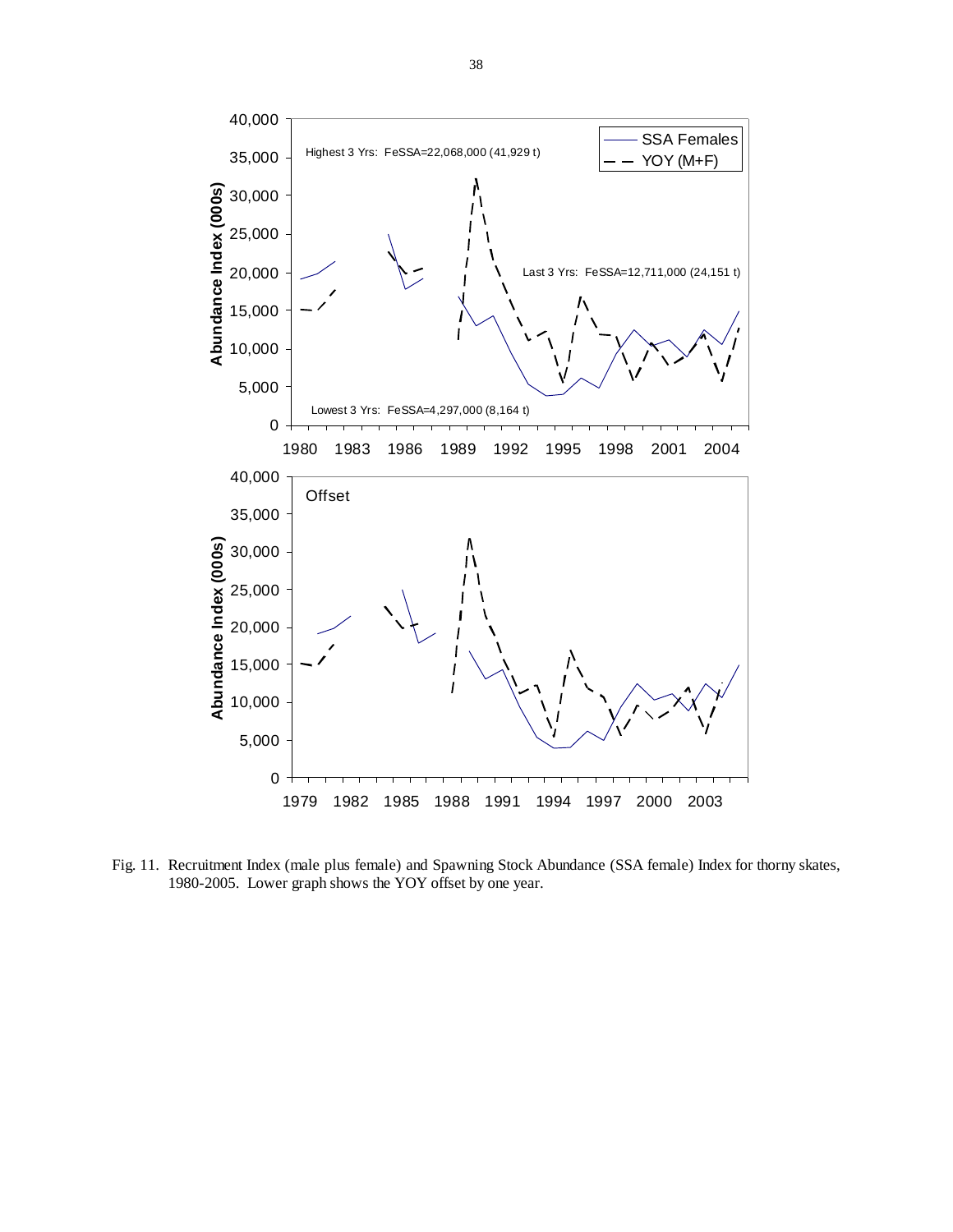

Fig. 11. Recruitment Index (male plus female) and Spawning Stock Abundance (SSA female) Index for thorny skates, 1980-2005. Lower graph shows the YOY offset by one year.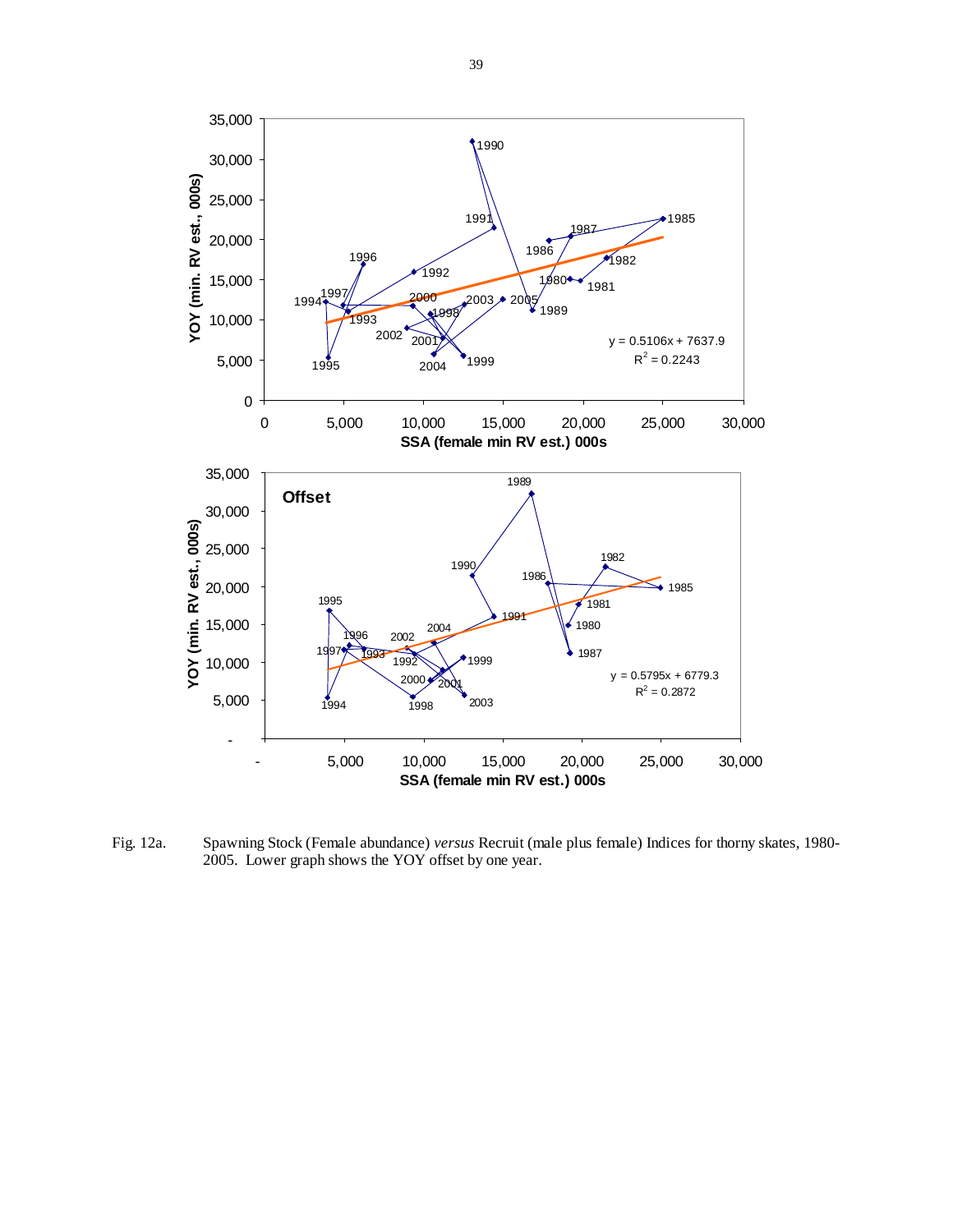![](_page_38_Figure_0.jpeg)

Fig. 12a. Spawning Stock (Female abundance) *versus* Recruit (male plus female) Indices for thorny skates, 1980- 2005. Lower graph shows the YOY offset by one year.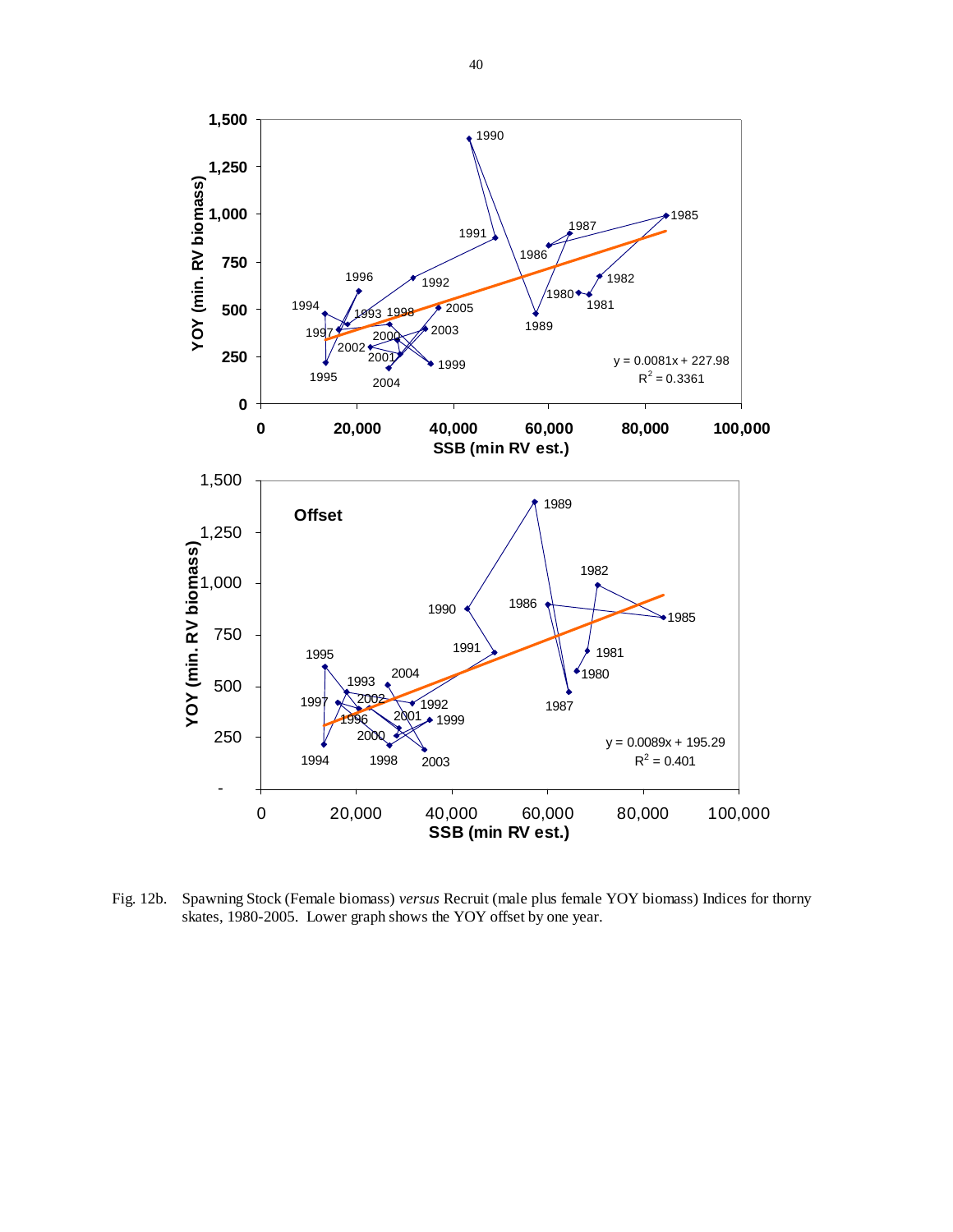![](_page_39_Figure_0.jpeg)

Fig. 12b. Spawning Stock (Female biomass) *versus* Recruit (male plus female YOY biomass) Indices for thorny skates, 1980-2005. Lower graph shows the YOY offset by one year.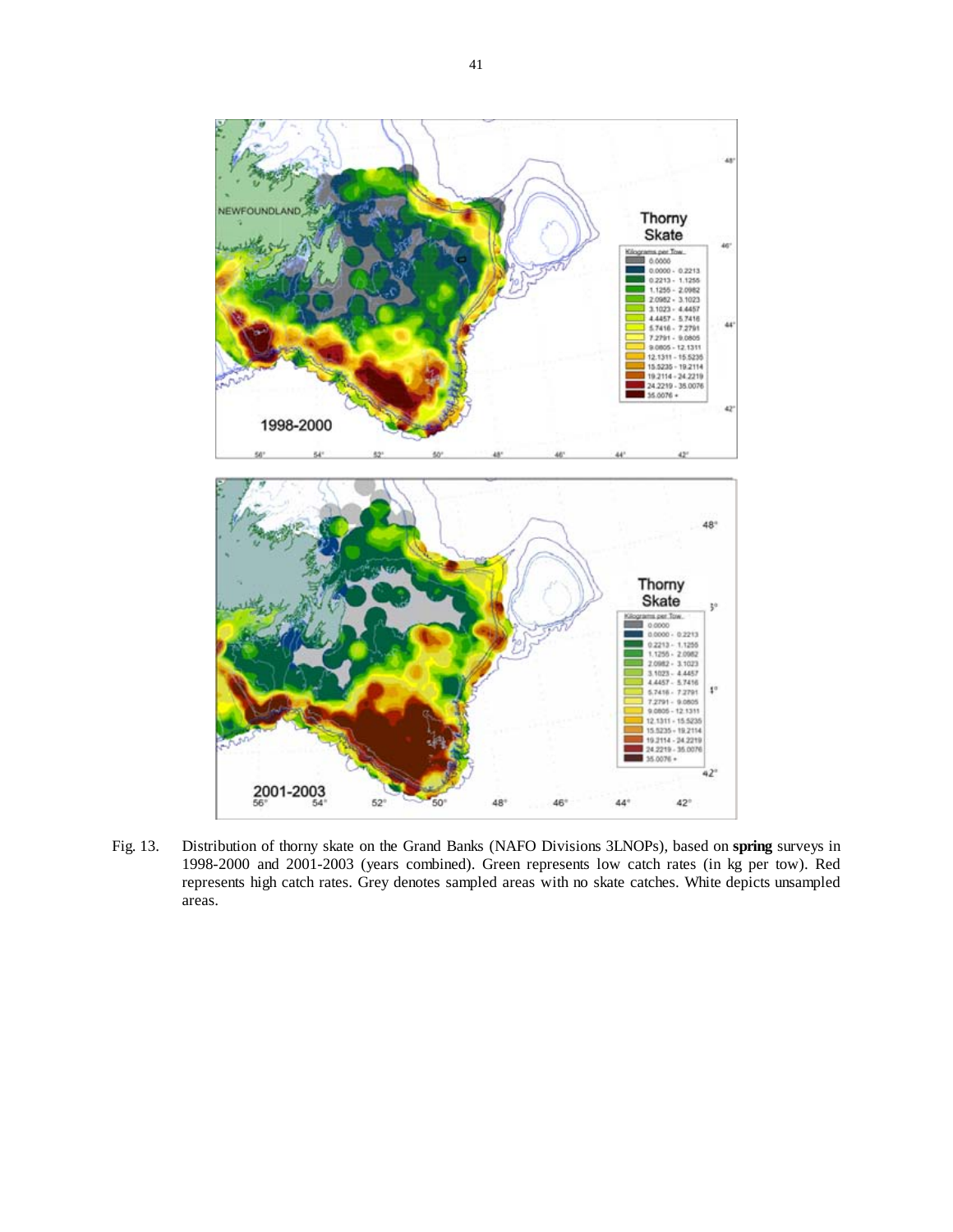![](_page_40_Figure_0.jpeg)

Fig. 13. Distribution of thorny skate on the Grand Banks (NAFO Divisions 3LNOPs), based on **spring** surveys in 1998-2000 and 2001-2003 (years combined). Green represents low catch rates (in kg per tow). Red represents high catch rates. Grey denotes sampled areas with no skate catches. White depicts unsampled areas.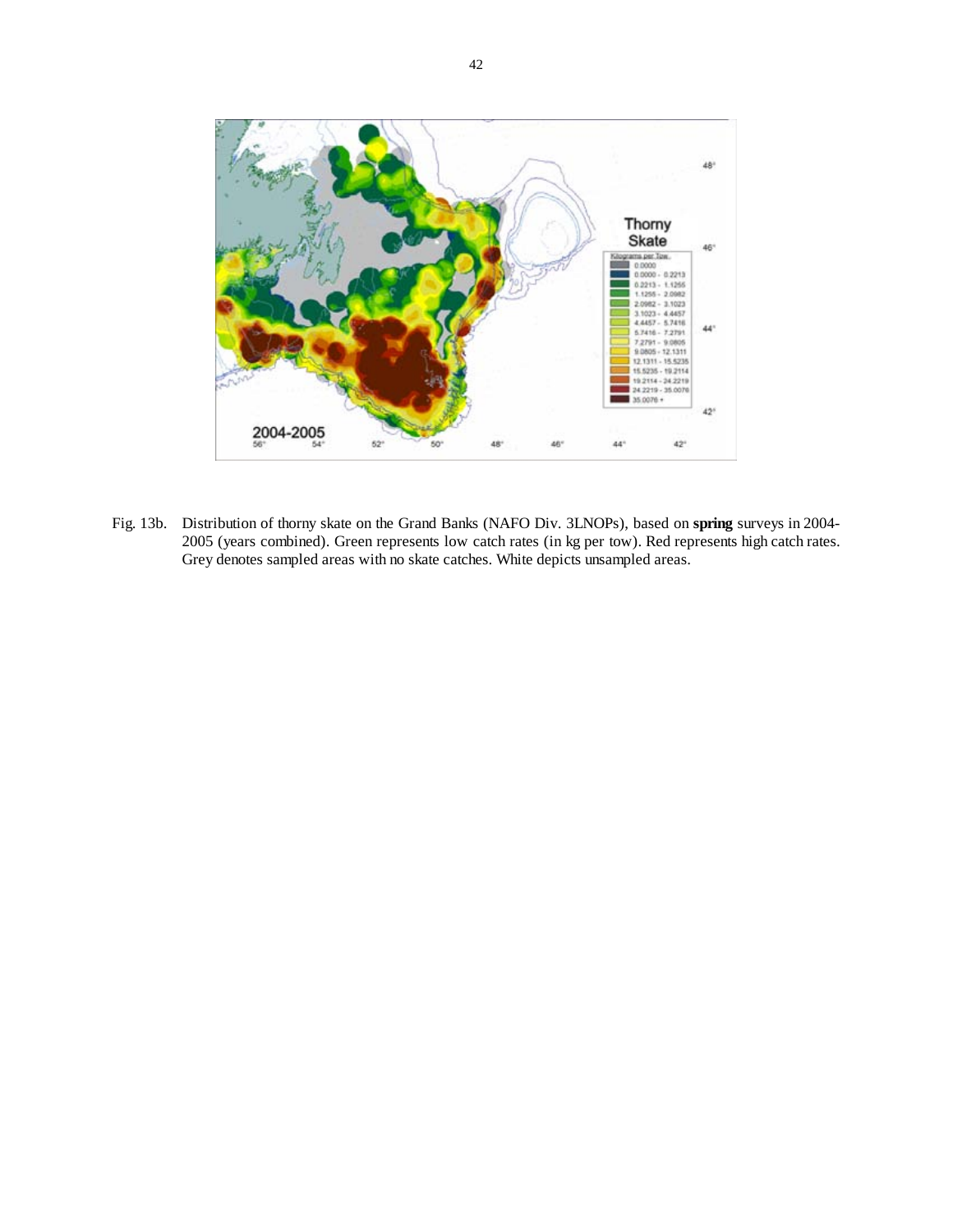![](_page_41_Picture_0.jpeg)

Fig. 13b. Distribution of thorny skate on the Grand Banks (NAFO Div. 3LNOPs), based on **spring** surveys in 2004- 2005 (years combined). Green represents low catch rates (in kg per tow). Red represents high catch rates. Grey denotes sampled areas with no skate catches. White depicts unsampled areas.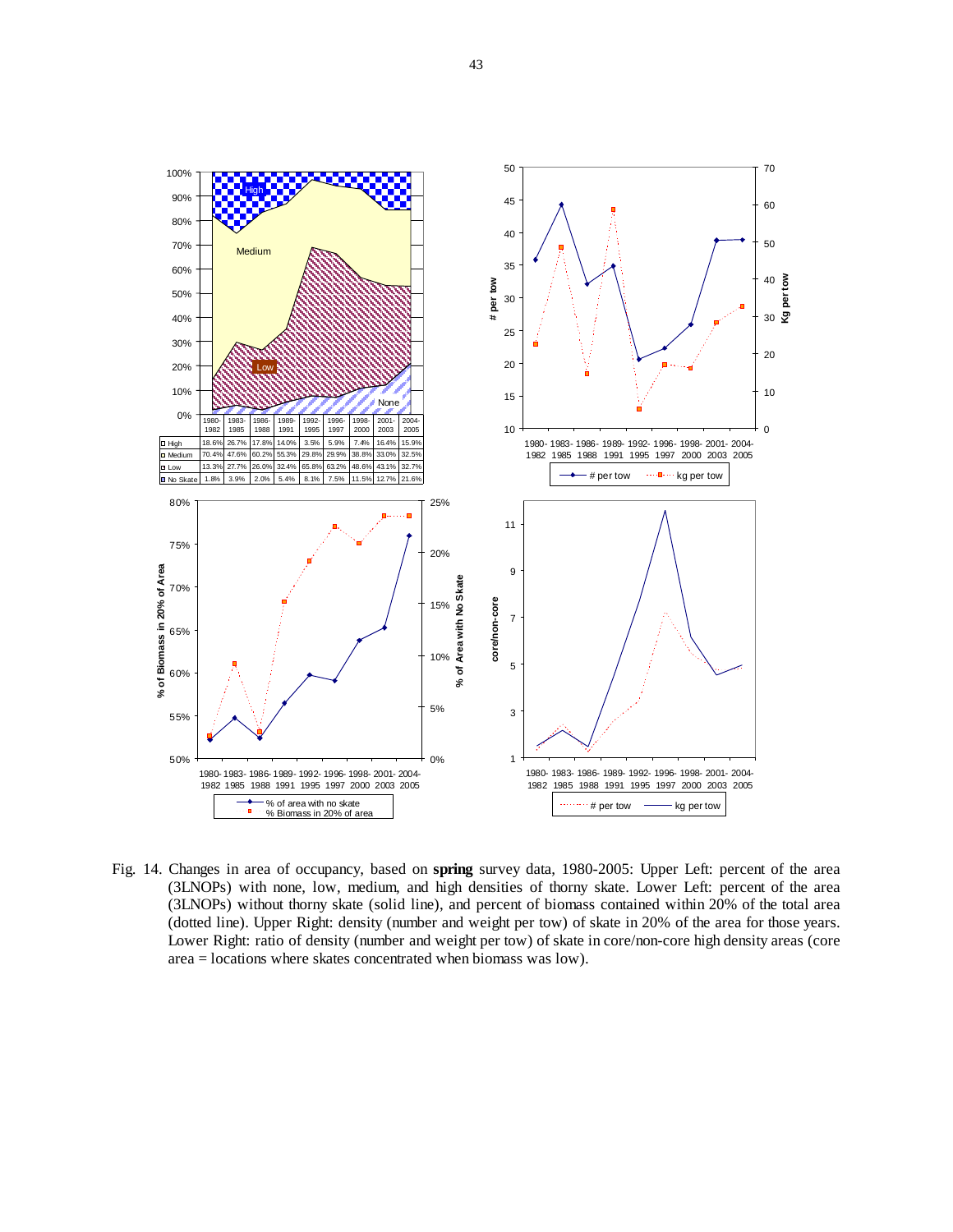![](_page_42_Figure_0.jpeg)

Fig. 14. Changes in area of occupancy, based on **spring** survey data, 1980-2005: Upper Left: percent of the area (3LNOPs) with none, low, medium, and high densities of thorny skate. Lower Left: percent of the area (3LNOPs) without thorny skate (solid line), and percent of biomass contained within 20% of the total area (dotted line). Upper Right: density (number and weight per tow) of skate in 20% of the area for those years. Lower Right: ratio of density (number and weight per tow) of skate in core/non-core high density areas (core area = locations where skates concentrated when biomass was low).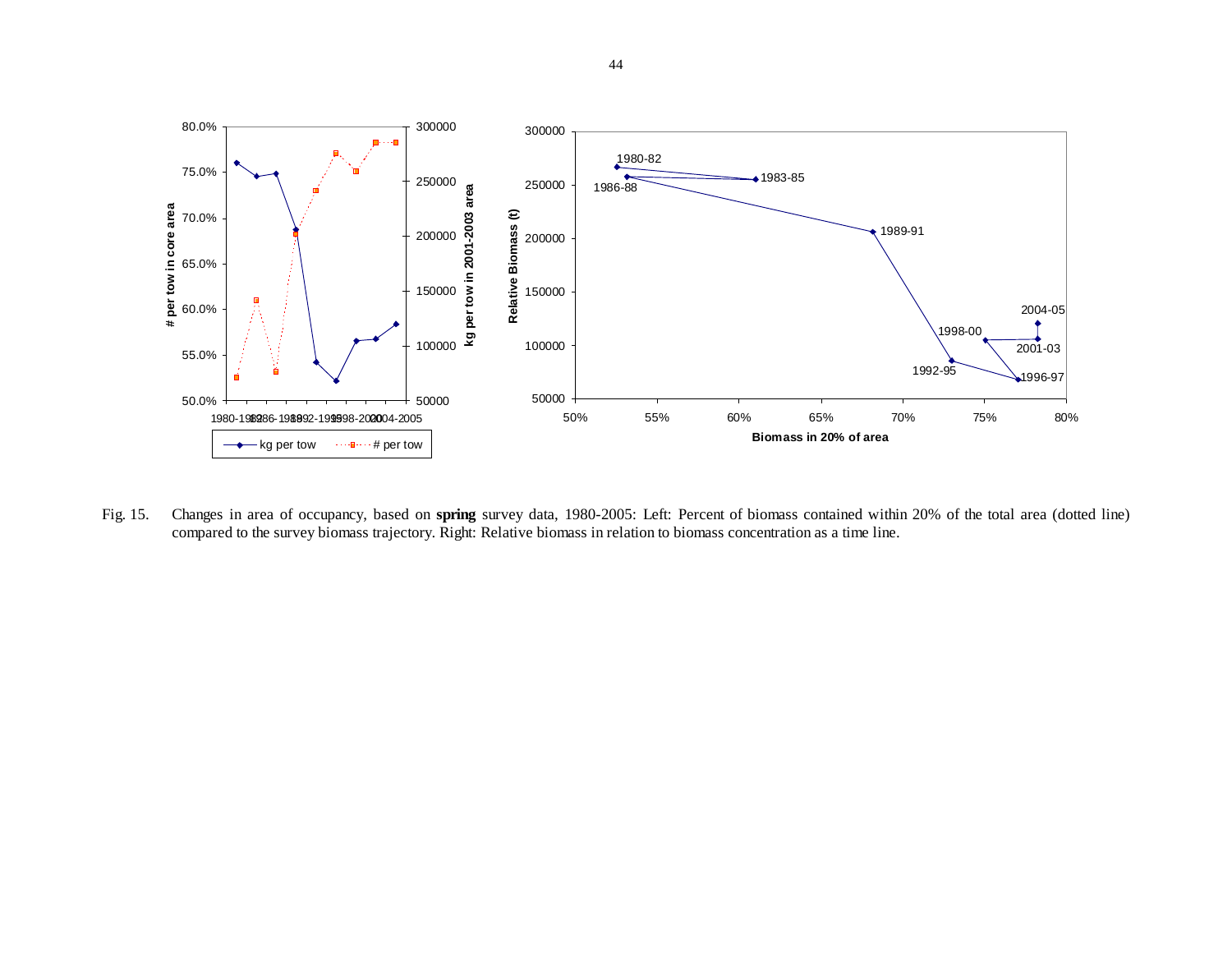![](_page_43_Figure_0.jpeg)

Fig. 15. Changes in area of occupancy, based on **spring** survey data, 1980-2005: Left: Percent of biomass contained within 20% of the total area (dotted line) compared to the survey biomass trajectory. Right: Relative biomass in relation to biomass concentration as a time line.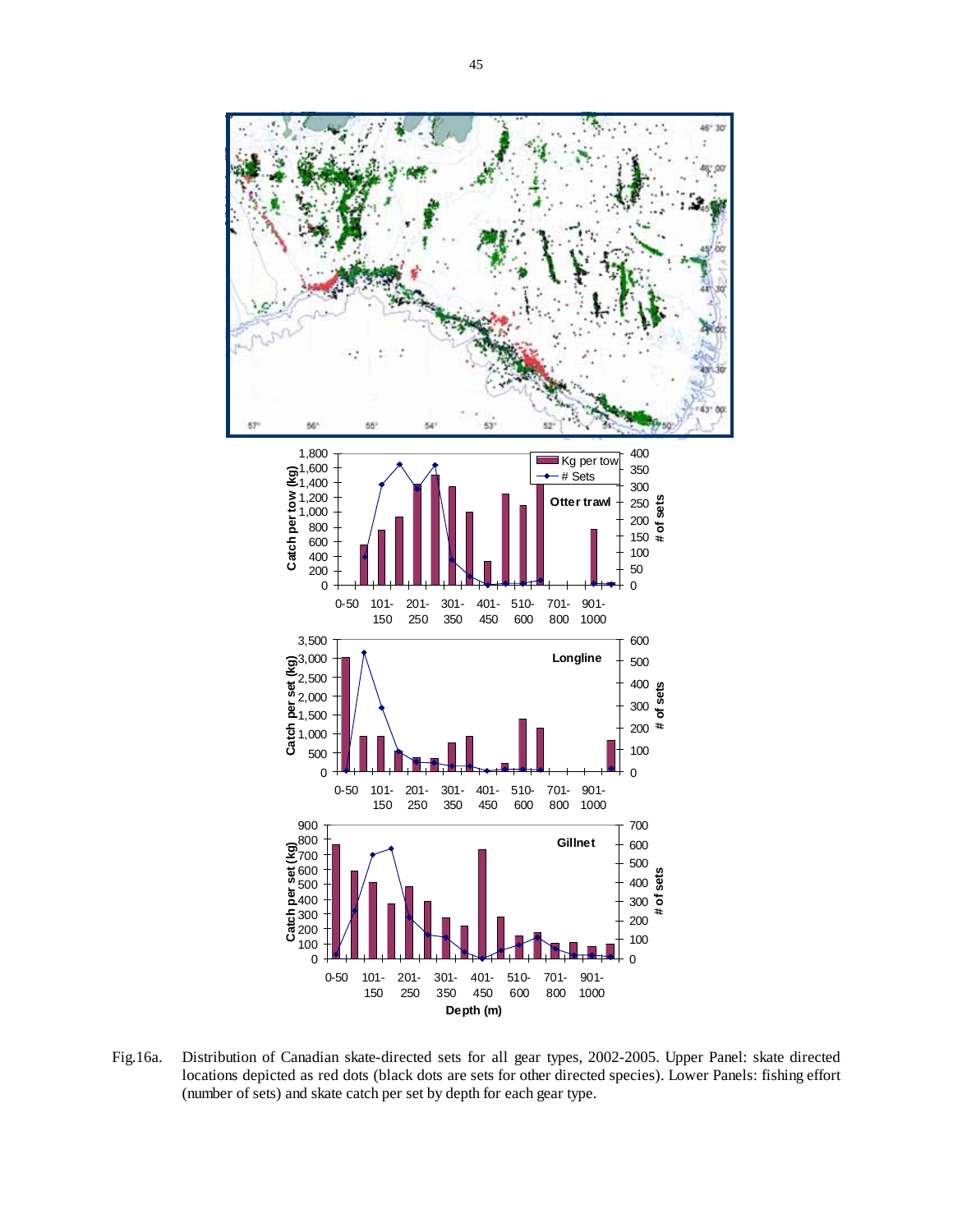45

![](_page_44_Figure_1.jpeg)

Fig.16a. Distribution of Canadian skate-directed sets for all gear types, 2002-2005. Upper Panel: skate directed locations depicted as red dots (black dots are sets for other directed species). Lower Panels: fishing effort (number of sets) and skate catch per set by depth for each gear type.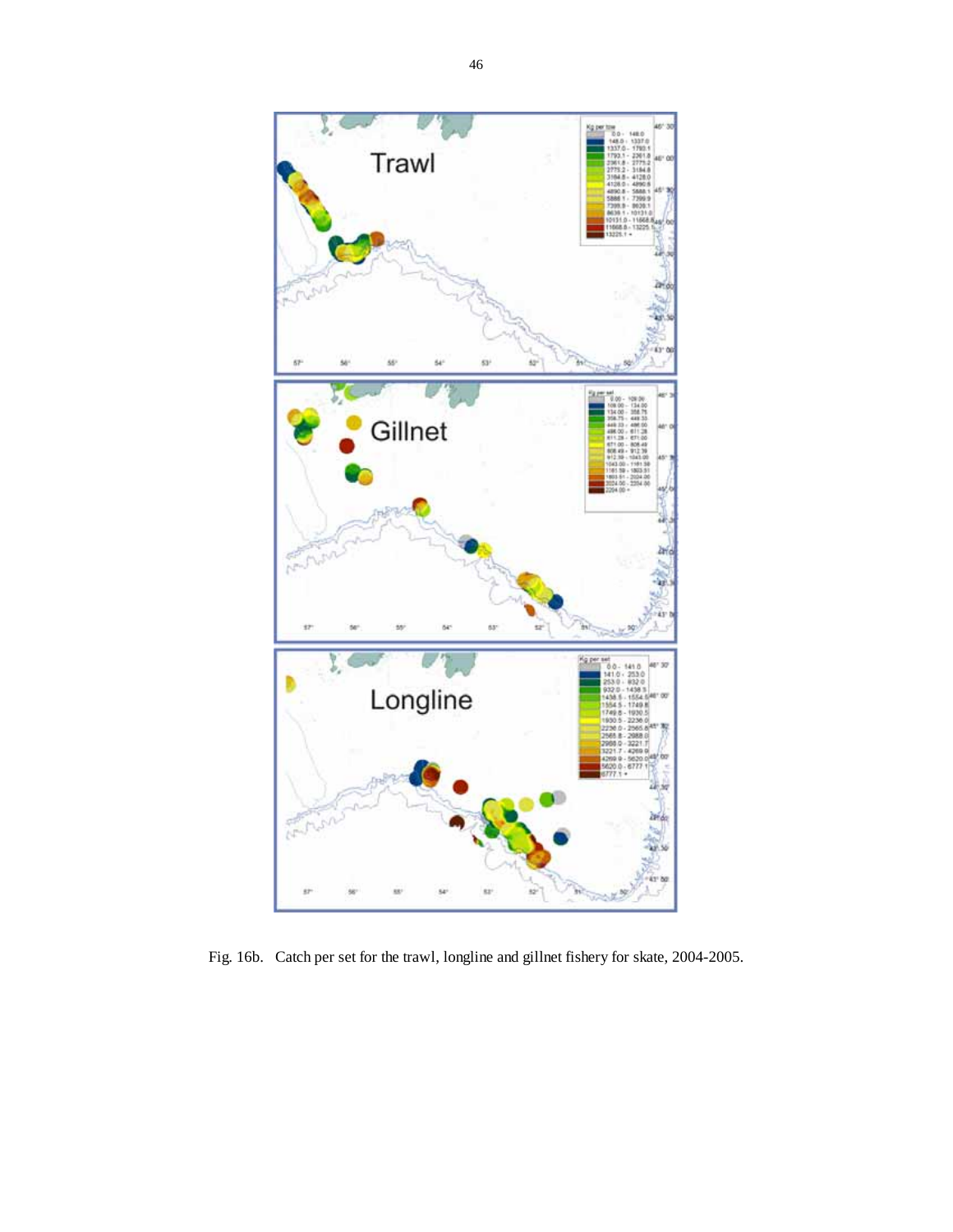![](_page_45_Figure_0.jpeg)

Fig. 16b. Catch per set for the trawl, longline and gillnet fishery for skate, 2004-2005.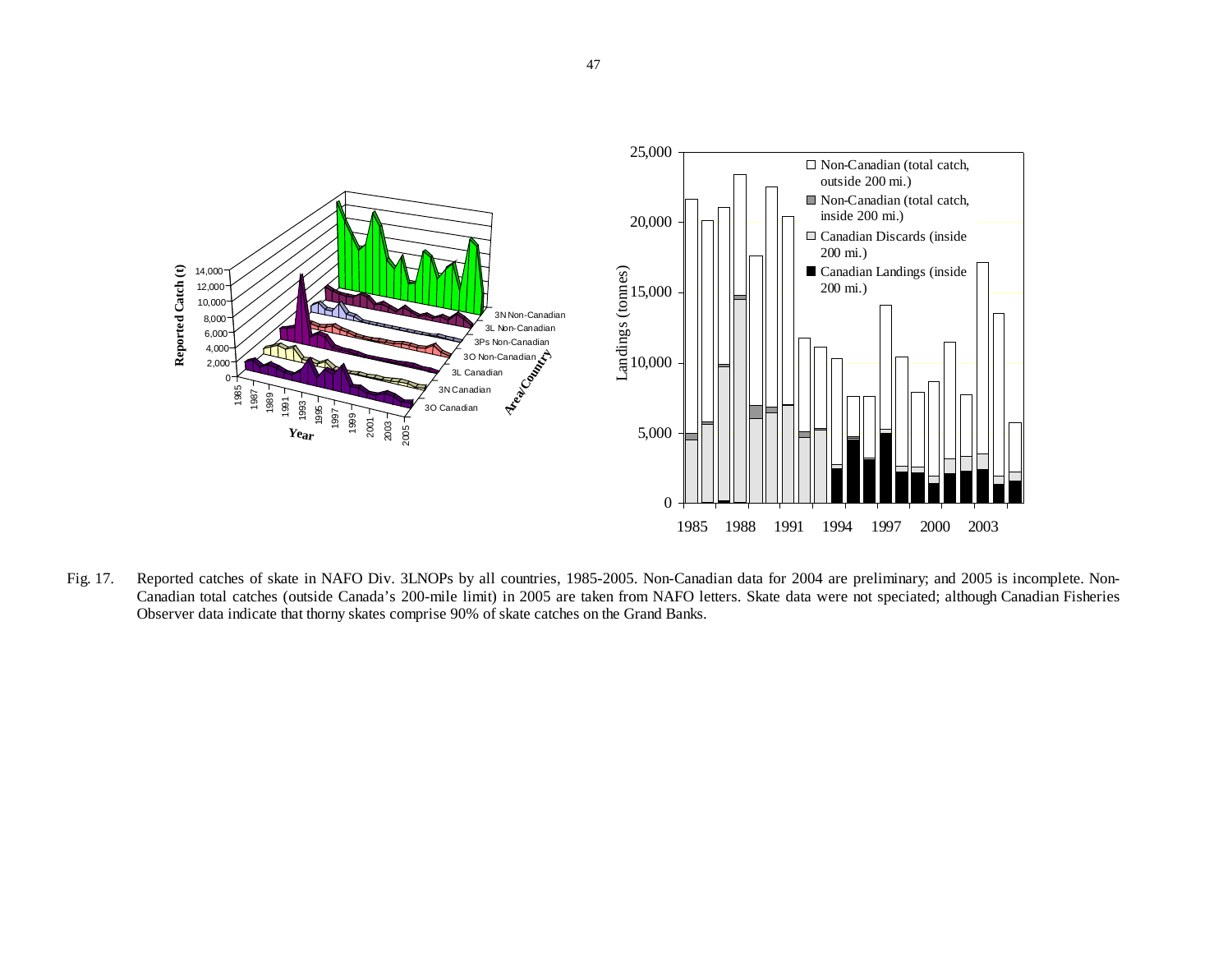![](_page_46_Figure_0.jpeg)

Fig. 17. Reported catches of skate in NAFO Div. 3LNOPs by all countries, 1985-2005. Non-Canadian data for 2004 are preliminary; and 2005 is incomplete. Non-Canadian total catches (outside Canada's 200-mile limit) in 2005 are taken from NAFO letters. Skate data were not speciated; although Canadian Fisheries Observer data indicate that thorny skates comprise 90% of skate catches on the Grand Banks.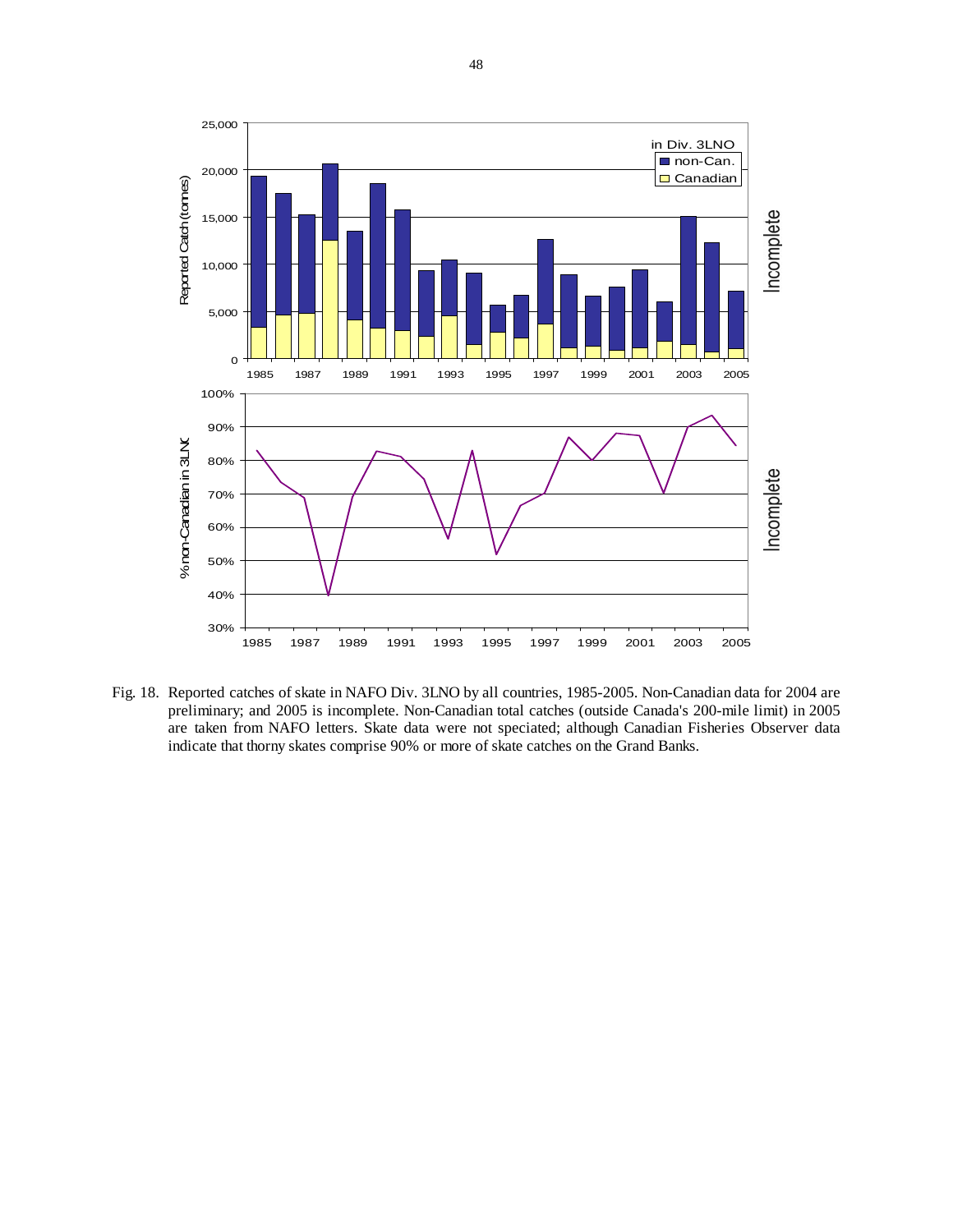![](_page_47_Figure_0.jpeg)

Fig. 18. Reported catches of skate in NAFO Div. 3LNO by all countries, 1985-2005. Non-Canadian data for 2004 are preliminary; and 2005 is incomplete. Non-Canadian total catches (outside Canada's 200-mile limit) in 2005 are taken from NAFO letters. Skate data were not speciated; although Canadian Fisheries Observer data indicate that thorny skates comprise 90% or more of skate catches on the Grand Banks.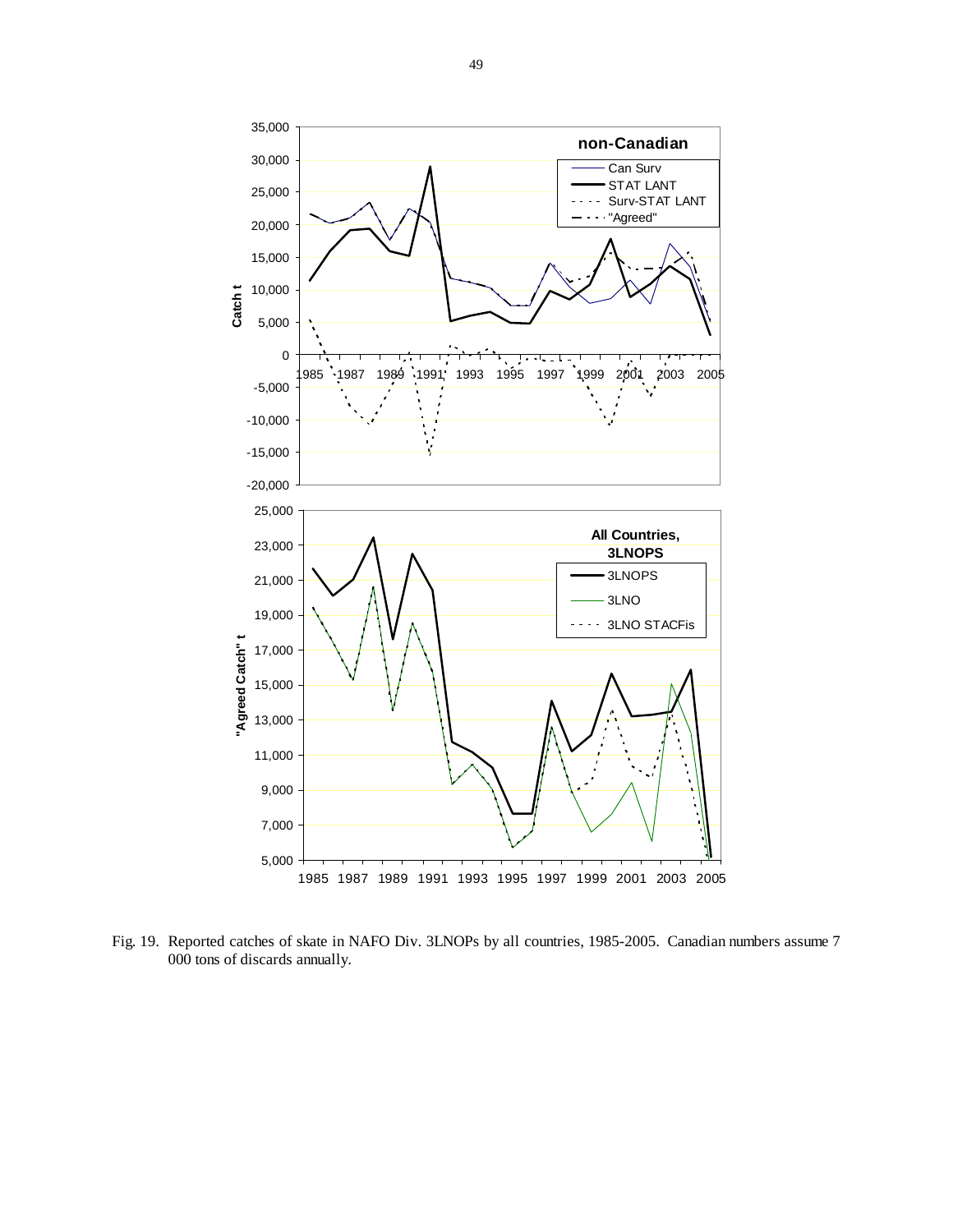![](_page_48_Figure_0.jpeg)

Fig. 19. Reported catches of skate in NAFO Div. 3LNOPs by all countries, 1985-2005. Canadian numbers assume 7 000 tons of discards annually.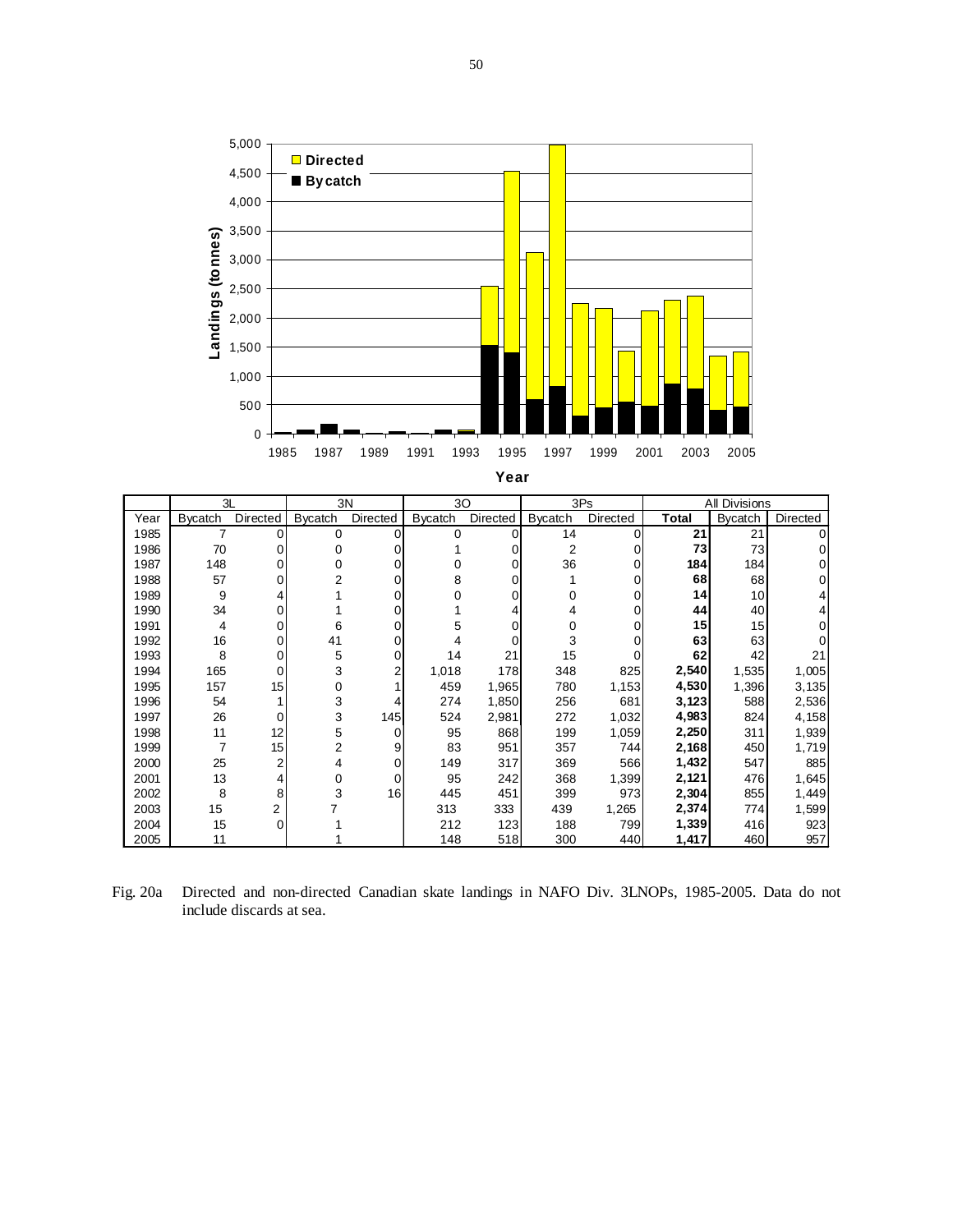![](_page_49_Figure_0.jpeg)

| I<br>. .<br>×<br>۰.<br>٠ |
|--------------------------|
|--------------------------|

|      | 3L<br>3N       |          |                | 30       |                | 3Ps      |                | All Divisions |       |         |          |
|------|----------------|----------|----------------|----------|----------------|----------|----------------|---------------|-------|---------|----------|
| Year | <b>Bycatch</b> | Directed | <b>Bycatch</b> | Directed | <b>Bycatch</b> | Directed | <b>Bycatch</b> | Directed      | Total | Bycatch | Directed |
| 1985 |                | 0        | 0              | o        | 0              | 0        | 14             | 0             | 21    | 21      |          |
| 1986 | 70             |          |                |          |                |          | 2              | 0             | 73    | 73      |          |
| 1987 | 148            |          |                |          |                |          | 36             | 0             | 184   | 184     |          |
| 1988 | 57             |          |                |          | 8              |          |                | 0             | 68    | 68      |          |
| 1989 | 9              |          |                |          |                |          | ი              | 0             | 14    | 10      |          |
| 1990 | 34             |          |                |          |                |          | 4              | 0             | 44    | 40      |          |
| 1991 | 4              |          | 6              |          | 5              |          |                | 0             | 15    | 15      |          |
| 1992 | 16             |          | 41             |          | 4              |          | 3              |               | 63    | 63      |          |
| 1993 | 8              |          | 5              |          | 14             | 21       | 15             |               | 62    | 42      | 21       |
| 1994 | 165            |          | 3              |          | 1,018          | 178      | 348            | 825           | 2,540 | 1,535   | 1,005    |
| 1995 | 157            | 15       | 0              |          | 459            | 1,965    | 780            | 1,153         | 4,530 | 1,396   | 3,135    |
| 1996 | 54             |          | 3              |          | 274            | 1,850    | 256            | 681           | 3,123 | 588     | 2,536    |
| 1997 | 26             | 0        | 3              | 145      | 524            | 2,981    | 272            | 1,032         | 4,983 | 824     | 4,158    |
| 1998 | 11             | 12       | 5              | 0        | 95             | 868      | 199            | 1,059         | 2,250 | 311     | 1,939    |
| 1999 |                | 15       | 2              | 9        | 83             | 951      | 357            | 744           | 2,168 | 450     | 1,719    |
| 2000 | 25             |          | 4              | 0        | 149            | 317      | 369            | 566           | 1,432 | 547     | 885      |
| 2001 | 13             |          |                | 0        | 95             | 242      | 368            | 1,399         | 2,121 | 476     | 1,645    |
| 2002 | 8              | 8        | 3              | 16       | 445            | 451      | 399            | 973           | 2,304 | 855     | 1,449    |
| 2003 | 15             | 2        |                |          | 313            | 333      | 439            | 1,265         | 2,374 | 774     | 1,599    |
| 2004 | 15             | 0        |                |          | 212            | 123      | 188            | 799           | 1,339 | 416     | 923      |
| 2005 | 11             |          |                |          | 148            | 518      | 300            | 440           | 1,417 | 460     | 957      |

Fig. 20a Directed and non-directed Canadian skate landings in NAFO Div. 3LNOPs, 1985-2005. Data do not include discards at sea.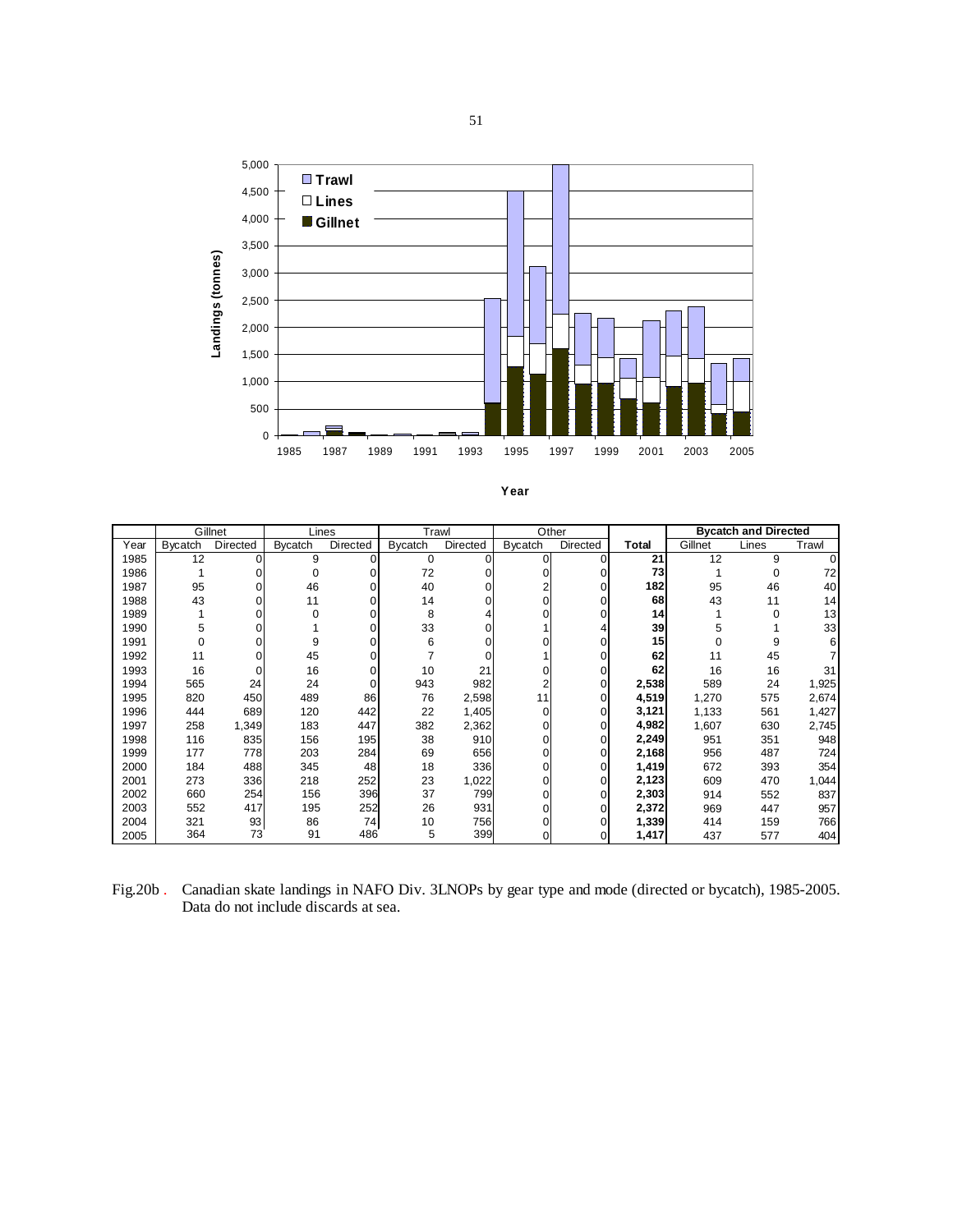![](_page_50_Figure_1.jpeg)

|      | Gillnet        |                 | Lines          |          | Trawl          |              |                | Other    |       |         | <b>Bycatch and Directed</b> |       |
|------|----------------|-----------------|----------------|----------|----------------|--------------|----------------|----------|-------|---------|-----------------------------|-------|
| Year | <b>Bycatch</b> | <b>Directed</b> | <b>Bycatch</b> | Directed | <b>Bycatch</b> | Directed     | <b>Bycatch</b> | Directed | Total | Gillnet | Lines                       | Trawl |
| 1985 | 12             | 0               | 9              | $\Omega$ | $\mathbf 0$    | $\Omega$     | 0              | $\Omega$ | 21    | 12      | 9                           |       |
| 1986 |                |                 | $\Omega$       |          | 72             |              |                |          | 73    |         | 0                           | 72    |
| 1987 | 95             | 0               | 46             |          | 40             | 0            |                |          | 182   | 95      | 46                          | 40    |
| 1988 | 43             |                 | 11             |          | 14             |              |                |          | 68    | 43      | 11                          | 14    |
| 1989 |                |                 | $\Omega$       |          | 8              |              |                |          | 14    |         | 0                           | 13    |
| 1990 | 5              | 0               |                |          | 33             | $\Omega$     |                |          | 39    | 5       |                             | 33    |
| 1991 |                |                 | 9              |          | 6              |              |                |          | 15    | 0       | 9                           |       |
| 1992 | 11             |                 | 45             |          |                | <sup>0</sup> |                |          | 62    | 11      | 45                          |       |
| 1993 | 16             | 0               | 16             |          | 10             | 21           |                |          | 62    | 16      | 16                          | 31    |
| 1994 | 565            | 24              | 24             |          | 943            | 982          |                |          | 2,538 | 589     | 24                          | 1,925 |
| 1995 | 820            | 450             | 489            | 86       | 76             | 2,598        | 11             | 0        | 4,519 | 1,270   | 575                         | 2,674 |
| 1996 | 444            | 689             | 120            | 442      | 22             | 1,405        | 0              |          | 3,121 | 1,133   | 561                         | 1,427 |
| 1997 | 258            | 1,349           | 183            | 447      | 382            | 2,362        |                |          | 4,982 | 1,607   | 630                         | 2,745 |
| 1998 | 116            | 835             | 156            | 195      | 38             | 910          | 0              |          | 2,249 | 951     | 351                         | 948   |
| 1999 | 177            | 778             | 203            | 284      | 69             | 656          |                |          | 2,168 | 956     | 487                         | 724   |
| 2000 | 184            | 488             | 345            | 48       | 18             | 336          | 0              | 0        | 1,419 | 672     | 393                         | 354   |
| 2001 | 273            | 336             | 218            | 252      | 23             | 1,022        | 0              |          | 2,123 | 609     | 470                         | 1,044 |
| 2002 | 660            | 254             | 156            | 396      | 37             | 799          |                |          | 2,303 | 914     | 552                         | 837   |
| 2003 | 552            | 417             | 195            | 252      | 26             | 931          |                |          | 2,372 | 969     | 447                         | 957   |
| 2004 | 321            | 93              | 86             | 74       | 10             | 756          |                |          | 1,339 | 414     | 159                         | 766   |
| 2005 | 364            | 73              | 91             | 486      | 5              | 399          |                |          | 1,417 | 437     | 577                         | 404   |

Fig.20b . Canadian skate landings in NAFO Div. 3LNOPs by gear type and mode (directed or bycatch), 1985-2005. Data do not include discards at sea.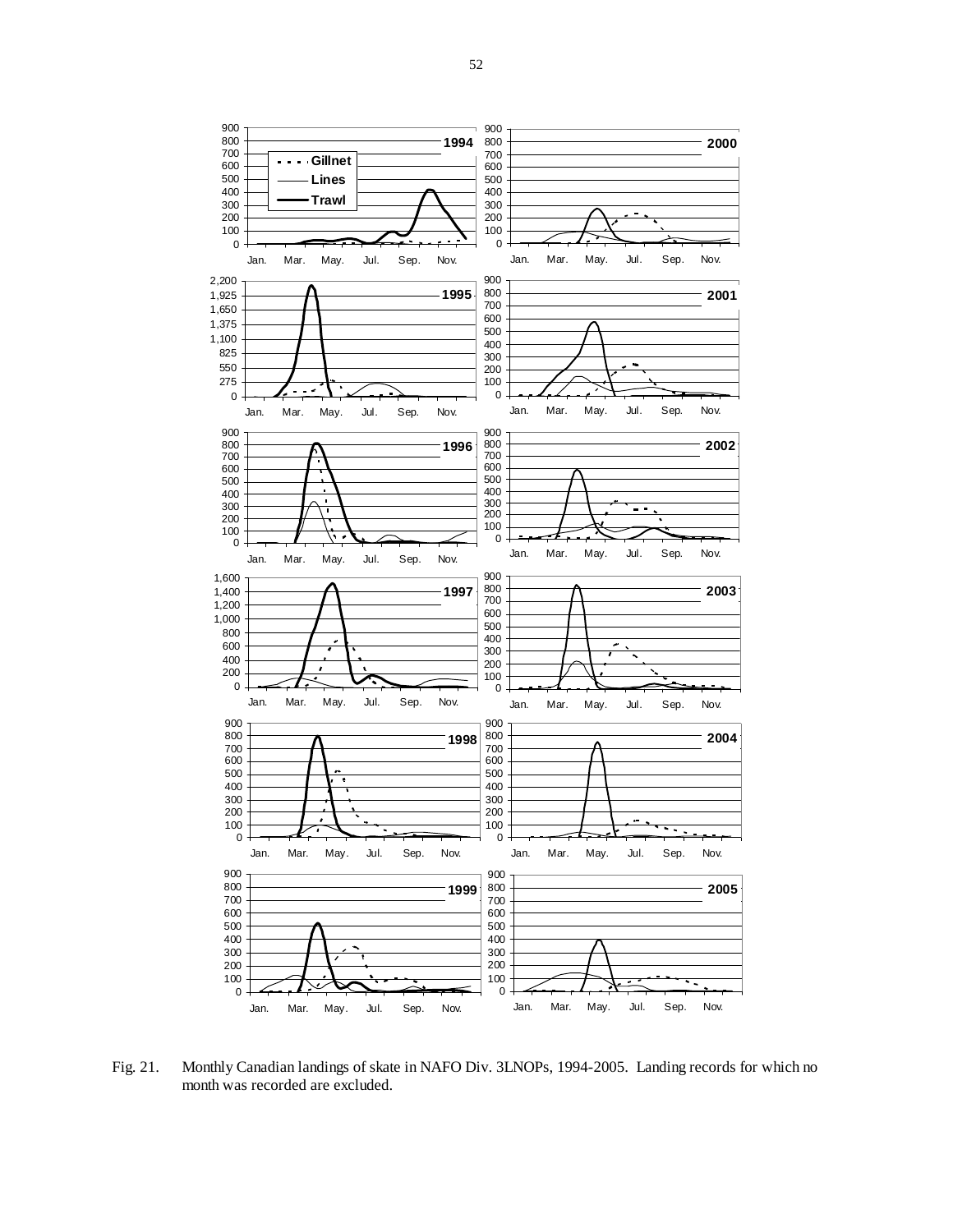![](_page_51_Figure_1.jpeg)

Fig. 21. Monthly Canadian landings of skate in NAFO Div. 3LNOPs, 1994-2005. Landing records for which no month was recorded are excluded.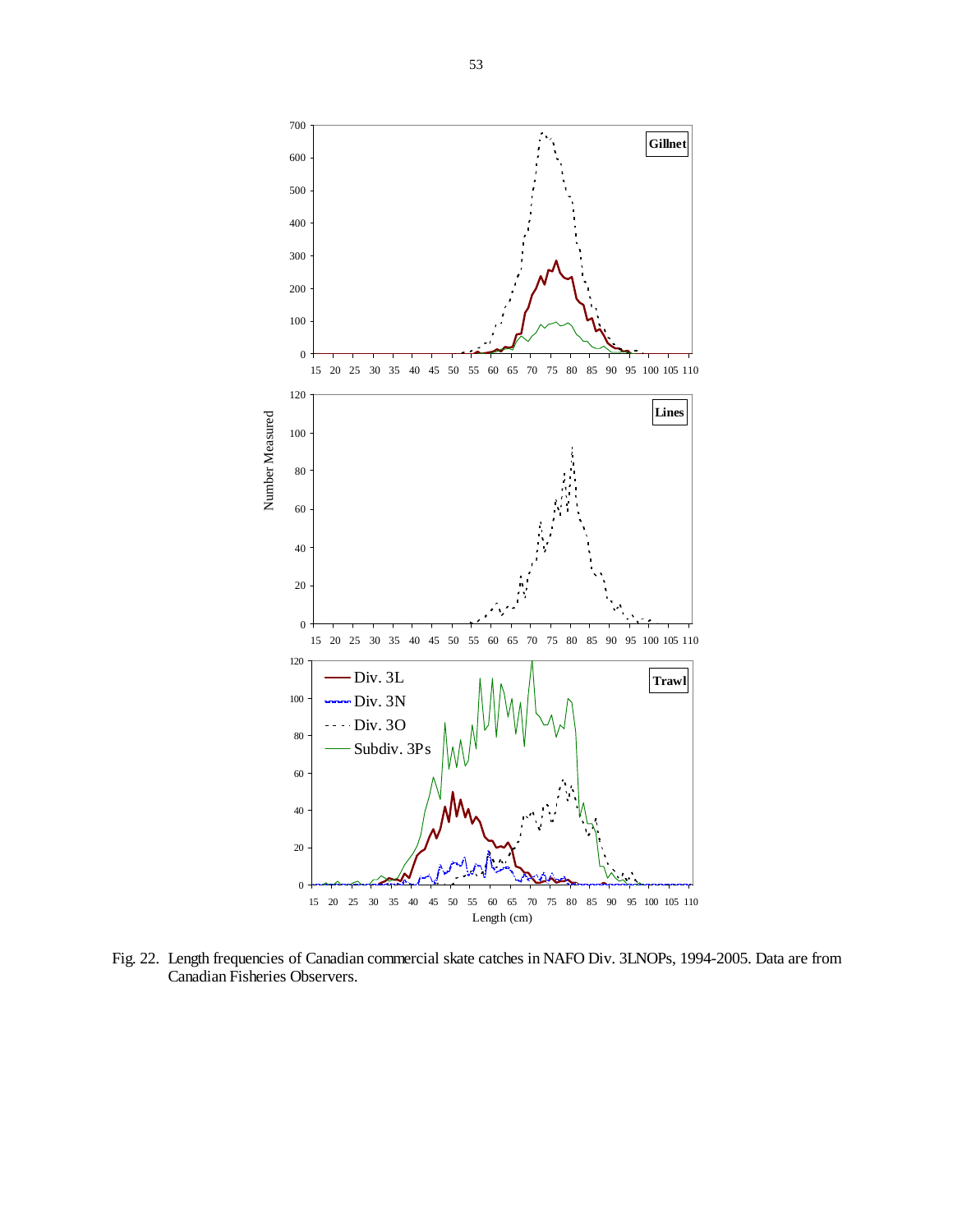![](_page_52_Figure_0.jpeg)

Fig. 22. Length frequencies of Canadian commercial skate catches in NAFO Div. 3LNOPs, 1994-2005. Data are from Canadian Fisheries Observers.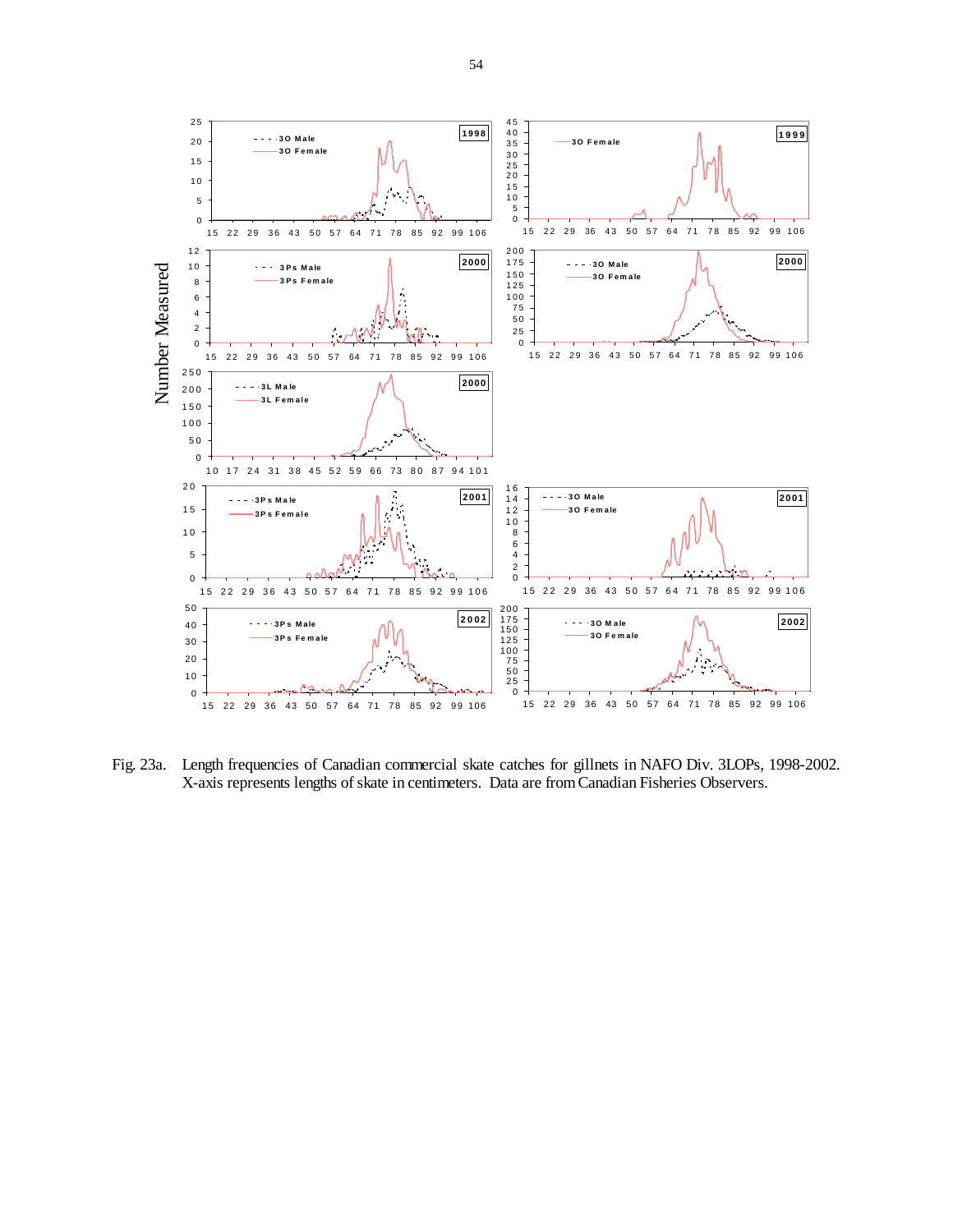![](_page_53_Figure_0.jpeg)

Fig. 23a. Length frequencies of Canadian commercial skate catches for gillnets in NAFO Div. 3LOPs, 1998-2002. X-axis represents lengths of skate in centimeters. Data are from Canadian Fisheries Observers.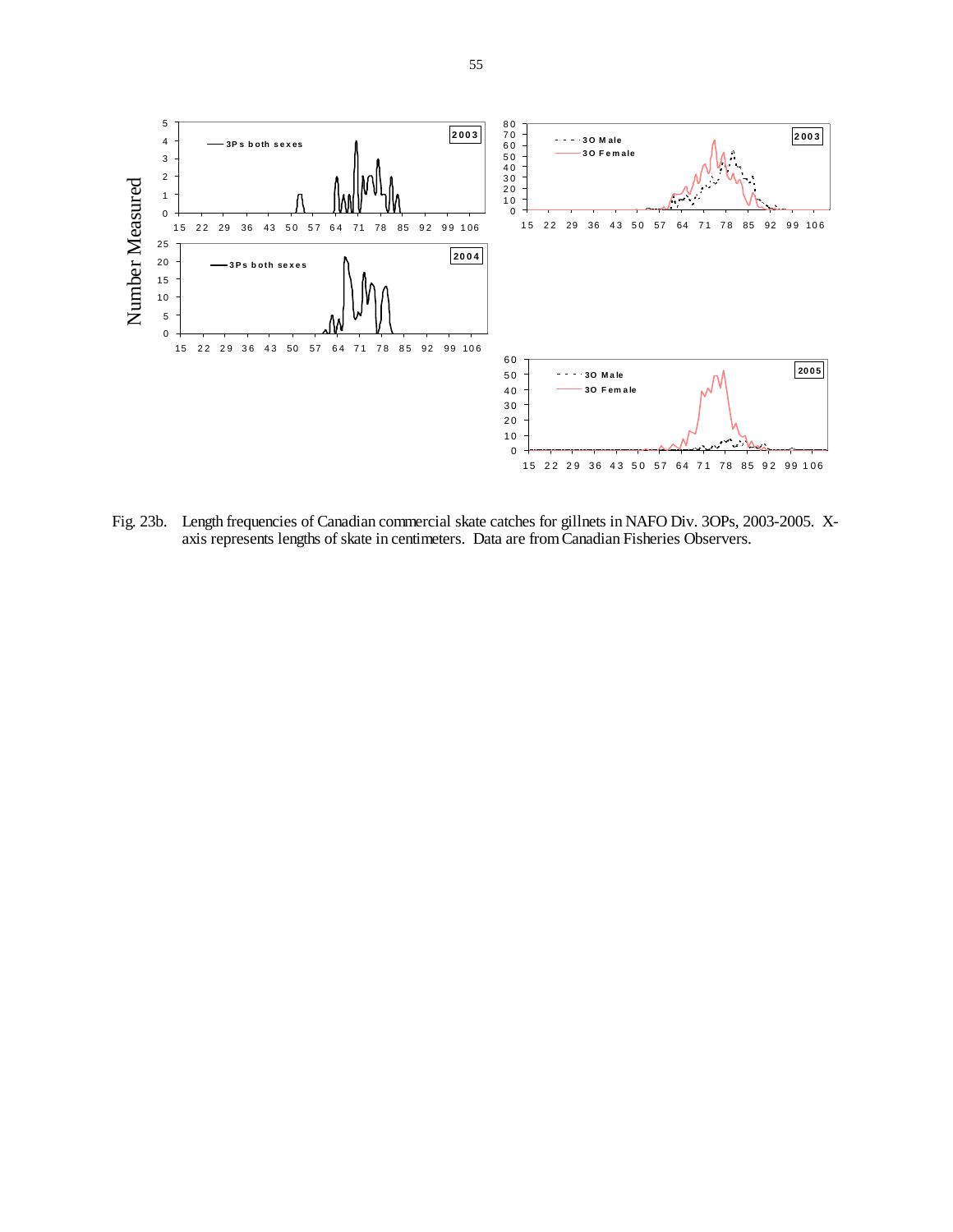![](_page_54_Figure_0.jpeg)

Fig. 23b. Length frequencies of Canadian commercial skate catches for gillnets in NAFO Div. 3OPs, 2003-2005. Xaxis represents lengths of skate in centimeters. Data are from Canadian Fisheries Observers.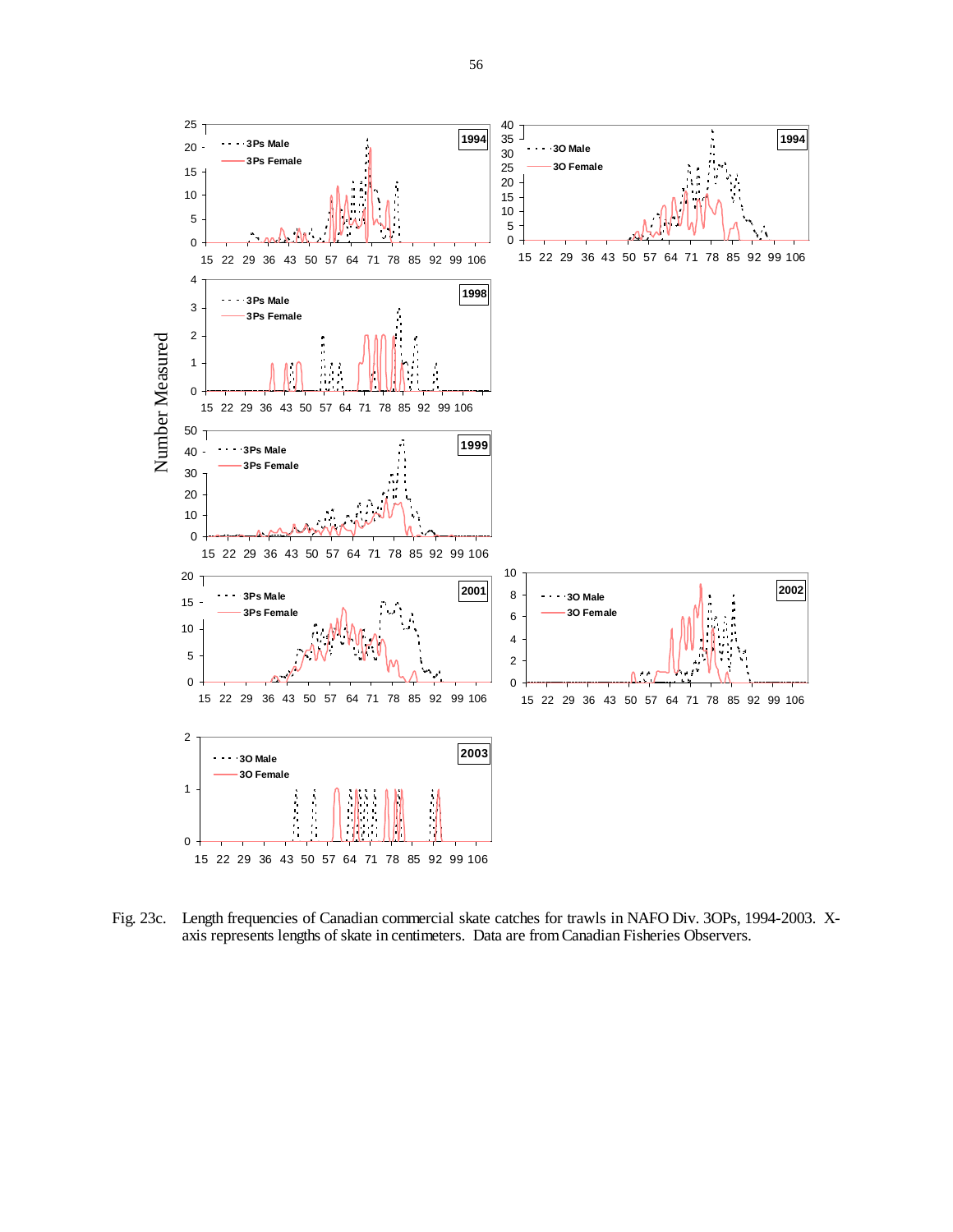![](_page_55_Figure_0.jpeg)

Fig. 23c. Length frequencies of Canadian commercial skate catches for trawls in NAFO Div. 3OPs, 1994-2003. Xaxis represents lengths of skate in centimeters. Data are from Canadian Fisheries Observers.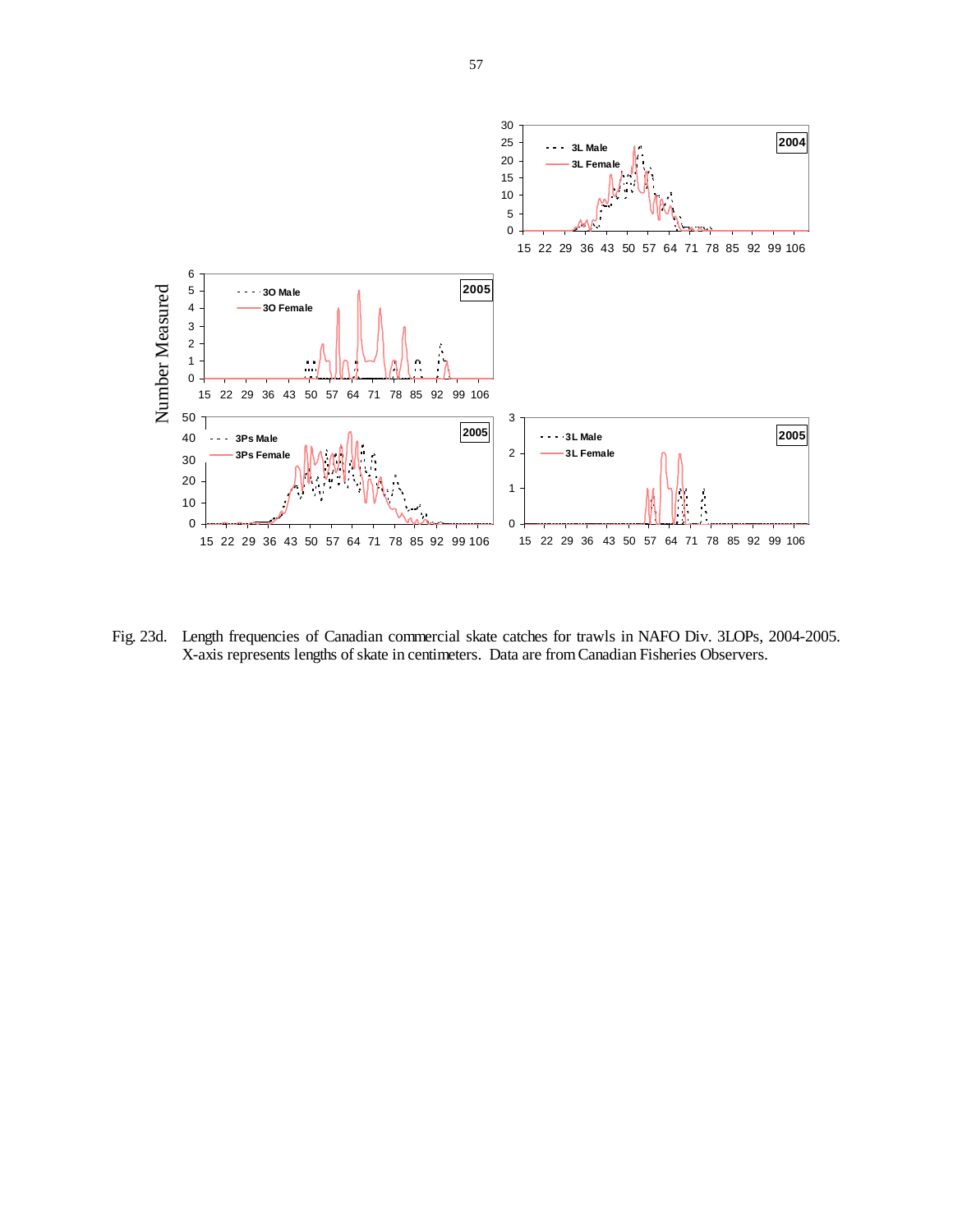![](_page_56_Figure_0.jpeg)

Fig. 23d. Length frequencies of Canadian commercial skate catches for trawls in NAFO Div. 3LOPs, 2004-2005. X-axis represents lengths of skate in centimeters. Data are from Canadian Fisheries Observers.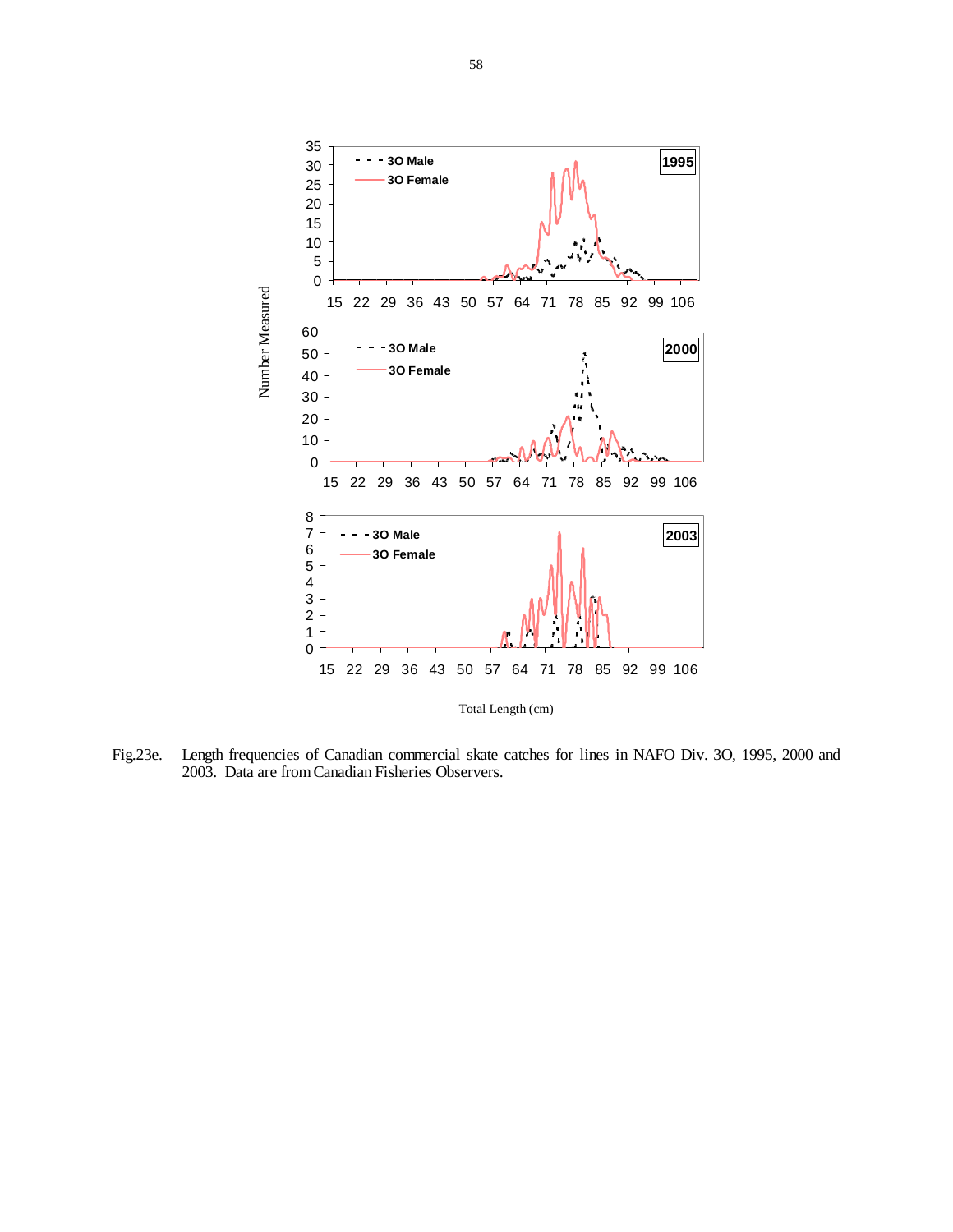![](_page_57_Figure_0.jpeg)

Fig.23e. Length frequencies of Canadian commercial skate catches for lines in NAFO Div. 3O, 1995, 2000 and 2003. Data are from Canadian Fisheries Observers.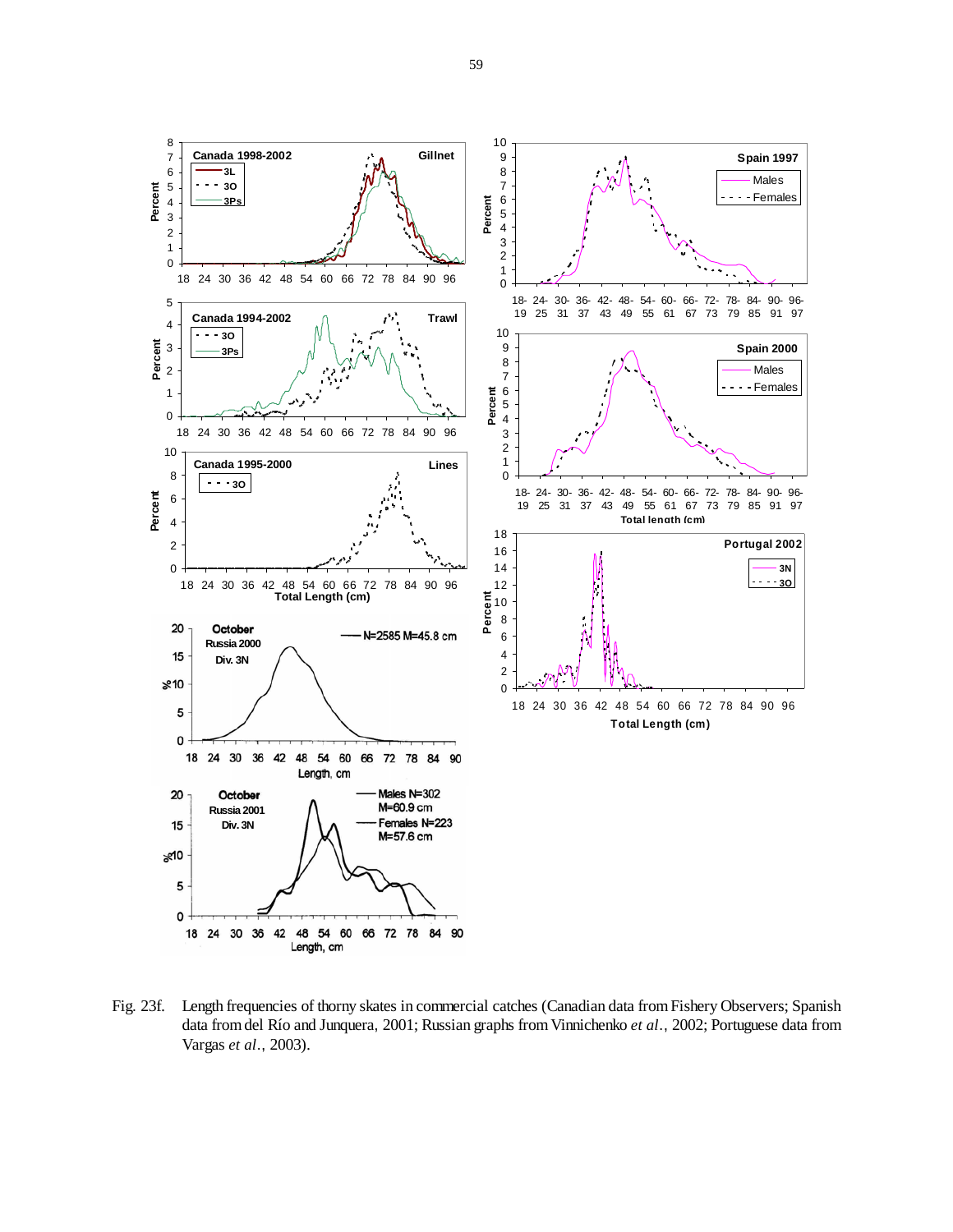![](_page_58_Figure_0.jpeg)

Fig. 23f. Length frequencies of thorny skates in commercial catches (Canadian data from Fishery Observers; Spanish data from del Río and Junquera, 2001; Russian graphs from Vinnichenko *et al*., 2002; Portuguese data from Vargas *et al*., 2003).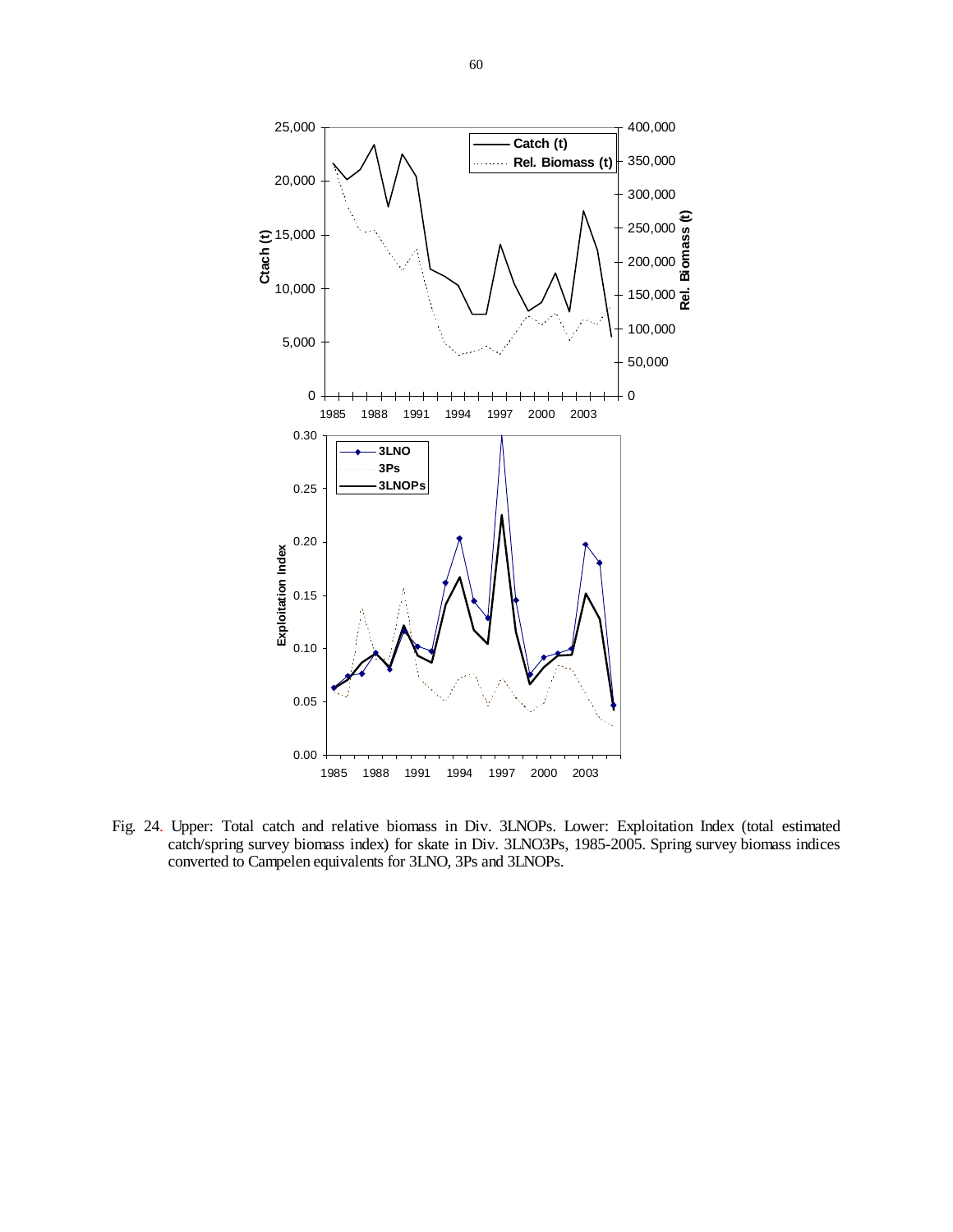![](_page_59_Figure_0.jpeg)

Fig. 24. Upper: Total catch and relative biomass in Div. 3LNOPs. Lower: Exploitation Index (total estimated catch/spring survey biomass index) for skate in Div. 3LNO3Ps, 1985-2005. Spring survey biomass indices converted to Campelen equivalents for 3LNO, 3Ps and 3LNOPs.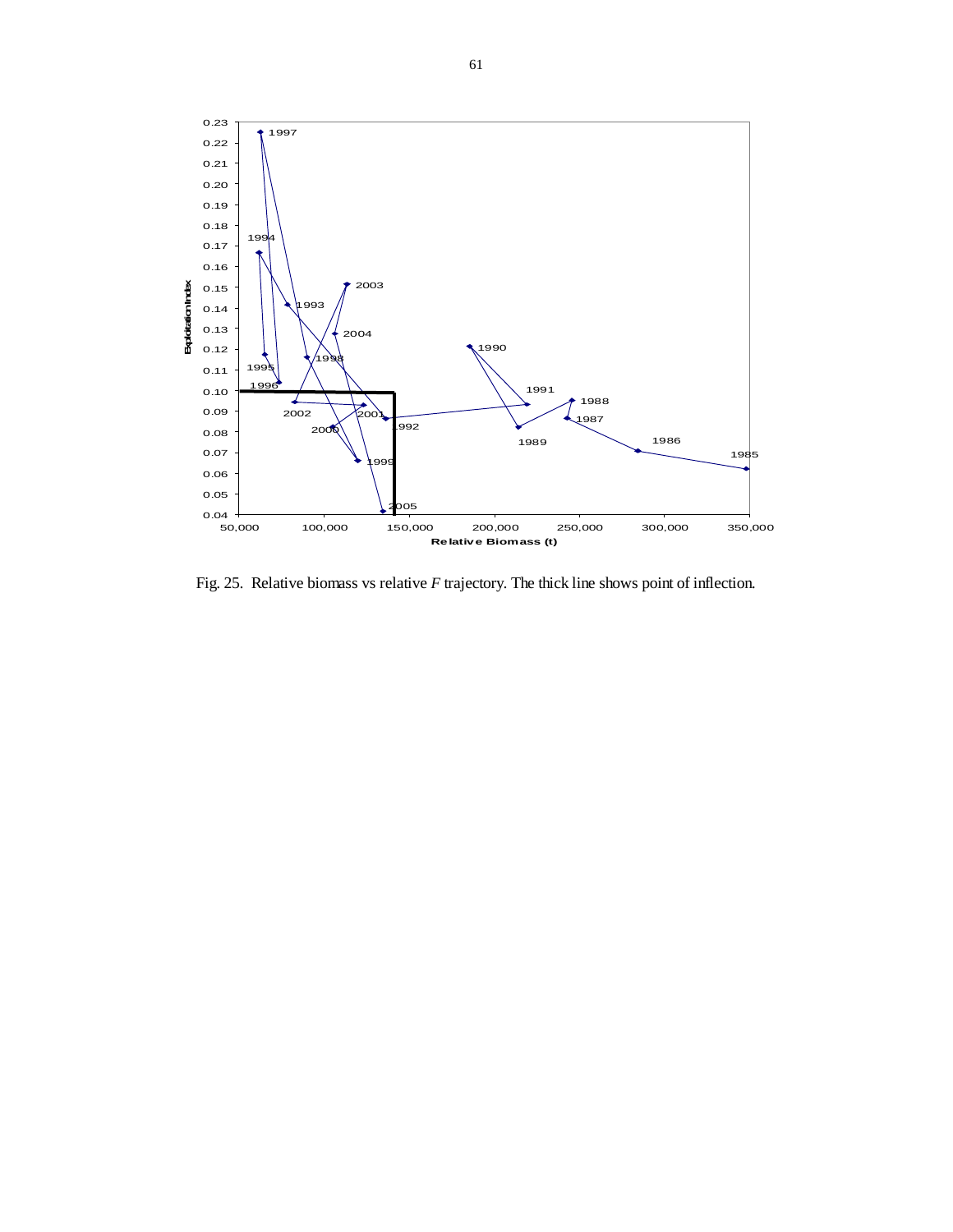![](_page_60_Figure_0.jpeg)

Fig. 25. Relative biomass vs relative *F* trajectory. The thick line shows point of inflection.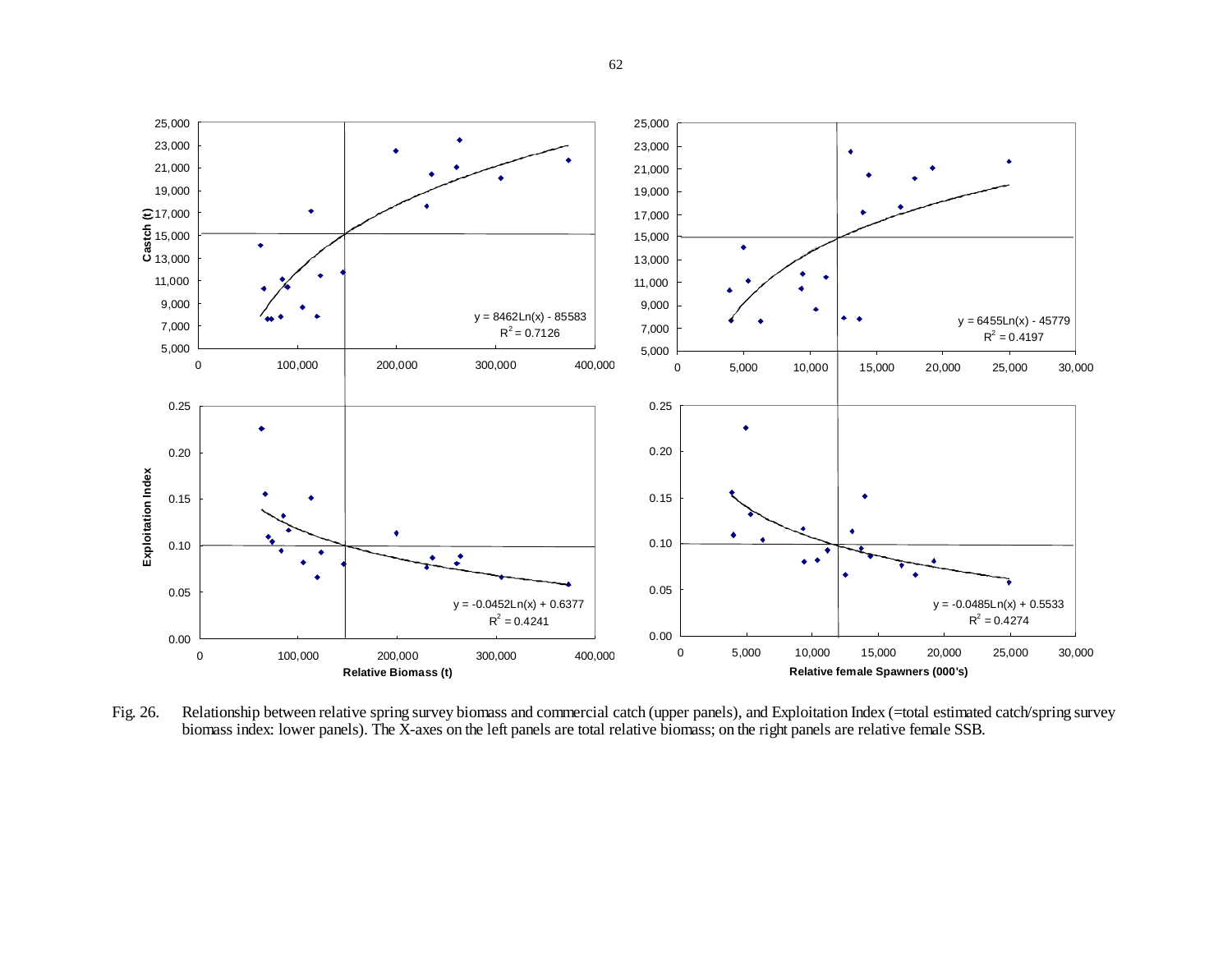![](_page_61_Figure_0.jpeg)

Fig. 26. Relationship between relative spring survey biomass and commercial catch (upper panels), and Exploitation Index (=total estimated catch/spring survey biomass index: lower panels). The X-axes on the left panels are total relative biomass; on the right panels are relative female SSB.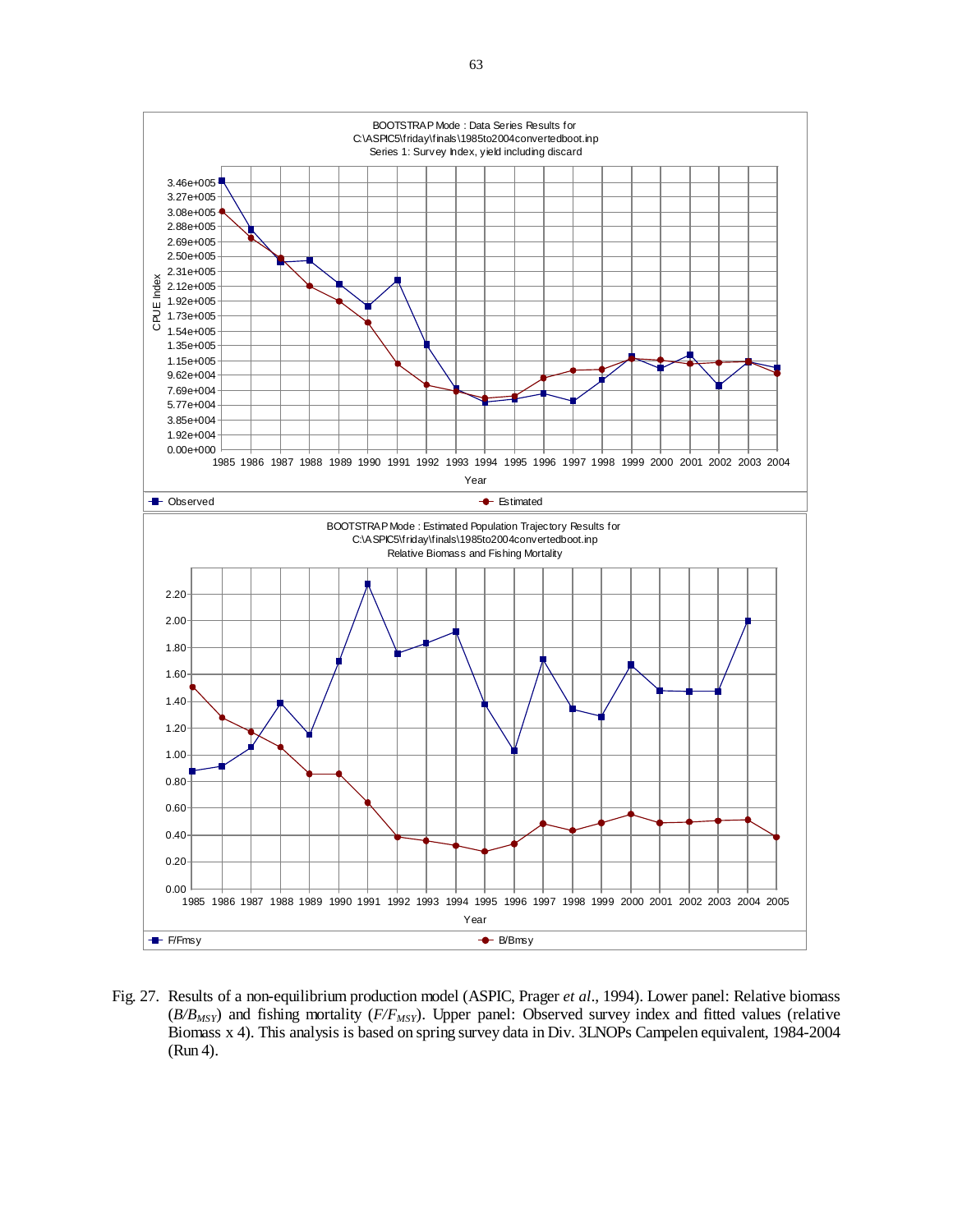![](_page_62_Figure_0.jpeg)

Fig. 27. Results of a non-equilibrium production model (ASPIC, Prager *et al*., 1994). Lower panel: Relative biomass (*B/BMSY*) and fishing mortality (*F/FMSY*). Upper panel: Observed survey index and fitted values (relative Biomass x 4). This analysis is based on spring survey data in Div. 3LNOPs Campelen equivalent, 1984-2004 (Run 4).

63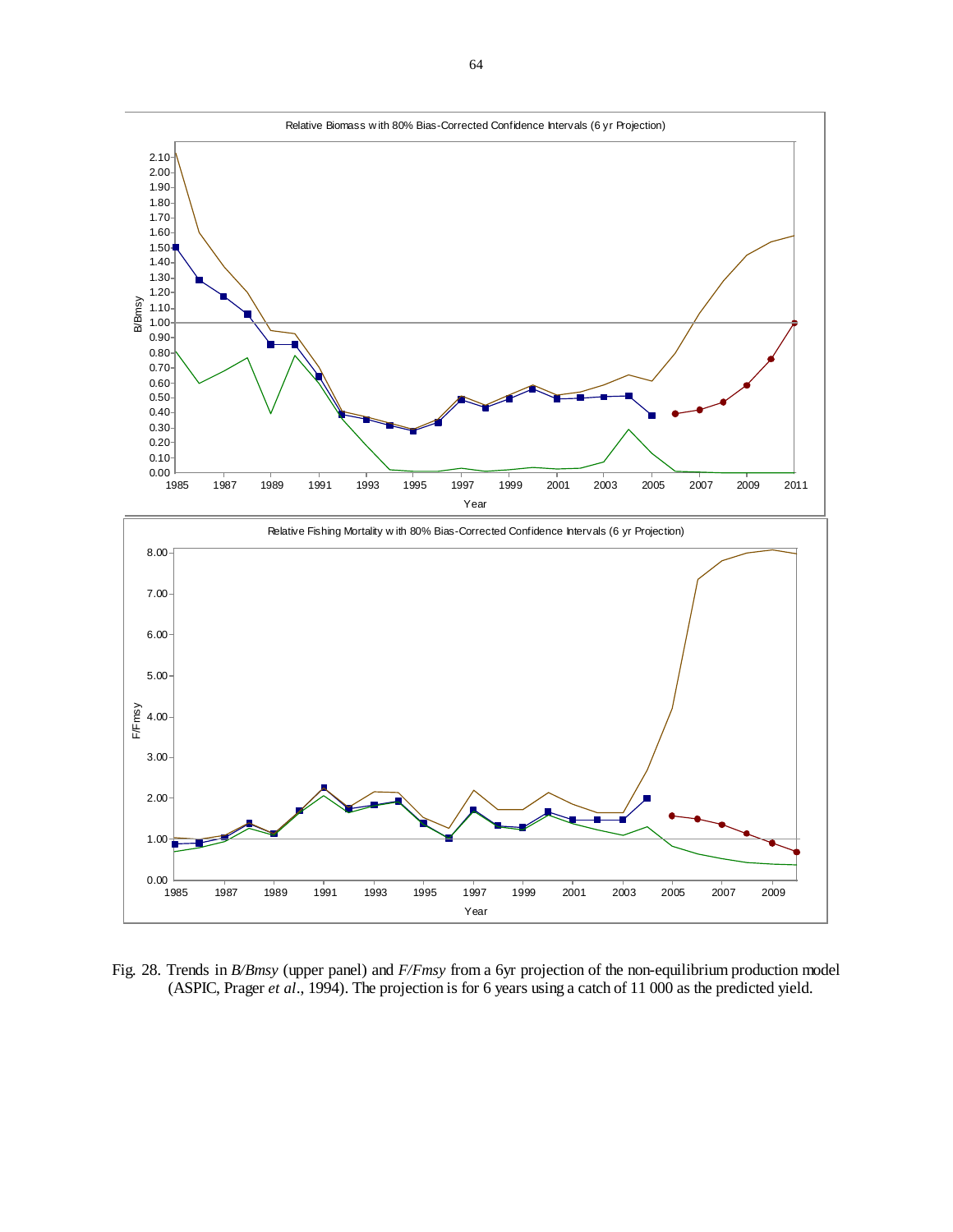![](_page_63_Figure_0.jpeg)

Fig. 28. Trends in *B/Bmsy* (upper panel) and *F/Fmsy* from a 6yr projection of the non-equilibrium production model (ASPIC, Prager *et al*., 1994). The projection is for 6 years using a catch of 11 000 as the predicted yield.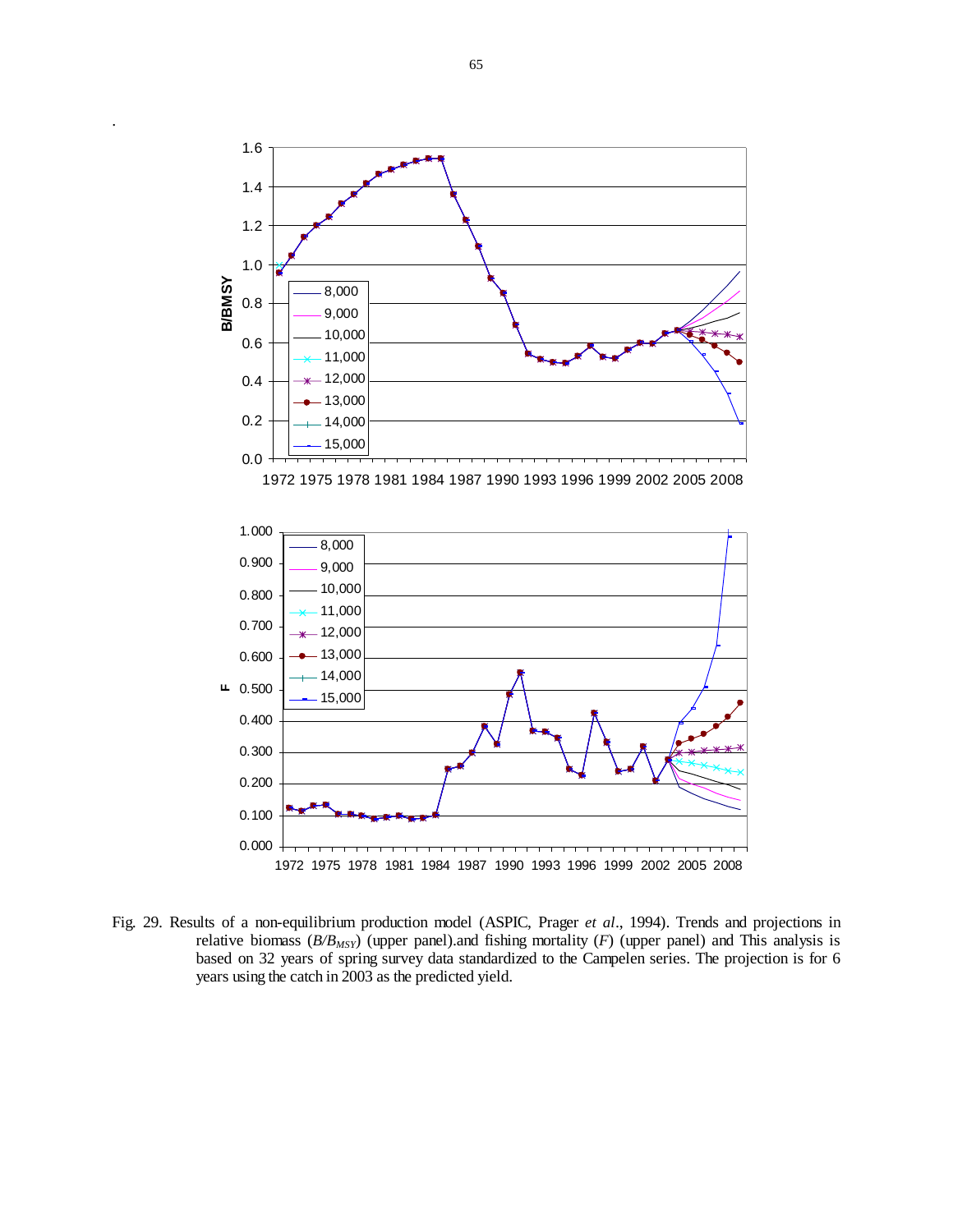![](_page_64_Figure_0.jpeg)

Fig. 29. Results of a non-equilibrium production model (ASPIC, Prager *et al*., 1994). Trends and projections in relative biomass ( $B/B_{MSY}$ ) (upper panel).and fishing mortality (*F*) (upper panel) and This analysis is based on 32 years of spring survey data standardized to the Campelen series. The projection is for 6 years using the catch in 2003 as the predicted yield.

.